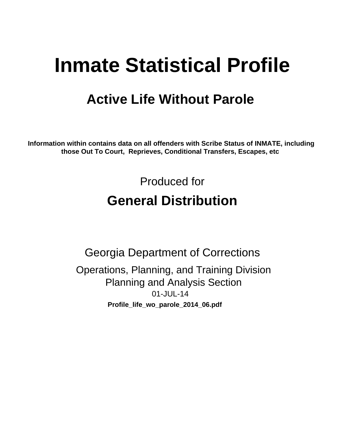# **Inmate Statistical Profile**

## **Active Life Without Parole**

Information within contains data on all offenders with Scribe Status of INMATE, including those Out To Court, Reprieves, Conditional Transfers, Escapes, etc

> Produced for **General Distribution**

**Georgia Department of Corrections** Operations, Planning, and Training Division **Planning and Analysis Section** 01-JUL-14 Profile\_life\_wo\_parole\_2014\_06.pdf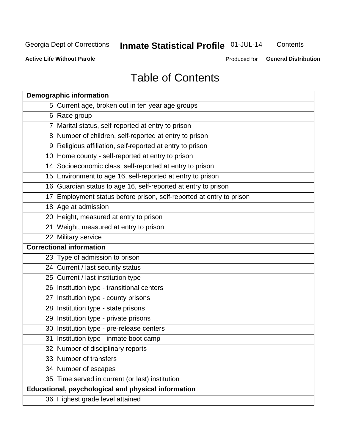## Inmate Statistical Profile 01-JUL-14

Contents

**Active Life Without Parole** 

Produced for General Distribution

## **Table of Contents**

| <b>Demographic information</b>                                       |
|----------------------------------------------------------------------|
| 5 Current age, broken out in ten year age groups                     |
| 6 Race group                                                         |
| 7 Marital status, self-reported at entry to prison                   |
| 8 Number of children, self-reported at entry to prison               |
| 9 Religious affiliation, self-reported at entry to prison            |
| 10 Home county - self-reported at entry to prison                    |
| 14 Socioeconomic class, self-reported at entry to prison             |
| 15 Environment to age 16, self-reported at entry to prison           |
| 16 Guardian status to age 16, self-reported at entry to prison       |
| 17 Employment status before prison, self-reported at entry to prison |
| 18 Age at admission                                                  |
| 20 Height, measured at entry to prison                               |
| 21 Weight, measured at entry to prison                               |
| 22 Military service                                                  |
| <b>Correctional information</b>                                      |
| 23 Type of admission to prison                                       |
| 24 Current / last security status                                    |
| 25 Current / last institution type                                   |
| 26 Institution type - transitional centers                           |
| 27 Institution type - county prisons                                 |
| 28 Institution type - state prisons                                  |
| 29 Institution type - private prisons                                |
| 30 Institution type - pre-release centers                            |
| 31 Institution type - inmate boot camp                               |
| 32 Number of disciplinary reports                                    |
| 33 Number of transfers                                               |
| 34 Number of escapes                                                 |
| 35 Time served in current (or last) institution                      |
| <b>Educational, psychological and physical information</b>           |
| 36 Highest grade level attained                                      |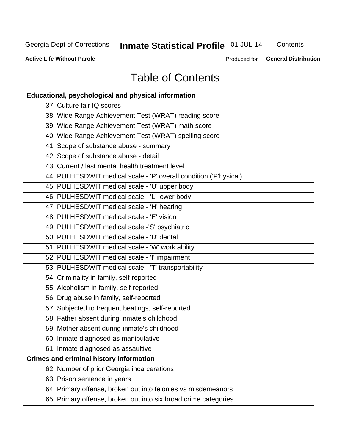## Inmate Statistical Profile 01-JUL-14

Contents

**Active Life Without Parole** 

Produced for General Distribution

## **Table of Contents**

| <b>Educational, psychological and physical information</b>       |
|------------------------------------------------------------------|
| 37 Culture fair IQ scores                                        |
| 38 Wide Range Achievement Test (WRAT) reading score              |
| 39 Wide Range Achievement Test (WRAT) math score                 |
| 40 Wide Range Achievement Test (WRAT) spelling score             |
| 41 Scope of substance abuse - summary                            |
| 42 Scope of substance abuse - detail                             |
| 43 Current / last mental health treatment level                  |
| 44 PULHESDWIT medical scale - 'P' overall condition ('P'hysical) |
| 45 PULHESDWIT medical scale - 'U' upper body                     |
| 46 PULHESDWIT medical scale - 'L' lower body                     |
| 47 PULHESDWIT medical scale - 'H' hearing                        |
| 48 PULHESDWIT medical scale - 'E' vision                         |
| 49 PULHESDWIT medical scale -'S' psychiatric                     |
| 50 PULHESDWIT medical scale - 'D' dental                         |
| 51 PULHESDWIT medical scale - 'W' work ability                   |
| 52 PULHESDWIT medical scale - 'I' impairment                     |
| 53 PULHESDWIT medical scale - 'T' transportability               |
| 54 Criminality in family, self-reported                          |
| 55 Alcoholism in family, self-reported                           |
| 56 Drug abuse in family, self-reported                           |
| 57 Subjected to frequent beatings, self-reported                 |
| 58 Father absent during inmate's childhood                       |
| 59 Mother absent during inmate's childhood                       |
| 60 Inmate diagnosed as manipulative                              |
| 61 Inmate diagnosed as assaultive                                |
| <b>Crimes and criminal history information</b>                   |
| 62 Number of prior Georgia incarcerations                        |
| 63 Prison sentence in years                                      |
| 64 Primary offense, broken out into felonies vs misdemeanors     |
| 65 Primary offense, broken out into six broad crime categories   |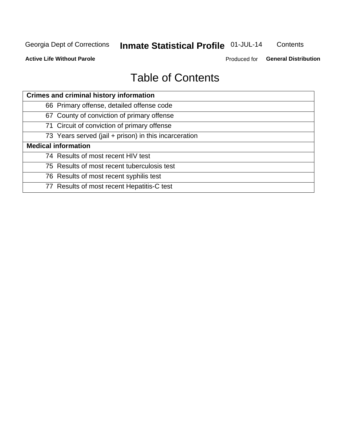## Inmate Statistical Profile 01-JUL-14

Contents

**Active Life Without Parole** 

Produced for General Distribution

## **Table of Contents**

| <b>Crimes and criminal history information</b>        |
|-------------------------------------------------------|
| 66 Primary offense, detailed offense code             |
| 67 County of conviction of primary offense            |
| 71 Circuit of conviction of primary offense           |
| 73 Years served (jail + prison) in this incarceration |
| <b>Medical information</b>                            |
| 74 Results of most recent HIV test                    |
| 75 Results of most recent tuberculosis test           |
| 76 Results of most recent syphilis test               |
| 77 Results of most recent Hepatitis-C test            |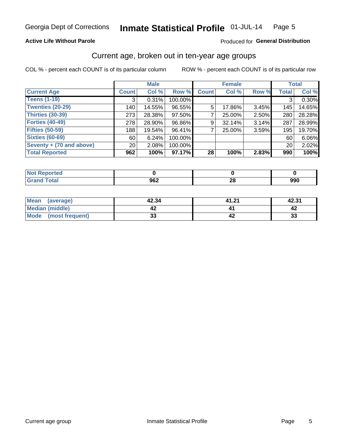#### Inmate Statistical Profile 01-JUL-14 Page 5

#### **Active Life Without Parole**

#### Produced for General Distribution

### Current age, broken out in ten-year age groups

COL % - percent each COUNT is of its particular column

|                          |              | <b>Male</b> |         |              | <b>Female</b> |       |              | <b>Total</b> |
|--------------------------|--------------|-------------|---------|--------------|---------------|-------|--------------|--------------|
| <b>Current Age</b>       | <b>Count</b> | Col %       | Row %   | <b>Count</b> | Col %         | Row % | <b>Total</b> | Col %        |
| <b>Teens (1-19)</b>      | 3            | 0.31%       | 100.00% |              |               |       | 3            | 0.30%        |
| <b>Twenties (20-29)</b>  | 140          | 14.55%      | 96.55%  | 5            | 17.86%        | 3.45% | 145          | 14.65%       |
| Thirties (30-39)         | 273          | 28.38%      | 97.50%  |              | 25.00%        | 2.50% | 280          | 28.28%       |
| <b>Forties (40-49)</b>   | 278          | 28.90%      | 96.86%  | 9            | 32.14%        | 3.14% | 287          | 28.99%       |
| <b>Fifties (50-59)</b>   | 188          | 19.54%      | 96.41%  |              | 25.00%        | 3.59% | 195          | 19.70%       |
| <b>Sixties (60-69)</b>   | 60           | 6.24%       | 100.00% |              |               |       | 60           | 6.06%        |
| Seventy + (70 and above) | 20           | 2.08%       | 100.00% |              |               |       | 20           | 2.02%        |
| <b>Total Reported</b>    | 962          | 100%        | 97.17%  | 28           | 100%          | 2.83% | 990          | 100%         |

| rted |            |         |     |
|------|------------|---------|-----|
| llai | 000<br>JUZ | ົ<br>∠∪ | 990 |

| Mean<br>(average)    | 42.34    | 41.21 | 42.31 |
|----------------------|----------|-------|-------|
| Median (middle)      |          |       |       |
| Mode (most frequent) | n.<br>vu |       | 33    |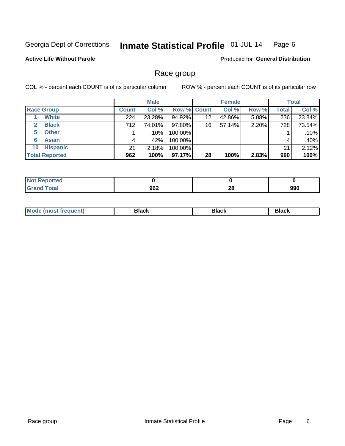#### Inmate Statistical Profile 01-JUL-14 Page 6

#### **Active Life Without Parole**

**Produced for General Distribution** 

### Race group

COL % - percent each COUNT is of its particular column

|                              |              | <b>Male</b> |         |                    | <b>Female</b> |       |              | <b>Total</b> |
|------------------------------|--------------|-------------|---------|--------------------|---------------|-------|--------------|--------------|
| <b>Race Group</b>            | <b>Count</b> | Col %       |         | <b>Row % Count</b> | Col %         | Row % | <b>Total</b> | Col %        |
| <b>White</b>                 | 224          | 23.28%      | 94.92%  | 12                 | 42.86%        | 5.08% | 236          | 23.84%       |
| <b>Black</b><br>$\mathbf{2}$ | 712          | 74.01%      | 97.80%  | 16                 | 57.14%        | 2.20% | 728          | 73.54%       |
| <b>Other</b><br>5.           |              | $.10\%$     | 100.00% |                    |               |       |              | .10%         |
| <b>Asian</b><br>6            |              | .42%        | 100.00% |                    |               |       | 4            | .40%         |
| <b>Hispanic</b><br>10        | 21           | 2.18%       | 100.00% |                    |               |       | 21           | 2.12%        |
| <b>Total Reported</b>        | 962          | 100%        | 97.17%  | 28                 | 100%          | 2.83% | 990          | 100%         |

| norted       |     |                      |     |
|--------------|-----|----------------------|-----|
| <b>Total</b> | 962 | $\overline{ }$<br>40 | 990 |

| M | --- | $-1$ |
|---|-----|------|
|   |     |      |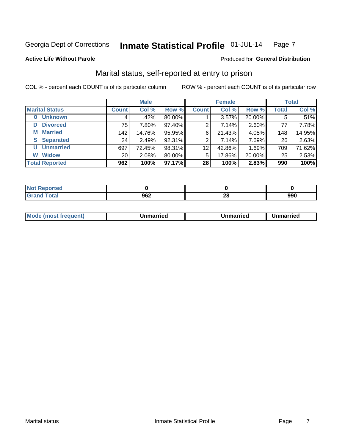#### Inmate Statistical Profile 01-JUL-14 Page 7

#### **Active Life Without Parole**

#### Produced for General Distribution

### Marital status, self-reported at entry to prison

COL % - percent each COUNT is of its particular column

|                            |                 | <b>Male</b> |        |                | <b>Female</b> |        |              | <b>Total</b> |
|----------------------------|-----------------|-------------|--------|----------------|---------------|--------|--------------|--------------|
| <b>Marital Status</b>      | <b>Count</b>    | Col %       | Row %  | <b>Count</b>   | Col %         | Row %  | <b>Total</b> | Col %        |
| <b>Unknown</b><br>$\bf{0}$ |                 | .42%        | 80.00% |                | $3.57\%$      | 20.00% | 5            | .51%         |
| <b>Divorced</b><br>D       | 75              | 7.80%       | 97.40% | 2              | 7.14%         | 2.60%  | 77           | 7.78%        |
| <b>Married</b><br>М        | 142             | 14.76%      | 95.95% | 6              | 21.43%        | 4.05%  | 148          | 14.95%       |
| <b>Separated</b><br>S.     | 24 <sub>1</sub> | 2.49%       | 92.31% | $\overline{2}$ | 7.14%         | 7.69%  | 26           | 2.63%        |
| <b>Unmarried</b><br>U      | 697             | 72.45%      | 98.31% | 12             | 42.86%        | 1.69%  | 709          | 71.62%       |
| <b>Widow</b><br>W          | 20              | 2.08%       | 80.00% | 5              | 17.86%        | 20.00% | 25           | 2.53%        |
| <b>Total Reported</b>      | 962             | 100%        | 97.17% | 28             | 100%          | 2.83%  | 990          | 100%         |

| prted<br>NOT |     |     |     |
|--------------|-----|-----|-----|
|              | ne- | OG. | nnr |
|              | JUŁ | ZU  | งงบ |

|--|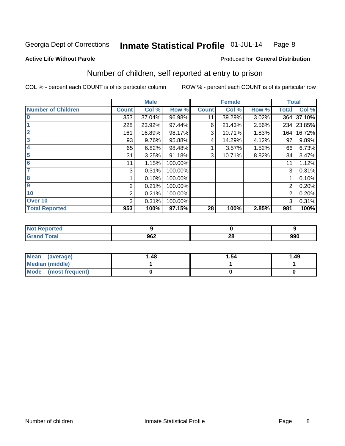#### Inmate Statistical Profile 01-JUL-14 Page 8

**Active Life Without Parole** 

#### **Produced for General Distribution**

### Number of children, self reported at entry to prison

COL % - percent each COUNT is of its particular column

|                           |              | <b>Male</b> |         |              | <b>Female</b> |       | <b>Total</b>   |            |
|---------------------------|--------------|-------------|---------|--------------|---------------|-------|----------------|------------|
| <b>Number of Children</b> | <b>Count</b> | Col %       | Row %   | <b>Count</b> | Col %         | Row % | <b>Total</b>   | Col %      |
| $\bf{0}$                  | 353          | 37.04%      | 96.98%  | 11           | 39.29%        | 3.02% |                | 364 37.10% |
|                           | 228          | 23.92%      | 97.44%  | 6            | 21.43%        | 2.56% |                | 234 23.85% |
| $\overline{2}$            | 161          | 16.89%      | 98.17%  | 3            | 10.71%        | 1.83% | 164            | 16.72%     |
| 3                         | 93           | 9.76%       | 95.88%  | 4            | 14.29%        | 4.12% | 97             | 9.89%      |
| 4                         | 65           | 6.82%       | 98.48%  |              | 3.57%         | 1.52% | 66             | 6.73%      |
| 5                         | 31           | 3.25%       | 91.18%  | 3            | 10.71%        | 8.82% | 34             | 3.47%      |
| 6                         | 11           | 1.15%       | 100.00% |              |               |       | 11             | 1.12%      |
| 7                         | 3            | 0.31%       | 100.00% |              |               |       | 3              | 0.31%      |
| 8                         |              | 0.10%       | 100.00% |              |               |       |                | 0.10%      |
| 9                         | 2            | 0.21%       | 100.00% |              |               |       | 2              | 0.20%      |
| 10                        | 2            | 0.21%       | 100.00% |              |               |       | $\overline{2}$ | 0.20%      |
| Over 10                   | 3            | 0.31%       | 100.00% |              |               |       | 3              | 0.31%      |
| <b>Total Reported</b>     | 953          | 100%        | 97.15%  | 28           | 100%          | 2.85% | 981            | 100%       |

| τeσ<br>. |     |     |     |
|----------|-----|-----|-----|
| υιαι     | 962 | oc. | nnn |
| ------   |     | Zu  | ນນບ |

| <b>Mean</b><br>(average) | 48. ا | 1.54 | 1.49 |
|--------------------------|-------|------|------|
| <b>Median (middle)</b>   |       |      |      |
| Mode<br>(most frequent)  |       |      |      |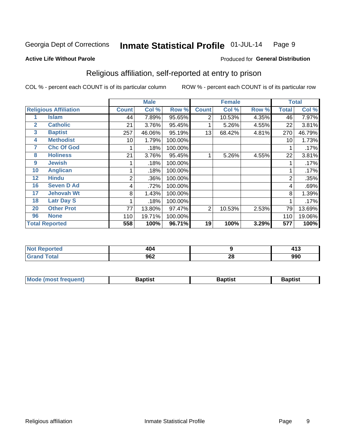#### Inmate Statistical Profile 01-JUL-14 Page 9

#### **Active Life Without Parole**

#### Produced for General Distribution

### Religious affiliation, self-reported at entry to prison

COL % - percent each COUNT is of its particular column

|                              |                       | <b>Male</b>  |        |         |                | <b>Female</b> |       | <b>Total</b> |        |  |
|------------------------------|-----------------------|--------------|--------|---------|----------------|---------------|-------|--------------|--------|--|
| <b>Religious Affiliation</b> |                       | <b>Count</b> | Col %  | Row %   | <b>Count</b>   | Col %         | Row % | Total        | Col %  |  |
|                              | Islam                 | 44           | 7.89%  | 95.65%  | $\overline{2}$ | 10.53%        | 4.35% | 46           | 7.97%  |  |
| $\mathbf{2}$                 | <b>Catholic</b>       | 21           | 3.76%  | 95.45%  |                | 5.26%         | 4.55% | 22           | 3.81%  |  |
| 3                            | <b>Baptist</b>        | 257          | 46.06% | 95.19%  | 13             | 68.42%        | 4.81% | 270          | 46.79% |  |
| 4                            | <b>Methodist</b>      | 10           | 1.79%  | 100.00% |                |               |       | 10           | 1.73%  |  |
| 7                            | <b>Chc Of God</b>     |              | .18%   | 100.00% |                |               |       |              | .17%   |  |
| 8                            | <b>Holiness</b>       | 21           | 3.76%  | 95.45%  |                | 5.26%         | 4.55% | 22           | 3.81%  |  |
| 9                            | <b>Jewish</b>         |              | .18%   | 100.00% |                |               |       |              | .17%   |  |
| 10                           | <b>Anglican</b>       |              | .18%   | 100.00% |                |               |       |              | .17%   |  |
| 12                           | <b>Hindu</b>          | 2            | .36%   | 100.00% |                |               |       | 2            | .35%   |  |
| 16                           | <b>Seven D Ad</b>     | 4            | .72%   | 100.00% |                |               |       | 4            | .69%   |  |
| 17                           | <b>Jehovah Wt</b>     | 8            | 1.43%  | 100.00% |                |               |       | 8            | 1.39%  |  |
| 18                           | <b>Latr Day S</b>     |              | .18%   | 100.00% |                |               |       |              | .17%   |  |
| 20                           | <b>Other Prot</b>     | 77           | 13.80% | 97.47%  | 2              | 10.53%        | 2.53% | 79           | 13.69% |  |
| 96                           | <b>None</b>           | 110          | 19.71% | 100.00% |                |               |       | 110          | 19.06% |  |
|                              | <b>Total Reported</b> | 558          | 100%   | 96.71%  | 19             | 100%          | 3.29% | 577          | 100%   |  |

| rtea<br>$\sim$ | 1 N A<br>404 |          | 11? |
|----------------|--------------|----------|-----|
| ______         | ስድባ<br>JUZ   | n.<br>ΔU | 990 |

| Mode (most frequent) | Baptist | <b>Baptist</b> | aptıst |
|----------------------|---------|----------------|--------|
|                      |         |                |        |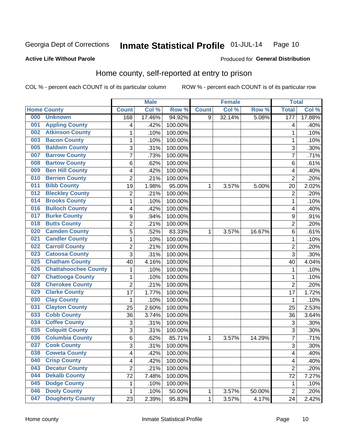#### Inmate Statistical Profile 01-JUL-14 Page 10

#### **Active Life Without Parole**

#### Produced for General Distribution

### Home county, self-reported at entry to prison

COL % - percent each COUNT is of its particular column

|     |                             |                           | <b>Male</b> |         |              | <b>Female</b> |        | <b>Total</b>   |        |
|-----|-----------------------------|---------------------------|-------------|---------|--------------|---------------|--------|----------------|--------|
|     | <b>Home County</b>          | <b>Count</b>              | Col %       | Row %   | <b>Count</b> | Col %         | Row %  | <b>Total</b>   | Col %  |
| 000 | <b>Unknown</b>              | 168                       | 17.46%      | 94.92%  | 9            | 32.14%        | 5.08%  | 177            | 17.88% |
| 001 | <b>Appling County</b>       | 4                         | .42%        | 100.00% |              |               |        | 4              | .40%   |
| 002 | <b>Atkinson County</b>      | 1                         | .10%        | 100.00% |              |               |        | 1              | .10%   |
| 003 | <b>Bacon County</b>         | 1                         | .10%        | 100.00% |              |               |        | 1              | .10%   |
| 005 | <b>Baldwin County</b>       | 3                         | .31%        | 100.00% |              |               |        | 3              | .30%   |
| 007 | <b>Barrow County</b>        | 7                         | .73%        | 100.00% |              |               |        | $\overline{7}$ | .71%   |
| 008 | <b>Bartow County</b>        | 6                         | .62%        | 100.00% |              |               |        | 6              | .61%   |
| 009 | <b>Ben Hill County</b>      | $\overline{\mathcal{A}}$  | .42%        | 100.00% |              |               |        | 4              | .40%   |
| 010 | <b>Berrien County</b>       | $\overline{2}$            | .21%        | 100.00% |              |               |        | $\overline{2}$ | .20%   |
| 011 | <b>Bibb County</b>          | 19                        | 1.98%       | 95.00%  | 1            | 3.57%         | 5.00%  | 20             | 2.02%  |
| 012 | <b>Bleckley County</b>      | $\overline{c}$            | .21%        | 100.00% |              |               |        | $\overline{2}$ | .20%   |
| 014 | <b>Brooks County</b>        | 1                         | .10%        | 100.00% |              |               |        | 1              | .10%   |
| 016 | <b>Bulloch County</b>       | 4                         | .42%        | 100.00% |              |               |        | 4              | .40%   |
| 017 | <b>Burke County</b>         | $\boldsymbol{9}$          | .94%        | 100.00% |              |               |        | 9              | .91%   |
| 018 | <b>Butts County</b>         | $\overline{2}$            | .21%        | 100.00% |              |               |        | $\overline{2}$ | .20%   |
| 020 | <b>Camden County</b>        | 5                         | .52%        | 83.33%  | 1            | 3.57%         | 16.67% | 6              | .61%   |
| 021 | <b>Candler County</b>       | 1                         | .10%        | 100.00% |              |               |        | 1              | .10%   |
| 022 | <b>Carroll County</b>       | 2                         | .21%        | 100.00% |              |               |        | $\overline{2}$ | .20%   |
| 023 | <b>Catoosa County</b>       | 3                         | .31%        | 100.00% |              |               |        | 3              | .30%   |
| 025 | <b>Chatham County</b>       | 40                        | 4.16%       | 100.00% |              |               |        | 40             | 4.04%  |
| 026 | <b>Chattahoochee County</b> | 1                         | .10%        | 100.00% |              |               |        | 1              | .10%   |
| 027 | <b>Chattooga County</b>     | 1                         | .10%        | 100.00% |              |               |        | 1              | .10%   |
| 028 | <b>Cherokee County</b>      | $\overline{2}$            | .21%        | 100.00% |              |               |        | $\overline{2}$ | .20%   |
| 029 | <b>Clarke County</b>        | 17                        | 1.77%       | 100.00% |              |               |        | 17             | 1.72%  |
| 030 | <b>Clay County</b>          | 1                         | .10%        | 100.00% |              |               |        | 1              | .10%   |
| 031 | <b>Clayton County</b>       | 25                        | 2.60%       | 100.00% |              |               |        | 25             | 2.53%  |
| 033 | <b>Cobb County</b>          | 36                        | 3.74%       | 100.00% |              |               |        | 36             | 3.64%  |
| 034 | <b>Coffee County</b>        | $\ensuremath{\mathsf{3}}$ | .31%        | 100.00% |              |               |        | 3              | .30%   |
| 035 | <b>Colquitt County</b>      | 3                         | .31%        | 100.00% |              |               |        | 3              | .30%   |
| 036 | <b>Columbia County</b>      | 6                         | .62%        | 85.71%  | 1            | 3.57%         | 14.29% | $\overline{7}$ | .71%   |
| 037 | <b>Cook County</b>          | 3                         | .31%        | 100.00% |              |               |        | 3              | .30%   |
| 038 | <b>Coweta County</b>        | 4                         | .42%        | 100.00% |              |               |        | 4              | .40%   |
| 040 | <b>Crisp County</b>         | 4                         | .42%        | 100.00% |              |               |        | 4              | .40%   |
| 043 | <b>Decatur County</b>       | $\overline{2}$            | .21%        | 100.00% |              |               |        | $\overline{2}$ | .20%   |
| 044 | <b>Dekalb County</b>        | 72                        | 7.48%       | 100.00% |              |               |        | 72             | 7.27%  |
| 045 | <b>Dodge County</b>         | 1                         | .10%        | 100.00% |              |               |        | 1              | .10%   |
| 046 | <b>Dooly County</b>         | 1                         | .10%        | 50.00%  | 1            | 3.57%         | 50.00% | $\overline{2}$ | .20%   |
| 047 | <b>Dougherty County</b>     | 23                        | 2.39%       | 95.83%  | $\mathbf 1$  | 3.57%         | 4.17%  | 24             | 2.42%  |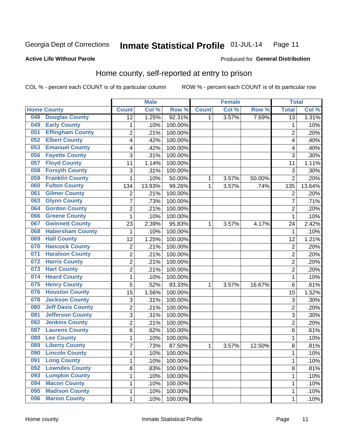#### Inmate Statistical Profile 01-JUL-14 Page 11

#### **Active Life Without Parole**

### Produced for General Distribution

### Home county, self-reported at entry to prison

COL % - percent each COUNT is of its particular column

|     |                          |                 | <b>Male</b> |         |              | <b>Female</b> |        | <b>Total</b>            |        |
|-----|--------------------------|-----------------|-------------|---------|--------------|---------------|--------|-------------------------|--------|
|     | <b>Home County</b>       | <b>Count</b>    | Col %       | Row %   | <b>Count</b> | Col %         | Row %  | <b>Total</b>            | Col %  |
| 048 | <b>Douglas County</b>    | $\overline{12}$ | 1.25%       | 92.31%  | 1.           | 3.57%         | 7.69%  | $\overline{13}$         | 1.31%  |
| 049 | <b>Early County</b>      | $\mathbf 1$     | .10%        | 100.00% |              |               |        | 1                       | .10%   |
| 051 | <b>Effingham County</b>  | $\overline{2}$  | .21%        | 100.00% |              |               |        | $\overline{2}$          | .20%   |
| 052 | <b>Elbert County</b>     | 4               | .42%        | 100.00% |              |               |        | 4                       | .40%   |
| 053 | <b>Emanuel County</b>    | 4               | .42%        | 100.00% |              |               |        | $\overline{\mathbf{4}}$ | .40%   |
| 056 | <b>Fayette County</b>    | 3               | .31%        | 100.00% |              |               |        | 3                       | .30%   |
| 057 | <b>Floyd County</b>      | 11              | 1.14%       | 100.00% |              |               |        | 11                      | 1.11%  |
| 058 | <b>Forsyth County</b>    | 3               | .31%        | 100.00% |              |               |        | 3                       | .30%   |
| 059 | <b>Franklin County</b>   | $\mathbf{1}$    | .10%        | 50.00%  | 1            | 3.57%         | 50.00% | $\overline{2}$          | .20%   |
| 060 | <b>Fulton County</b>     | 134             | 13.93%      | 99.26%  | 1            | 3.57%         | .74%   | 135                     | 13.64% |
| 061 | <b>Gilmer County</b>     | $\overline{2}$  | .21%        | 100.00% |              |               |        | $\overline{2}$          | .20%   |
| 063 | <b>Glynn County</b>      | 7               | .73%        | 100.00% |              |               |        | 7                       | .71%   |
| 064 | <b>Gordon County</b>     | $\overline{2}$  | .21%        | 100.00% |              |               |        | $\overline{2}$          | .20%   |
| 066 | <b>Greene County</b>     | $\mathbf{1}$    | .10%        | 100.00% |              |               |        | 1                       | .10%   |
| 067 | <b>Gwinnett County</b>   | 23              | 2.39%       | 95.83%  | 1            | 3.57%         | 4.17%  | 24                      | 2.42%  |
| 068 | <b>Habersham County</b>  | 1               | .10%        | 100.00% |              |               |        | 1                       | .10%   |
| 069 | <b>Hall County</b>       | 12              | 1.25%       | 100.00% |              |               |        | 12                      | 1.21%  |
| 070 | <b>Hancock County</b>    | $\overline{c}$  | .21%        | 100.00% |              |               |        | $\overline{c}$          | .20%   |
| 071 | <b>Haralson County</b>   | $\overline{2}$  | .21%        | 100.00% |              |               |        | $\overline{2}$          | .20%   |
| 072 | <b>Harris County</b>     | $\overline{2}$  | .21%        | 100.00% |              |               |        | $\overline{2}$          | .20%   |
| 073 | <b>Hart County</b>       | $\overline{c}$  | .21%        | 100.00% |              |               |        | $\overline{2}$          | .20%   |
| 074 | <b>Heard County</b>      | $\mathbf{1}$    | .10%        | 100.00% |              |               |        | 1                       | .10%   |
| 075 | <b>Henry County</b>      | 5               | .52%        | 83.33%  | 1            | 3.57%         | 16.67% | 6                       | .61%   |
| 076 | <b>Houston County</b>    | 15              | 1.56%       | 100.00% |              |               |        | 15                      | 1.52%  |
| 078 | <b>Jackson County</b>    | 3               | .31%        | 100.00% |              |               |        | 3                       | .30%   |
| 080 | <b>Jeff Davis County</b> | $\overline{2}$  | .21%        | 100.00% |              |               |        | $\overline{2}$          | .20%   |
| 081 | <b>Jefferson County</b>  | $\overline{3}$  | .31%        | 100.00% |              |               |        | 3                       | .30%   |
| 082 | <b>Jenkins County</b>    | $\overline{2}$  | .21%        | 100.00% |              |               |        | $\overline{2}$          | .20%   |
| 087 | <b>Laurens County</b>    | 6               | .62%        | 100.00% |              |               |        | 6                       | .61%   |
| 088 | <b>Lee County</b>        | $\mathbf 1$     | .10%        | 100.00% |              |               |        | 1                       | .10%   |
| 089 | <b>Liberty County</b>    | $\overline{7}$  | .73%        | 87.50%  | 1            | 3.57%         | 12.50% | 8                       | .81%   |
| 090 | <b>Lincoln County</b>    | $\mathbf 1$     | .10%        | 100.00% |              |               |        | 1                       | .10%   |
| 091 | <b>Long County</b>       | 1               | .10%        | 100.00% |              |               |        | 1                       | .10%   |
| 092 | <b>Lowndes County</b>    | 8               | .83%        | 100.00% |              |               |        | 8                       | .81%   |
| 093 | <b>Lumpkin County</b>    | $\mathbf 1$     | .10%        | 100.00% |              |               |        | 1                       | .10%   |
| 094 | <b>Macon County</b>      | 1               | .10%        | 100.00% |              |               |        | 1                       | .10%   |
| 095 | <b>Madison County</b>    | $\mathbf{1}$    | .10%        | 100.00% |              |               |        | 1                       | .10%   |
| 096 | <b>Marion County</b>     | $\mathbf{1}$    | .10%        | 100.00% |              |               |        | 1                       | .10%   |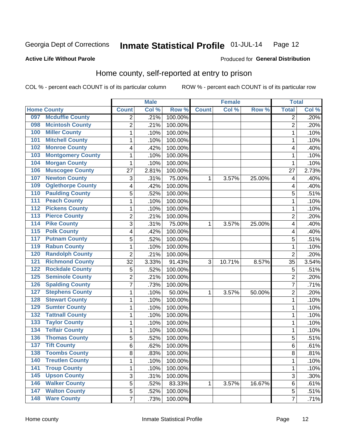#### Inmate Statistical Profile 01-JUL-14 Page 12

Produced for General Distribution

#### **Active Life Without Parole**

### Home county, self-reported at entry to prison

COL % - percent each COUNT is of its particular column

|                  |                          |                         | <b>Male</b> |         |              | <b>Female</b> |        | <b>Total</b>   |       |
|------------------|--------------------------|-------------------------|-------------|---------|--------------|---------------|--------|----------------|-------|
|                  | <b>Home County</b>       | <b>Count</b>            | Col %       | Row %   | <b>Count</b> | Col %         | Row %  | <b>Total</b>   | Col % |
| 097              | <b>Mcduffie County</b>   | $\overline{2}$          | .21%        | 100.00% |              |               |        | 2              | .20%  |
| 098              | <b>Mcintosh County</b>   | $\overline{2}$          | .21%        | 100.00% |              |               |        | $\overline{2}$ | .20%  |
| 100              | <b>Miller County</b>     | $\mathbf 1$             | .10%        | 100.00% |              |               |        | 1              | .10%  |
| 101              | <b>Mitchell County</b>   | 1                       | .10%        | 100.00% |              |               |        | 1              | .10%  |
| 102              | <b>Monroe County</b>     | $\overline{\mathbf{4}}$ | .42%        | 100.00% |              |               |        | 4              | .40%  |
| 103              | <b>Montgomery County</b> | 1                       | .10%        | 100.00% |              |               |        | 1              | .10%  |
| 104              | <b>Morgan County</b>     | $\mathbf{1}$            | .10%        | 100.00% |              |               |        | 1              | .10%  |
| 106              | <b>Muscogee County</b>   | 27                      | 2.81%       | 100.00% |              |               |        | 27             | 2.73% |
| 107              | <b>Newton County</b>     | 3                       | .31%        | 75.00%  | 1            | 3.57%         | 25.00% | 4              | .40%  |
| 109              | <b>Oglethorpe County</b> | 4                       | .42%        | 100.00% |              |               |        | 4              | .40%  |
| 110              | <b>Paulding County</b>   | 5                       | .52%        | 100.00% |              |               |        | 5              | .51%  |
| 111              | <b>Peach County</b>      | 1                       | .10%        | 100.00% |              |               |        | 1              | .10%  |
| $\overline{112}$ | <b>Pickens County</b>    | 1                       | .10%        | 100.00% |              |               |        | 1              | .10%  |
| $\overline{113}$ | <b>Pierce County</b>     | $\overline{2}$          | .21%        | 100.00% |              |               |        | 2              | .20%  |
| 114              | <b>Pike County</b>       | 3                       | .31%        | 75.00%  | 1            | 3.57%         | 25.00% | 4              | .40%  |
| $\overline{115}$ | <b>Polk County</b>       | $\overline{\mathbf{4}}$ | .42%        | 100.00% |              |               |        | 4              | .40%  |
| 117              | <b>Putnam County</b>     | 5                       | .52%        | 100.00% |              |               |        | 5              | .51%  |
| 119              | <b>Rabun County</b>      | 1                       | .10%        | 100.00% |              |               |        | 1              | .10%  |
| 120              | <b>Randolph County</b>   | $\overline{2}$          | .21%        | 100.00% |              |               |        | $\overline{2}$ | .20%  |
| 121              | <b>Richmond County</b>   | 32                      | 3.33%       | 91.43%  | 3            | 10.71%        | 8.57%  | 35             | 3.54% |
| 122              | <b>Rockdale County</b>   | 5                       | .52%        | 100.00% |              |               |        | 5              | .51%  |
| 125              | <b>Seminole County</b>   | $\overline{2}$          | .21%        | 100.00% |              |               |        | 2              | .20%  |
| 126              | <b>Spalding County</b>   | $\overline{7}$          | .73%        | 100.00% |              |               |        | 7              | .71%  |
| 127              | <b>Stephens County</b>   | 1                       | .10%        | 50.00%  | 1            | 3.57%         | 50.00% | 2              | .20%  |
| 128              | <b>Stewart County</b>    | $\mathbf 1$             | .10%        | 100.00% |              |               |        | 1              | .10%  |
| 129              | <b>Sumter County</b>     | 1                       | .10%        | 100.00% |              |               |        | 1              | .10%  |
| 132              | <b>Tattnall County</b>   | $\mathbf 1$             | .10%        | 100.00% |              |               |        | 1              | .10%  |
| 133              | <b>Taylor County</b>     | 1                       | .10%        | 100.00% |              |               |        | 1              | .10%  |
| 134              | <b>Telfair County</b>    | 1                       | .10%        | 100.00% |              |               |        | 1              | .10%  |
| 136              | <b>Thomas County</b>     | 5                       | .52%        | 100.00% |              |               |        | 5              | .51%  |
| 137              | <b>Tift County</b>       | $6\phantom{1}$          | .62%        | 100.00% |              |               |        | 6              | .61%  |
| 138              | <b>Toombs County</b>     | 8                       | .83%        | 100.00% |              |               |        | 8              | .81%  |
| 140              | <b>Treutlen County</b>   | $\mathbf{1}$            | .10%        | 100.00% |              |               |        | 1              | .10%  |
| $141$            | <b>Troup County</b>      | 1                       | .10%        | 100.00% |              |               |        | 1              | .10%  |
| 145              | <b>Upson County</b>      | 3                       | .31%        | 100.00% |              |               |        | 3              | .30%  |
| 146              | <b>Walker County</b>     | $\mathbf 5$             | .52%        | 83.33%  | 1            | 3.57%         | 16.67% | 6              | .61%  |
| 147              | <b>Walton County</b>     | 5                       | .52%        | 100.00% |              |               |        | 5              | .51%  |
| 148              | <b>Ware County</b>       | $\overline{7}$          | .73%        | 100.00% |              |               |        | 7              | .71%  |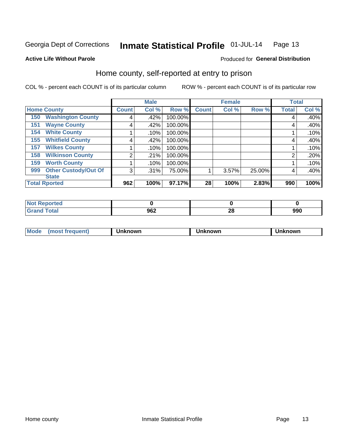#### Inmate Statistical Profile 01-JUL-14 Page 13

Produced for General Distribution

#### **Active Life Without Parole**

### Home county, self-reported at entry to prison

COL % - percent each COUNT is of its particular column

|                    |                             |              | <b>Male</b> |         |              | <b>Female</b> |        | <b>Total</b> |         |
|--------------------|-----------------------------|--------------|-------------|---------|--------------|---------------|--------|--------------|---------|
| <b>Home County</b> |                             | <b>Count</b> | Col %       | Row %   | <b>Count</b> | Col %         | Row %  | <b>Total</b> | Col %   |
| 150                | <b>Washington County</b>    | 4            | .42%        | 100.00% |              |               |        | 4            | .40%    |
| 151                | <b>Wayne County</b>         | 4            | .42%        | 100.00% |              |               |        | 4            | .40%    |
| 154                | <b>White County</b>         |              | .10%        | 100.00% |              |               |        |              | $.10\%$ |
| 155                | <b>Whitfield County</b>     | 4            | .42%        | 100.00% |              |               |        | 4            | .40%    |
| 157                | <b>Wilkes County</b>        |              | .10%        | 100.00% |              |               |        |              | .10%    |
| 158                | <b>Wilkinson County</b>     | 2            | .21%        | 100.00% |              |               |        | 2            | .20%    |
| 159                | <b>Worth County</b>         |              | .10%        | 100.00% |              |               |        |              | .10%    |
| 999                | <b>Other Custody/Out Of</b> | 3            | .31%        | 75.00%  |              | 3.57%         | 25.00% | 4            | .40%    |
|                    | <b>State</b>                |              |             |         |              |               |        |              |         |
|                    | <b>Total Rported</b>        | 962          | 100%        | 97.17%  | 28           | 100%          | 2.83%  | 990          | 100%    |

| <b>Reported</b>         |     |         |     |
|-------------------------|-----|---------|-----|
| $\sim$ $\sim$<br>______ | 962 | ົ<br>ZU | 990 |

| Moa <sub>c</sub> | . | ,,,,,<br>'NVL | owr | owr |
|------------------|---|---------------|-----|-----|
|                  |   |               |     |     |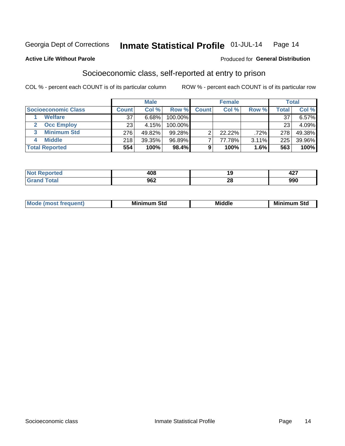#### Inmate Statistical Profile 01-JUL-14 Page 14

#### **Active Life Without Parole**

#### **Produced for General Distribution**

### Socioeconomic class, self-reported at entry to prison

COL % - percent each COUNT is of its particular column

|                       |                 | <b>Male</b> |            |              | <b>Female</b> |       |       | <b>Total</b> |
|-----------------------|-----------------|-------------|------------|--------------|---------------|-------|-------|--------------|
| Socioeconomic Class   | <b>Count</b>    | Col %       | Row %      | <b>Count</b> | Col %         | Row % | Total | Col %        |
| <b>Welfare</b>        | 37              | 6.68%       | 100.00%    |              |               |       | 37    | $6.57\%$     |
| <b>Occ Employ</b>     | 23 <sub>1</sub> | 4.15%       | $100.00\%$ |              |               |       | 23    | 4.09%        |
| <b>Minimum Std</b>    | 276             | 49.82%      | $99.28\%$  |              | $22.22\%$     | .72%  | 278   | 49.38%       |
| <b>Middle</b>         | 218             | 39.35%      | 96.89%     |              | 77.78%        | 3.11% | 225   | 39.96%       |
| <b>Total Reported</b> | 554             | 100%        | 98.4%      |              | 100%          | 1.6%  | 563   | 100%         |

| .<br>NO.<br>τeα<br>$\sim$ | <b>ANS</b><br>40C |                 | $\sim$<br>74 I |
|---------------------------|-------------------|-----------------|----------------|
| أحقت                      | 962               | n.<br><u>ru</u> | nnn<br>ขยบ     |

|--|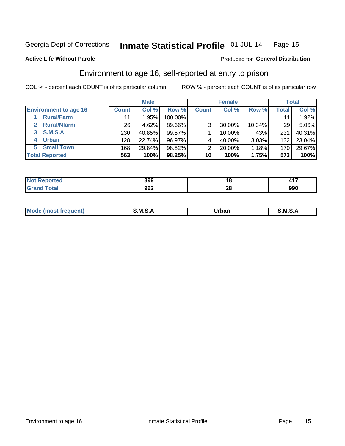#### Inmate Statistical Profile 01-JUL-14 Page 15

#### **Active Life Without Parole**

#### **Produced for General Distribution**

### Environment to age 16, self-reported at entry to prison

COL % - percent each COUNT is of its particular column

|                                    |                 | <b>Male</b> |         |              | <b>Female</b> |        |       | <b>Total</b> |
|------------------------------------|-----------------|-------------|---------|--------------|---------------|--------|-------|--------------|
| <b>Environment to age 16</b>       | <b>Count</b>    | Col %       | Row %   | <b>Count</b> | Col %         | Row %  | Total | Col %        |
| <b>Rural/Farm</b>                  | 11              | $.95\%$     | 100.00% |              |               |        |       | 1.92%        |
| <b>Rural/Nfarm</b><br>$\mathbf{2}$ | 26 <sub>1</sub> | 4.62%       | 89.66%  | 3            | 30.00%        | 10.34% | 29    | 5.06%        |
| 3 S.M.S.A                          | 230             | 40.85%      | 99.57%  |              | 10.00%        | .43%   | 231   | 40.31%       |
| <b>Urban</b><br>4                  | 128             | 22.74%      | 96.97%  |              | 40.00%        | 3.03%  | 132   | 23.04%       |
| 5 Small Town                       | 168             | 29.84%      | 98.82%  | 2            | 20.00%        | 1.18%  | 170   | 29.67%       |
| <b>Total Reported</b>              | 563             | 100%        | 98.25%  | 10           | 100%          | 1.75%  | 573   | 100%         |

| <b>rted</b><br><b>NOT</b><br>neuu | 399 | ıс        | .   |
|-----------------------------------|-----|-----------|-----|
|                                   | 962 | ne.<br>40 | 990 |

| Mo | M | urhar . | M      |
|----|---|---------|--------|
|    |   | _____   | ______ |
|    |   |         |        |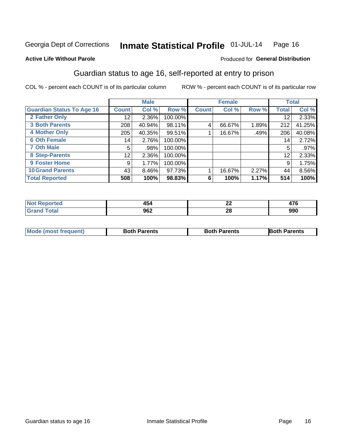#### Inmate Statistical Profile 01-JUL-14 Page 16

#### **Active Life Without Parole**

#### Produced for General Distribution

### Guardian status to age 16, self-reported at entry to prison

COL % - percent each COUNT is of its particular column

|                                  |              | <b>Male</b> |         |              | <b>Female</b> |       |                 | <b>Total</b> |
|----------------------------------|--------------|-------------|---------|--------------|---------------|-------|-----------------|--------------|
| <b>Guardian Status To Age 16</b> | <b>Count</b> | Col %       | Row %   | <b>Count</b> | Col %         | Row % | Total           | Col %        |
| 2 Father Only                    | 12           | 2.36%       | 100.00% |              |               |       | 12              | 2.33%        |
| <b>3 Both Parents</b>            | 208          | 40.94%      | 98.11%  | 4            | 66.67%        | 1.89% | 212             | 41.25%       |
| <b>4 Mother Only</b>             | 205          | 40.35%      | 99.51%  |              | 16.67%        | .49%  | 206             | 40.08%       |
| <b>6 Oth Female</b>              | 14           | 2.76%       | 100.00% |              |               |       | 14 <sub>1</sub> | 2.72%        |
| <b>7 Oth Male</b>                | 5            | .98%        | 100.00% |              |               |       | 5               | .97%         |
| 8 Step-Parents                   | 12           | 2.36%       | 100.00% |              |               |       | 12              | 2.33%        |
| 9 Foster Home                    | 9            | 1.77%       | 100.00% |              |               |       | 9               | 1.75%        |
| <b>10 Grand Parents</b>          | 43           | 8.46%       | 97.73%  |              | 16.67%        | 2.27% | 44              | 8.56%        |
| <b>Total Reported</b>            | 508          | 100%        | 98.83%  | 6            | 100%          | 1.17% | 514             | 100%         |

| ec |            | $\overline{\phantom{a}}$<br>-- | $1 - \alpha$ |
|----|------------|--------------------------------|--------------|
|    | ne?<br>JUZ | ഹ<br>49                        | 990          |

| <b>Mode (most frequent)</b> | <b>Both Parents</b> | <b>Both Parents</b> | <b>Both Parents</b> |
|-----------------------------|---------------------|---------------------|---------------------|
|                             |                     |                     |                     |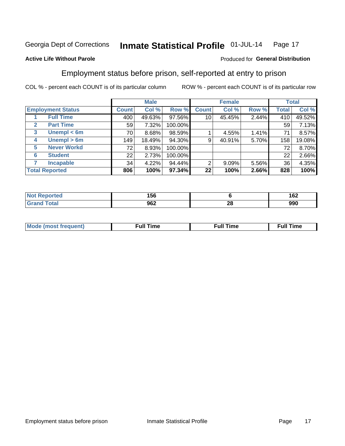#### Inmate Statistical Profile 01-JUL-14 Page 17

#### **Active Life Without Parole**

#### Produced for General Distribution

### Employment status before prison, self-reported at entry to prison

COL % - percent each COUNT is of its particular column

|                          |         |     | <b>Male</b> |         |              | <b>Female</b> |       |       | <b>Total</b> |
|--------------------------|---------|-----|-------------|---------|--------------|---------------|-------|-------|--------------|
| <b>Employment Status</b> | Count l |     | Col %       | Row %   | <b>Count</b> | Col %         | Row % | Total | Col %        |
| <b>Full Time</b>         |         | 400 | 49.63%      | 97.56%  | 10           | 45.45%        | 2.44% | 410   | 49.52%       |
| <b>Part Time</b><br>2    |         | 59  | 7.32%       | 100.00% |              |               |       | 59    | 7.13%        |
| Unempl $<$ 6m<br>3       |         | 70  | 8.68%       | 98.59%  |              | 4.55%         | 1.41% | 71    | 8.57%        |
| Unempl $> 6m$<br>4       |         | 149 | 18.49%      | 94.30%  | 9            | 40.91%        | 5.70% | 158   | 19.08%       |
| <b>Never Workd</b><br>5  |         | 72  | 8.93%       | 100.00% |              |               |       | 72    | 8.70%        |
| <b>Student</b><br>6      |         | 22  | 2.73%       | 100.00% |              |               |       | 22    | 2.66%        |
| <b>Incapable</b><br>7    |         | 34  | 4.22%       | 94.44%  | 2            | $9.09\%$      | 5.56% | 36    | 4.35%        |
| <b>Total Reported</b>    |         | 806 | 100%        | 97.34%  | 22           | 100%          | 2.66% | 828   | 100%         |

| чет. | 156 |           | 100<br>I VZ |
|------|-----|-----------|-------------|
|      | 962 | n.<br>Z C | 990         |

| Mc | ∴ull | ----<br>ıme<br>w |
|----|------|------------------|
|    |      |                  |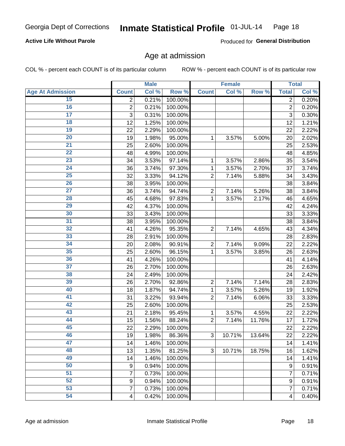#### Inmate Statistical Profile 01-JUL-14 Page 18

#### **Active Life Without Parole**

Produced for General Distribution

### Age at admission

COL % - percent each COUNT is of its particular column

|                         |                | <b>Male</b> |         |                | <b>Female</b> |        |                         | <b>Total</b> |
|-------------------------|----------------|-------------|---------|----------------|---------------|--------|-------------------------|--------------|
| <b>Age At Admission</b> | <b>Count</b>   | Col %       | Row %   | <b>Count</b>   | Col %         | Row %  | <b>Total</b>            | Col %        |
| 15                      | 2              | 0.21%       | 100.00% |                |               |        | $\overline{2}$          | 0.20%        |
| 16                      | $\overline{2}$ | 0.21%       | 100.00% |                |               |        | $\overline{2}$          | 0.20%        |
| $\overline{17}$         | 3              | 0.31%       | 100.00% |                |               |        | 3                       | 0.30%        |
| 18                      | 12             | 1.25%       | 100.00% |                |               |        | 12                      | 1.21%        |
| 19                      | 22             | 2.29%       | 100.00% |                |               |        | 22                      | 2.22%        |
| $\overline{20}$         | 19             | 1.98%       | 95.00%  | 1              | 3.57%         | 5.00%  | 20                      | 2.02%        |
| 21                      | 25             | 2.60%       | 100.00% |                |               |        | 25                      | 2.53%        |
| 22                      | 48             | 4.99%       | 100.00% |                |               |        | 48                      | 4.85%        |
| 23                      | 34             | 3.53%       | 97.14%  | 1              | 3.57%         | 2.86%  | 35                      | 3.54%        |
| 24                      | 36             | 3.74%       | 97.30%  | 1              | 3.57%         | 2.70%  | 37                      | 3.74%        |
| $\overline{25}$         | 32             | 3.33%       | 94.12%  | $\overline{2}$ | 7.14%         | 5.88%  | 34                      | 3.43%        |
| 26                      | 38             | 3.95%       | 100.00% |                |               |        | 38                      | 3.84%        |
| $\overline{27}$         | 36             | 3.74%       | 94.74%  | $\overline{2}$ | 7.14%         | 5.26%  | 38                      | 3.84%        |
| 28                      | 45             | 4.68%       | 97.83%  | 1              | 3.57%         | 2.17%  | 46                      | 4.65%        |
| 29                      | 42             | 4.37%       | 100.00% |                |               |        | 42                      | 4.24%        |
| 30                      | 33             | 3.43%       | 100.00% |                |               |        | 33                      | 3.33%        |
| 31                      | 38             | 3.95%       | 100.00% |                |               |        | 38                      | 3.84%        |
| 32                      | 41             | 4.26%       | 95.35%  | $\overline{2}$ | 7.14%         | 4.65%  | 43                      | 4.34%        |
| 33                      | 28             | 2.91%       | 100.00% |                |               |        | 28                      | 2.83%        |
| 34                      | 20             | 2.08%       | 90.91%  | $\overline{2}$ | 7.14%         | 9.09%  | 22                      | 2.22%        |
| 35                      | 25             | 2.60%       | 96.15%  | 1              | 3.57%         | 3.85%  | 26                      | 2.63%        |
| 36                      | 41             | 4.26%       | 100.00% |                |               |        | 41                      | 4.14%        |
| $\overline{37}$         | 26             | 2.70%       | 100.00% |                |               |        | 26                      | 2.63%        |
| 38                      | 24             | 2.49%       | 100.00% |                |               |        | 24                      | 2.42%        |
| 39                      | 26             | 2.70%       | 92.86%  | $\overline{2}$ | 7.14%         | 7.14%  | 28                      | 2.83%        |
| 40                      | 18             | 1.87%       | 94.74%  | 1              | 3.57%         | 5.26%  | 19                      | 1.92%        |
| 41                      | 31             | 3.22%       | 93.94%  | $\overline{2}$ | 7.14%         | 6.06%  | 33                      | 3.33%        |
| 42                      | 25             | 2.60%       | 100.00% |                |               |        | 25                      | 2.53%        |
| 43                      | 21             | 2.18%       | 95.45%  | 1              | 3.57%         | 4.55%  | 22                      | 2.22%        |
| 44                      | 15             | 1.56%       | 88.24%  | $\overline{2}$ | 7.14%         | 11.76% | 17                      | 1.72%        |
| 45                      | 22             | 2.29%       | 100.00% |                |               |        | 22                      | 2.22%        |
| 46                      | 19             | 1.98%       | 86.36%  | 3              | 10.71%        | 13.64% | 22                      | 2.22%        |
| 47                      | 14             | 1.46%       | 100.00% |                |               |        | 14                      | 1.41%        |
| 48                      | 13             | 1.35%       | 81.25%  | 3              | 10.71%        | 18.75% | 16                      | 1.62%        |
| 49                      | 14             | 1.46%       | 100.00% |                |               |        | 14                      | 1.41%        |
| 50                      | 9              | 0.94%       | 100.00% |                |               |        | 9                       | 0.91%        |
| $\overline{51}$         | $\overline{7}$ | 0.73%       | 100.00% |                |               |        | 7                       | 0.71%        |
| 52                      | 9              | 0.94%       | 100.00% |                |               |        | 9                       | 0.91%        |
| 53                      | $\overline{7}$ | 0.73%       | 100.00% |                |               |        | 7                       | 0.71%        |
| 54                      | 4              | 0.42%       | 100.00% |                |               |        | $\overline{\mathbf{4}}$ | 0.40%        |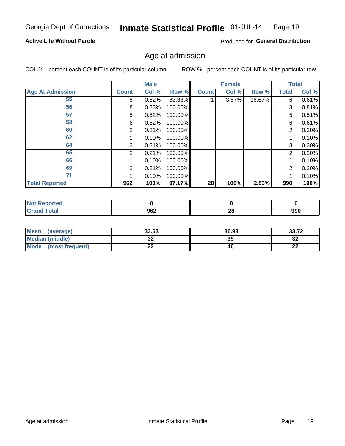#### Inmate Statistical Profile 01-JUL-14 Page 19

#### **Active Life Without Parole**

Produced for General Distribution

### Age at admission

COL % - percent each COUNT is of its particular column

|                         |       | <b>Male</b> |         |              | <b>Female</b> |        |                | <b>Total</b> |
|-------------------------|-------|-------------|---------|--------------|---------------|--------|----------------|--------------|
| <b>Age At Admission</b> | Count | Col %       | Row %   | <b>Count</b> | Col %         | Row %  | Total          | Col %        |
| 55                      | 5.    | 0.52%       | 83.33%  |              | 3.57%         | 16.67% | 6              | 0.61%        |
| 56                      | 8     | 0.83%       | 100.00% |              |               |        | 8              | 0.81%        |
| 57                      | 5     | 0.52%       | 100.00% |              |               |        | 5              | 0.51%        |
| 58                      | 6     | 0.62%       | 100.00% |              |               |        | 6              | 0.61%        |
| 60                      | 2     | 0.21%       | 100.00% |              |               |        | 2              | 0.20%        |
| 62                      |       | 0.10%       | 100.00% |              |               |        |                | 0.10%        |
| 64                      | 3     | 0.31%       | 100.00% |              |               |        | 3              | 0.30%        |
| 65                      | 2     | 0.21%       | 100.00% |              |               |        | $\overline{2}$ | 0.20%        |
| 66                      |       | 0.10%       | 100.00% |              |               |        |                | 0.10%        |
| 69                      | 2     | 0.21%       | 100.00% |              |               |        | 2              | 0.20%        |
| 71                      |       | 0.10%       | 100.00% |              |               |        |                | 0.10%        |
| <b>Total Reported</b>   | 962   | 100%        | 97.17%  | 28           | 100%          | 2.83%  | 990            | 100%         |

| enorted |     |                                |     |
|---------|-----|--------------------------------|-----|
|         | 962 | $\overline{\phantom{a}}$<br>∠∪ | 990 |

| Mean<br>(average)              | 33.63                 | 36.93 | 33.72    |
|--------------------------------|-----------------------|-------|----------|
| Median (middle)                | u                     | 39    | ົາ<br>∠ت |
| <b>Mode</b><br>(most frequent) | $\sim$<br><u>. . </u> | 46    | n.<br>LL |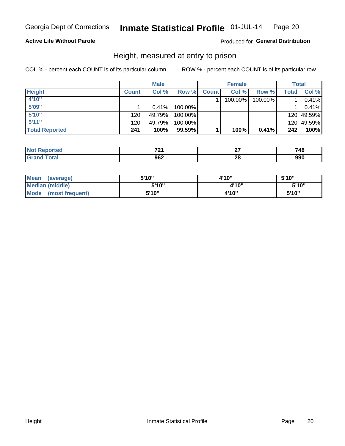#### Inmate Statistical Profile 01-JUL-14 Page 20

#### **Active Life Without Parole**

#### Produced for General Distribution

### Height, measured at entry to prison

COL % - percent each COUNT is of its particular column

|                       |              | <b>Male</b> |         |              | <b>Female</b> |         |       | Total      |
|-----------------------|--------------|-------------|---------|--------------|---------------|---------|-------|------------|
| <b>Height</b>         | <b>Count</b> | Col %       | Row %   | <b>Count</b> | Col %         | Row %   | Total | Col %      |
| 4'10"                 |              |             |         |              | 100.00%       | 100.00% |       | 0.41%      |
| 5'09"                 |              | 0.41%       | 100.00% |              |               |         |       | 0.41%      |
| 5'10''                | 120          | 49.79%      | 100.00% |              |               |         |       | 120 49.59% |
| 5'11''                | 120          | 49.79%      | 100.00% |              |               |         |       | 120 49.59% |
| <b>Total Reported</b> | 241          | 100%        | 99.59%  |              | 100%          | 0.41%   | 242   | 100%       |

| <b>Not</b><br><b>rted</b><br>reno, | 70.        |     | 748 |
|------------------------------------|------------|-----|-----|
| Total<br>' Grano                   | ne o<br>אט | ne. | 990 |

| <b>Mean</b><br>(average)       | 5'10" | 4'10" | 5'10"  |
|--------------------------------|-------|-------|--------|
| <b>Median (middle)</b>         | 5'10" | 4'10" | 5'10'' |
| <b>Mode</b><br>(most frequent) | 5'10" | 4'10" | 5'10"  |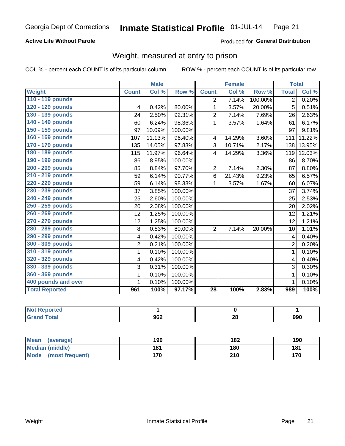#### Inmate Statistical Profile 01-JUL-14 Page 21

#### **Active Life Without Parole**

#### **Produced for General Distribution**

### Weight, measured at entry to prison

COL % - percent each COUNT is of its particular column

|                       |                | <b>Male</b> |         |                 | <b>Female</b> |         |                | <b>Total</b> |
|-----------------------|----------------|-------------|---------|-----------------|---------------|---------|----------------|--------------|
| Weight                | <b>Count</b>   | Col %       | Row %   | <b>Count</b>    | Col %         | Row %   | <b>Total</b>   | Col %        |
| 110 - 119 pounds      |                |             |         | $\overline{2}$  | 7.14%         | 100.00% | $\overline{2}$ | 0.20%        |
| 120 - 129 pounds      | 4              | 0.42%       | 80.00%  | 1               | 3.57%         | 20.00%  | 5              | 0.51%        |
| 130 - 139 pounds      | 24             | 2.50%       | 92.31%  | 2               | 7.14%         | 7.69%   | 26             | 2.63%        |
| 140 - 149 pounds      | 60             | 6.24%       | 98.36%  | $\mathbf{1}$    | 3.57%         | 1.64%   | 61             | 6.17%        |
| 150 - 159 pounds      | 97             | 10.09%      | 100.00% |                 |               |         | 97             | 9.81%        |
| 160 - 169 pounds      | 107            | 11.13%      | 96.40%  | 4               | 14.29%        | 3.60%   | 111            | 11.22%       |
| 170 - 179 pounds      | 135            | 14.05%      | 97.83%  | 3               | 10.71%        | 2.17%   | 138            | 13.95%       |
| 180 - 189 pounds      | 115            | 11.97%      | 96.64%  | 4               | 14.29%        | 3.36%   | 119            | 12.03%       |
| 190 - 199 pounds      | 86             | 8.95%       | 100.00% |                 |               |         | 86             | 8.70%        |
| 200 - 209 pounds      | 85             | 8.84%       | 97.70%  | $\overline{2}$  | 7.14%         | 2.30%   | 87             | 8.80%        |
| 210 - 219 pounds      | 59             | 6.14%       | 90.77%  | 6               | 21.43%        | 9.23%   | 65             | 6.57%        |
| 220 - 229 pounds      | 59             | 6.14%       | 98.33%  | 1               | 3.57%         | 1.67%   | 60             | 6.07%        |
| 230 - 239 pounds      | 37             | 3.85%       | 100.00% |                 |               |         | 37             | 3.74%        |
| 240 - 249 pounds      | 25             | 2.60%       | 100.00% |                 |               |         | 25             | 2.53%        |
| 250 - 259 pounds      | 20             | 2.08%       | 100.00% |                 |               |         | 20             | 2.02%        |
| 260 - 269 pounds      | 12             | 1.25%       | 100.00% |                 |               |         | 12             | 1.21%        |
| 270 - 279 pounds      | 12             | 1.25%       | 100.00% |                 |               |         | 12             | 1.21%        |
| 280 - 289 pounds      | 8              | 0.83%       | 80.00%  | $\overline{2}$  | 7.14%         | 20.00%  | 10             | 1.01%        |
| 290 - 299 pounds      | 4              | 0.42%       | 100.00% |                 |               |         | 4              | 0.40%        |
| 300 - 309 pounds      | $\overline{2}$ | 0.21%       | 100.00% |                 |               |         | $\overline{2}$ | 0.20%        |
| 310 - 319 pounds      | 1              | 0.10%       | 100.00% |                 |               |         | 1              | 0.10%        |
| 320 - 329 pounds      | 4              | 0.42%       | 100.00% |                 |               |         | 4              | 0.40%        |
| 330 - 339 pounds      | 3              | 0.31%       | 100.00% |                 |               |         | 3              | 0.30%        |
| 360 - 369 pounds      | 1              | 0.10%       | 100.00% |                 |               |         | 1              | 0.10%        |
| 400 pounds and over   | 1              | 0.10%       | 100.00% |                 |               |         | $\mathbf{1}$   | 0.10%        |
| <b>Total Reported</b> | 961            | 100%        | 97.17%  | $\overline{28}$ | 100%          | 2.83%   | 989            | 100%         |

| : Reported<br><b>NOT</b><br>$\sim$ |             |          |     |
|------------------------------------|-------------|----------|-----|
| <b>Total</b>                       | ה מח<br>ง∪∠ | Ωí<br>4. | 990 |

| <b>Mean</b><br>(average) | 190 | 182 | 190 |
|--------------------------|-----|-----|-----|
| <b>Median (middle)</b>   | 181 | 180 | 181 |
| Mode<br>(most frequent)  | 170 | 210 | 170 |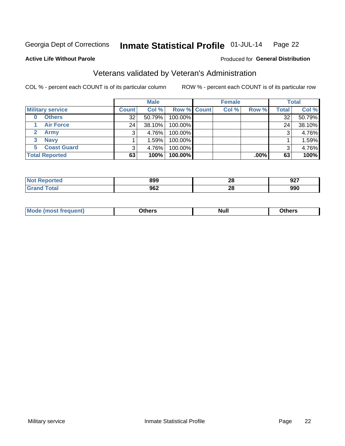#### Inmate Statistical Profile 01-JUL-14 Page 22

#### **Active Life Without Parole**

#### Produced for General Distribution

### Veterans validated by Veteran's Administration

COL % - percent each COUNT is of its particular column

|                          |                 | <b>Male</b> |                    | <b>Female</b> |         |              | <b>Total</b> |
|--------------------------|-----------------|-------------|--------------------|---------------|---------|--------------|--------------|
| <b>Military service</b>  | <b>Count</b>    | Col %       | <b>Row % Count</b> | Col %         | Row %   | <b>Total</b> | Col %        |
| <b>Others</b><br>0       | 32 <sub>1</sub> | 50.79%      | 100.00%            |               |         | 32           | 50.79%       |
| <b>Air Force</b>         | 24              | 38.10%      | 100.00%            |               |         | 24           | 38.10%       |
| <b>Army</b>              |                 | 4.76%       | 100.00%            |               |         | 3            | 4.76%        |
| <b>Navy</b><br>3         |                 | 1.59%       | 100.00%            |               |         |              | 1.59%        |
| <b>Coast Guard</b><br>5. | 3               | 4.76%       | 100.00%            |               |         | 3            | 4.76%        |
| <b>Total Reported</b>    | 63              | 100%        | 100.00%            |               | $.00\%$ | 63           | 100%         |

| rteo                               | 899         | ኅር<br>ZO | 027<br>JLI |
|------------------------------------|-------------|----------|------------|
| $C_{\mathbf{a}}$ is a $\mathbf{a}$ | 962<br>$ -$ | ጣ<br>zo  | 990        |

| Mo<br><b>Null</b><br>วthers<br>____<br>____ |
|---------------------------------------------|
|---------------------------------------------|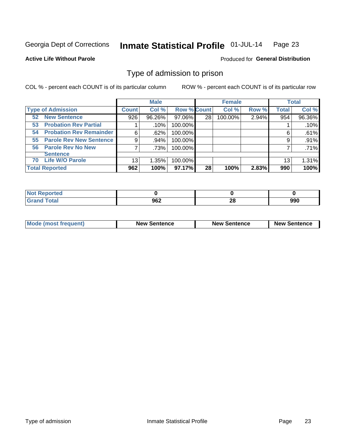#### Inmate Statistical Profile 01-JUL-14 Page 23

**Active Life Without Parole** 

**Produced for General Distribution** 

### Type of admission to prison

COL % - percent each COUNT is of its particular column

|                                      |              | <b>Male</b> |                    |    | <b>Female</b> |       |              | <b>Total</b> |
|--------------------------------------|--------------|-------------|--------------------|----|---------------|-------|--------------|--------------|
| <b>Type of Admission</b>             | <b>Count</b> | Col %       | <b>Row % Count</b> |    | Col %         | Row % | <b>Total</b> | Col %        |
| <b>New Sentence</b><br>52            | 926          | 96.26%      | 97.06%             | 28 | 100.00%       | 2.94% | 954          | 96.36%       |
| <b>Probation Rev Partial</b><br>53   |              | .10%        | 100.00%            |    |               |       |              | .10%         |
| <b>Probation Rev Remainder</b><br>54 | 6            | .62%        | 100.00%            |    |               |       | 6            | .61%         |
| <b>Parole Rev New Sentence</b><br>55 | 9            | .94%        | 100.00%            |    |               |       | 9            | .91%         |
| 56 Parole Rev No New                 |              | .73%        | 100.00%            |    |               |       |              | .71%         |
| <b>Sentence</b>                      |              |             |                    |    |               |       |              |              |
| <b>Life W/O Parole</b><br>70         | 13           | 1.35%       | 100.00%            |    |               |       | 13           | 1.31%        |
| <b>Total Reported</b>                | 962          | 100%        | 97.17%             | 28 | 100%          | 2.83% | 990          | 100%         |

| oorted<br>N.<br>. |      |     |     |
|-------------------|------|-----|-----|
| <b>Total</b>      | ne 2 | ne. | 990 |
| $\sim$            | JUZ  | ZС  |     |

| <b>Mode (most frequent)</b> | <b>New Sentence</b> | <b>New Sentence</b> | <b>New Sentence</b> |
|-----------------------------|---------------------|---------------------|---------------------|
|                             |                     |                     |                     |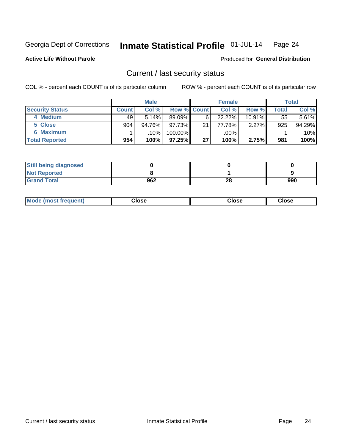#### Inmate Statistical Profile 01-JUL-14 Page 24

**Active Life Without Parole** 

#### **Produced for General Distribution**

### Current / last security status

COL % - percent each COUNT is of its particular column

|                        |         | <b>Male</b> |                    |                 | <b>Female</b> |           |       | <b>Total</b> |
|------------------------|---------|-------------|--------------------|-----------------|---------------|-----------|-------|--------------|
| <b>Security Status</b> | Count l | Col %       | <b>Row % Count</b> |                 | Col %         | Row %     | Total | Col %        |
| 4 Medium               | 49      | 5.14%       | 89.09%             | 6               | 22.22%        | $10.91\%$ | 55    | $5.61\%$     |
| 5 Close                | 904     | 94.76%      | 97.73%             | 21 <sub>1</sub> | 77.78%        | 2.27%     | 925   | 94.29%       |
| 6 Maximum              |         | .10%        | 100.00%            |                 | .00%          |           |       | $.10\%$      |
| <b>Total Reported</b>  | 954     | 100%        | 97.25%             | 27              | 100%          | 2.75%     | 981   | 100%         |

| <b>Still being diagnosed</b> |     |    |     |
|------------------------------|-----|----|-----|
| <b>Not Reported</b>          |     |    |     |
| <b>Grand Total</b>           | 962 | 28 | 990 |

| <b>Mode (most frequent)</b> | Close | Close | Close |
|-----------------------------|-------|-------|-------|
|                             |       |       |       |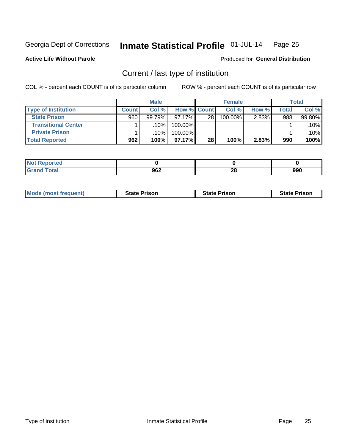#### Inmate Statistical Profile 01-JUL-14 Page 25

**Active Life Without Parole** 

Produced for General Distribution

### Current / last type of institution

COL % - percent each COUNT is of its particular column

|                            |              | <b>Male</b> |                    |                 | <b>Female</b> |       |       | <b>Total</b> |
|----------------------------|--------------|-------------|--------------------|-----------------|---------------|-------|-------|--------------|
| <b>Type of Institution</b> | <b>Count</b> | Col %       | <b>Row % Count</b> |                 | Col %         | Row % | Total | Col %        |
| <b>State Prison</b>        | 960          | 99.79%      | $97.17\%$          | 28 <sub>1</sub> | 100.00%       | 2.83% | 988   | 99.80%       |
| <b>Transitional Center</b> |              | .10%        | 100.00%            |                 |               |       |       | $.10\%$      |
| <b>Private Prison</b>      |              | .10%        | 100.00%            |                 |               |       |       | $.10\%$      |
| <b>Total Reported</b>      | 962          | 100%        | $97.17\%$          | 28              | 100%          | 2.83% | 990   | 100%         |

| ported<br>n a        |     |           |     |
|----------------------|-----|-----------|-----|
| $\sim$ $\sim$ $\sim$ | 962 | oc.<br>ZO | 990 |

| <b>Mode (most frequent)</b> | <b>State Prison</b> | <b>State Prison</b> | <b>State Prison</b> |
|-----------------------------|---------------------|---------------------|---------------------|
|                             |                     |                     |                     |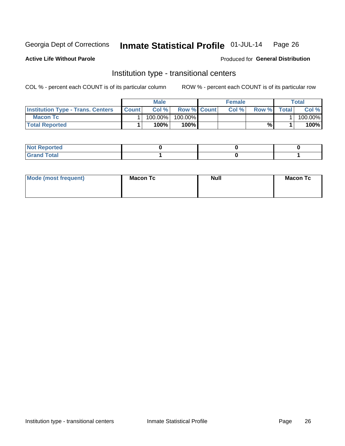#### Inmate Statistical Profile 01-JUL-14 Page 26

**Active Life Without Parole** 

#### Produced for General Distribution

### Institution type - transitional centers

COL % - percent each COUNT is of its particular column

|                                          |              | Male    |                    | <b>Female</b> |       |              | Total   |
|------------------------------------------|--------------|---------|--------------------|---------------|-------|--------------|---------|
| <b>Institution Type - Trans. Centers</b> | <b>Count</b> | Col%    | <b>Row % Count</b> | Col%          | Row % | <b>Total</b> | Col %   |
| <b>Macon Tc</b>                          |              | 100.00% | 100.00%            |               |       |              | 100.00% |
| <b>Total Reported</b>                    |              | $100\%$ | 100%               |               | %     |              | 100%    |

| <b>Not Reported</b> |  |  |
|---------------------|--|--|
| int<br>i vtal       |  |  |

| Mode (most frequent) | <b>Macon Tc</b> | <b>Null</b> | <b>Macon Tc</b> |
|----------------------|-----------------|-------------|-----------------|
|                      |                 |             |                 |
|                      |                 |             |                 |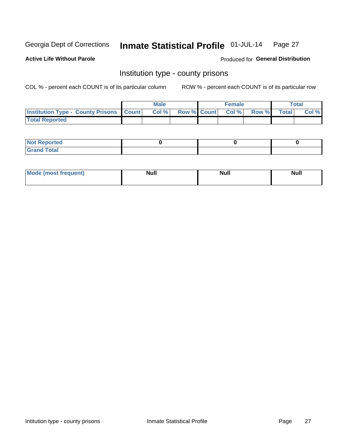#### Inmate Statistical Profile 01-JUL-14 Page 27

**Active Life Without Parole** 

**Produced for General Distribution** 

### Institution type - county prisons

COL % - percent each COUNT is of its particular column

|                                                    | <b>Male</b> |       |  | <b>Female</b> |                          |             | <b>Total</b> |       |
|----------------------------------------------------|-------------|-------|--|---------------|--------------------------|-------------|--------------|-------|
| <b>Institution Type - County Prisons   Count  </b> |             | Col % |  |               | <b>Row % Count Col %</b> | Row % Total |              | Col % |
| <b>Total Reported</b>                              |             |       |  |               |                          |             |              |       |

| <b>Not Reported</b>         |  |  |
|-----------------------------|--|--|
| <b>Total</b><br>-<br>______ |  |  |

| <b>Mode</b>      | <b>Null</b> | <b>Null</b> | <b>Null</b> |
|------------------|-------------|-------------|-------------|
| (most freauent). |             |             |             |
|                  |             |             |             |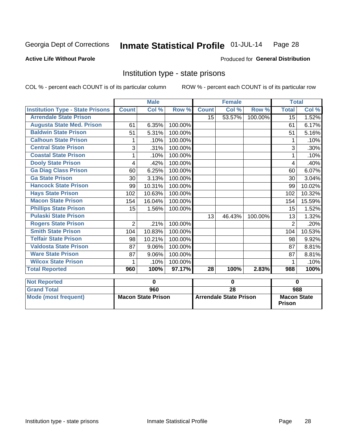#### Inmate Statistical Profile 01-JUL-14 Page 28

#### **Active Life Without Parole**

#### **Produced for General Distribution**

### Institution type - state prisons

COL % - percent each COUNT is of its particular column

ROW % - percent each COUNT is of its particular row

|                                         |                | <b>Male</b>               |         |                               | <b>Female</b>             |         | <b>Total</b>       |        |  |
|-----------------------------------------|----------------|---------------------------|---------|-------------------------------|---------------------------|---------|--------------------|--------|--|
| <b>Institution Type - State Prisons</b> | <b>Count</b>   | Col %                     | Row %   | <b>Count</b>                  | $\overline{\text{Col}}$ % | Row %   | <b>Total</b>       | Col %  |  |
| <b>Arrendale State Prison</b>           |                |                           |         | 15                            | 53.57%                    | 100.00% | 15                 | 1.52%  |  |
| <b>Augusta State Med. Prison</b>        | 61             | 6.35%                     | 100.00% |                               |                           |         | 61                 | 6.17%  |  |
| <b>Baldwin State Prison</b>             | 51             | 5.31%                     | 100.00% |                               |                           |         | 51                 | 5.16%  |  |
| <b>Calhoun State Prison</b>             | 1              | .10%                      | 100.00% |                               |                           |         | 1                  | .10%   |  |
| <b>Central State Prison</b>             | 3              | .31%                      | 100.00% |                               |                           |         | 3                  | .30%   |  |
| <b>Coastal State Prison</b>             |                | .10%                      | 100.00% |                               |                           |         |                    | .10%   |  |
| <b>Dooly State Prison</b>               | 4              | .42%                      | 100.00% |                               |                           |         | 4                  | .40%   |  |
| <b>Ga Diag Class Prison</b>             | 60             | 6.25%                     | 100.00% |                               |                           |         | 60                 | 6.07%  |  |
| <b>Ga State Prison</b>                  | 30             | 3.13%                     | 100.00% |                               |                           |         | 30                 | 3.04%  |  |
| <b>Hancock State Prison</b>             | 99             | 10.31%                    | 100.00% |                               |                           |         | 99                 | 10.02% |  |
| <b>Hays State Prison</b>                | 102            | 10.63%                    | 100.00% |                               |                           |         | 102                | 10.32% |  |
| <b>Macon State Prison</b>               | 154            | 16.04%                    | 100.00% |                               |                           |         | 154                | 15.59% |  |
| <b>Phillips State Prison</b>            | 15             | 1.56%                     | 100.00% |                               |                           |         | 15                 | 1.52%  |  |
| <b>Pulaski State Prison</b>             |                |                           |         | 13                            | 46.43%                    | 100.00% | 13                 | 1.32%  |  |
| <b>Rogers State Prison</b>              | $\overline{2}$ | .21%                      | 100.00% |                               |                           |         | $\overline{2}$     | .20%   |  |
| <b>Smith State Prison</b>               | 104            | 10.83%                    | 100.00% |                               |                           |         | 104                | 10.53% |  |
| <b>Telfair State Prison</b>             | 98             | 10.21%                    | 100.00% |                               |                           |         | 98                 | 9.92%  |  |
| <b>Valdosta State Prison</b>            | 87             | 9.06%                     | 100.00% |                               |                           |         | 87                 | 8.81%  |  |
| <b>Ware State Prison</b>                | 87             | 9.06%                     | 100.00% |                               |                           |         | 87                 | 8.81%  |  |
| <b>Wilcox State Prison</b>              | 1              | .10%                      | 100.00% |                               |                           |         | 1                  | .10%   |  |
| <b>Total Reported</b>                   | 960            | 100%                      | 97.17%  | 28                            | 100%                      | 2.83%   | 988                | 100%   |  |
| <b>Not Reported</b>                     |                | 0                         |         | $\bf{0}$                      |                           |         | $\bf{0}$           |        |  |
| <b>Grand Total</b>                      |                | 960                       |         |                               | $\overline{28}$           |         |                    | 988    |  |
| <b>Mode (most frequent)</b>             |                | <b>Macon State Prison</b> |         | <b>Arrendale State Prison</b> |                           |         | <b>Macon State</b> |        |  |

Prison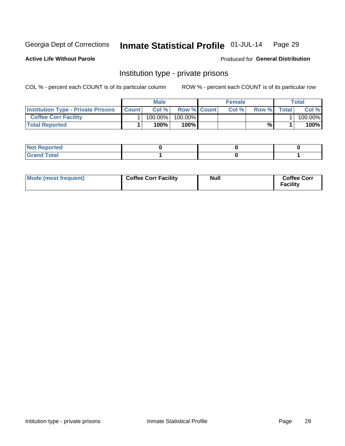#### Inmate Statistical Profile 01-JUL-14 Page 29

**Active Life Without Parole** 

Produced for General Distribution

### Institution type - private prisons

COL % - percent each COUNT is of its particular column

|                                           | <b>Male</b>  |         |                    | <b>Female</b> |       |       | Total |         |
|-------------------------------------------|--------------|---------|--------------------|---------------|-------|-------|-------|---------|
| <b>Institution Type - Private Prisons</b> | <b>Count</b> | Col%    | <b>Row % Count</b> |               | Col % | Row % | Total | Col %   |
| <b>Coffee Corr Facility</b>               |              | 100.00% | 100.00%            |               |       |       |       | 100.00% |
| <b>Total Reported</b>                     |              | $100\%$ | $100\%$            |               |       | %\    |       | 100%    |

| Not Reported |  |  |
|--------------|--|--|
|              |  |  |

| Mode (most frequent) | <b>Coffee Corr Facility</b> | <b>Null</b> | <b>Coffee Corr</b><br><b>Facility</b> |
|----------------------|-----------------------------|-------------|---------------------------------------|
|----------------------|-----------------------------|-------------|---------------------------------------|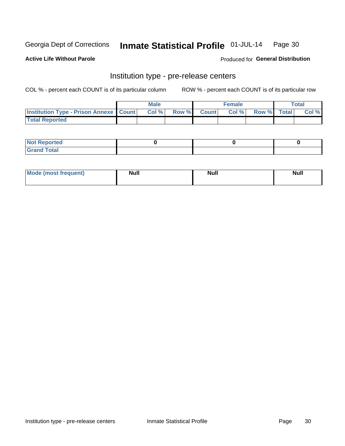#### Inmate Statistical Profile 01-JUL-14 Page 30

**Active Life Without Parole** 

**Produced for General Distribution** 

## Institution type - pre-release centers

COL % - percent each COUNT is of its particular column

|                                                   | <b>Male</b> |       |  |             | <b>Female</b> | <b>Total</b> |  |       |
|---------------------------------------------------|-------------|-------|--|-------------|---------------|--------------|--|-------|
| <b>Institution Type - Prison Annexe   Count  </b> |             | Col % |  | Row % Count | Col %         | Row % Total  |  | Col % |
| <b>Total Reported</b>                             |             |       |  |             |               |              |  |       |

| <b>Reported</b><br>I NOT |  |  |
|--------------------------|--|--|
| <b>Total</b><br>$C$ ren  |  |  |

| $^{\circ}$ Mo<br>frequent)<br>⊥(most | <b>Null</b> | Noll<br><b>vull</b> | <b>Null</b> |
|--------------------------------------|-------------|---------------------|-------------|
|                                      |             |                     |             |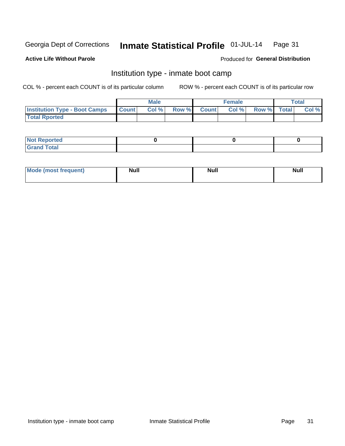#### Inmate Statistical Profile 01-JUL-14 Page 31

#### **Active Life Without Parole**

#### Produced for General Distribution

### Institution type - inmate boot camp

COL % - percent each COUNT is of its particular column

|                                      | <b>Male</b>      |       |              | <b>Female</b> |       |             | <b>Total</b> |       |
|--------------------------------------|------------------|-------|--------------|---------------|-------|-------------|--------------|-------|
| <b>Institution Type - Boot Camps</b> | <b>I</b> Count I | Col % | <b>Row %</b> | <b>Count</b>  | Col % | Row % Total |              | Col % |
| <b>Total Rported</b>                 |                  |       |              |               |       |             |              |       |

| <b>Not Reported</b> |  |  |
|---------------------|--|--|
| <b>Total</b><br>Cro |  |  |

| <b>I Mode (most frequent)</b> | <b>Null</b> | <b>Null</b> | <b>Null</b> |
|-------------------------------|-------------|-------------|-------------|
|                               |             |             |             |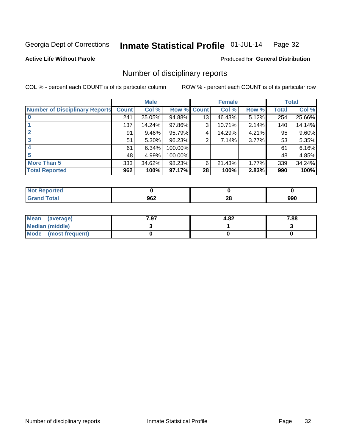#### Inmate Statistical Profile 01-JUL-14 Page 32

**Active Life Without Parole** 

Produced for General Distribution

### Number of disciplinary reports

COL % - percent each COUNT is of its particular column

|                                       |              | <b>Male</b> |                    |    | <b>Female</b> |       |       | <b>Total</b> |
|---------------------------------------|--------------|-------------|--------------------|----|---------------|-------|-------|--------------|
| <b>Number of Disciplinary Reports</b> | <b>Count</b> | Col %       | <b>Row % Count</b> |    | Col %         | Row % | Total | Col %        |
|                                       | 241          | 25.05%      | 94.88%             | 13 | 46.43%        | 5.12% | 254   | 25.66%       |
|                                       | 137          | 14.24%      | 97.86%             | 3  | 10.71%        | 2.14% | 140   | 14.14%       |
|                                       | 91           | $9.46\%$    | 95.79%             | 4  | 14.29%        | 4.21% | 95    | 9.60%        |
| 3                                     | 51           | 5.30%       | 96.23%             | 2  | 7.14%         | 3.77% | 53    | 5.35%        |
|                                       | 61           | 6.34%       | 100.00%            |    |               |       | 61    | 6.16%        |
| 5                                     | 48           | 4.99%       | 100.00%            |    |               |       | 48    | 4.85%        |
| <b>More Than 5</b>                    | 333          | 34.62%      | 98.23%             | 6  | 21.43%        | 1.77% | 339   | 34.24%       |
| <b>Total Reported</b>                 | 962          | 100%        | 97.17%             | 28 | 100%          | 2.83% | 990   | 100%         |

| Reported<br>NOT F |     |               |     |
|-------------------|-----|---------------|-----|
| <sup>-</sup> otal | 962 | ഹ<br>40<br>__ | 990 |

| Mean (average)       | 7.97 | 4.82 | 7.88 |
|----------------------|------|------|------|
| Median (middle)      |      |      |      |
| Mode (most frequent) |      |      |      |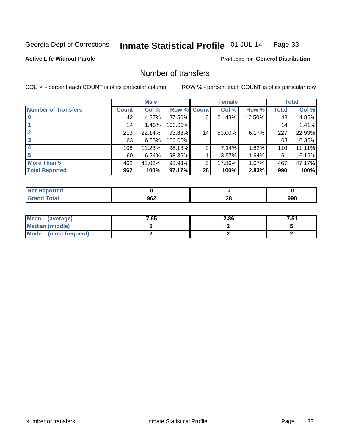#### Inmate Statistical Profile 01-JUL-14 Page 33

#### **Active Life Without Parole**

#### **Produced for General Distribution**

### Number of transfers

COL % - percent each COUNT is of its particular column

|                            |         | <b>Male</b> |         |                | <b>Female</b> |        |              | <b>Total</b> |
|----------------------------|---------|-------------|---------|----------------|---------------|--------|--------------|--------------|
| <b>Number of Transfers</b> | Count l | Col %       | Row %   | <b>Count</b>   | Col %         | Row %  | <b>Total</b> | Col %        |
|                            | 42      | 4.37%       | 87.50%  | 6              | 21.43%        | 12.50% | 48           | 4.85%        |
|                            | 14      | 1.46%       | 100.00% |                |               |        | 14           | 1.41%        |
|                            | 213     | 22.14%      | 93.83%  | 14             | 50.00%        | 6.17%  | 227          | 22.93%       |
| 3                          | 63      | 6.55%       | 100.00% |                |               |        | 63           | 6.36%        |
|                            | 108     | 11.23%      | 98.18%  | $\overline{2}$ | 7.14%         | 1.82%  | 110          | 11.11%       |
| 5                          | 60      | 6.24%       | 98.36%  |                | 3.57%         | 1.64%  | 61           | 6.16%        |
| <b>More Than 5</b>         | 462     | 48.02%      | 98.93%  | 5              | 17.86%        | 1.07%  | 467          | 47.17%       |
| <b>Total Reported</b>      | 962     | 100%        | 97.17%  | 28             | 100%          | 2.83%  | 990          | 100%         |

| prted<br>NOT |     |          |     |
|--------------|-----|----------|-----|
| <b>otal</b>  | 962 | 00<br>ZO | 990 |

| Mean (average)       | 7.65 | 2.86 | 7.51 |
|----------------------|------|------|------|
| Median (middle)      |      |      |      |
| Mode (most frequent) |      |      |      |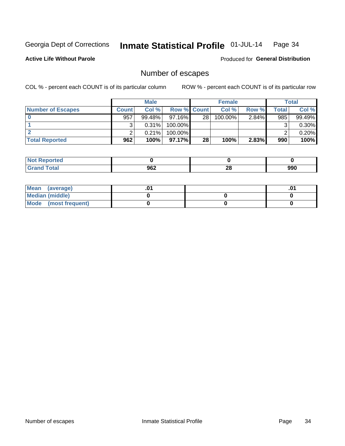#### Inmate Statistical Profile 01-JUL-14 Page 34

#### **Active Life Without Parole**

**Produced for General Distribution** 

### Number of escapes

COL % - percent each COUNT is of its particular column

|                          |              | <b>Male</b> |                    |    | <b>Female</b> |          |       | Total    |
|--------------------------|--------------|-------------|--------------------|----|---------------|----------|-------|----------|
| <b>Number of Escapes</b> | <b>Count</b> | Col%        | <b>Row % Count</b> |    | Col %         | Row %    | Total | Col %    |
|                          | 957          | $99.48\%$   | $97.16\%$          | 28 | $100.00\%$    | $2.84\%$ | 985   | 99.49%   |
|                          |              | 0.31%       | 100.00%            |    |               |          |       | $0.30\%$ |
|                          |              | 0.21%       | 100.00%            |    |               |          |       | 0.20%    |
| <b>Total Reported</b>    | 962          | 100%        | $97.17\%$          | 28 | 100%          | 2.83%    | 990   | 100%     |

| <b>orted</b><br><b>NO</b> t<br>∴keper |     |         |     |
|---------------------------------------|-----|---------|-----|
| <b>Fotal</b><br>Grand                 | 962 | ഹ<br>ZO | 990 |

| Mean (average)       |  | .01 |
|----------------------|--|-----|
| Median (middle)      |  |     |
| Mode (most frequent) |  |     |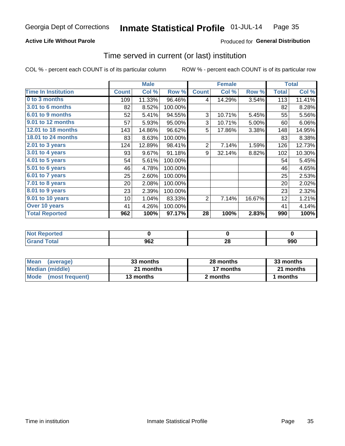#### Inmate Statistical Profile 01-JUL-14 Page 35

#### **Active Life Without Parole**

#### Produced for General Distribution

### Time served in current (or last) institution

COL % - percent each COUNT is of its particular column

|                            |              | <b>Male</b> |         |                | <b>Female</b> |        |              | <b>Total</b> |
|----------------------------|--------------|-------------|---------|----------------|---------------|--------|--------------|--------------|
| <b>Time In Institution</b> | <b>Count</b> | Col %       | Row %   | <b>Count</b>   | Col %         | Row %  | <b>Total</b> | Col %        |
| 0 to 3 months              | 109          | 11.33%      | 96.46%  | 4              | 14.29%        | 3.54%  | 113          | 11.41%       |
| <b>3.01 to 6 months</b>    | 82           | 8.52%       | 100.00% |                |               |        | 82           | 8.28%        |
| 6.01 to 9 months           | 52           | 5.41%       | 94.55%  | 3              | 10.71%        | 5.45%  | 55           | 5.56%        |
| 9.01 to 12 months          | 57           | 5.93%       | 95.00%  | 3              | 10.71%        | 5.00%  | 60           | 6.06%        |
| 12.01 to 18 months         | 143          | 14.86%      | 96.62%  | 5              | 17.86%        | 3.38%  | 148          | 14.95%       |
| <b>18.01 to 24 months</b>  | 83           | 8.63%       | 100.00% |                |               |        | 83           | 8.38%        |
| $2.01$ to 3 years          | 124          | 12.89%      | 98.41%  | $\overline{2}$ | 7.14%         | 1.59%  | 126          | 12.73%       |
| 3.01 to 4 years            | 93           | 9.67%       | 91.18%  | 9              | 32.14%        | 8.82%  | 102          | 10.30%       |
| 4.01 to 5 years            | 54           | 5.61%       | 100.00% |                |               |        | 54           | 5.45%        |
| 5.01 to 6 years            | 46           | 4.78%       | 100.00% |                |               |        | 46           | 4.65%        |
| 6.01 to 7 years            | 25           | 2.60%       | 100.00% |                |               |        | 25           | 2.53%        |
| 7.01 to 8 years            | 20           | 2.08%       | 100.00% |                |               |        | 20           | 2.02%        |
| 8.01 to 9 years            | 23           | 2.39%       | 100.00% |                |               |        | 23           | 2.32%        |
| 9.01 to 10 years           | 10           | 1.04%       | 83.33%  | 2              | 7.14%         | 16.67% | 12           | 1.21%        |
| Over 10 years              | 41           | 4.26%       | 100.00% |                |               |        | 41           | 4.14%        |
| <b>Total Reported</b>      | 962          | 100%        | 97.17%  | 28             | 100%          | 2.83%  | 990          | 100%         |

| <b>Not Reported</b> |             |          |     |
|---------------------|-------------|----------|-----|
| Tota'               | ne o<br>JUZ | ne.<br>Ψ | 990 |

| <b>Mean</b><br>(average) | 33 months | 28 months | 33 months |  |
|--------------------------|-----------|-----------|-----------|--|
| Median (middle)          | 21 months | 17 months | 21 months |  |
| Mode (most frequent)     | 13 months | 2 months  | 1 months  |  |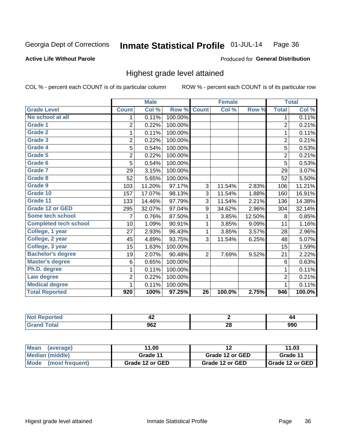#### **Active Life Without Parole**

#### Produced for General Distribution

### Highest grade level attained

COL % - percent each COUNT is of its particular column

|                              |                | <b>Male</b> |         |                | <b>Female</b> |        |                | <b>Total</b> |
|------------------------------|----------------|-------------|---------|----------------|---------------|--------|----------------|--------------|
| <b>Grade Level</b>           | <b>Count</b>   | Col %       | Row %   | <b>Count</b>   | Col %         | Row %  | <b>Total</b>   | Col %        |
| No school at all             | 1              | 0.11%       | 100.00% |                |               |        | 1              | 0.11%        |
| Grade 1                      | $\overline{2}$ | 0.22%       | 100.00% |                |               |        | $\overline{2}$ | 0.21%        |
| Grade 2                      | 1              | 0.11%       | 100.00% |                |               |        | 1              | 0.11%        |
| Grade 3                      | $\overline{2}$ | 0.22%       | 100.00% |                |               |        | $\overline{c}$ | 0.21%        |
| <b>Grade 4</b>               | 5              | 0.54%       | 100.00% |                |               |        | 5              | 0.53%        |
| Grade 5                      | $\overline{2}$ | 0.22%       | 100.00% |                |               |        | $\overline{2}$ | 0.21%        |
| Grade 6                      | 5              | 0.54%       | 100.00% |                |               |        | $\overline{5}$ | 0.53%        |
| <b>Grade 7</b>               | 29             | 3.15%       | 100.00% |                |               |        | 29             | 3.07%        |
| Grade 8                      | 52             | 5.65%       | 100.00% |                |               |        | 52             | 5.50%        |
| Grade 9                      | 103            | 11.20%      | 97.17%  | 3              | 11.54%        | 2.83%  | 106            | 11.21%       |
| Grade 10                     | 157            | 17.07%      | 98.13%  | 3              | 11.54%        | 1.88%  | 160            | 16.91%       |
| Grade 11                     | 133            | 14.46%      | 97.79%  | 3              | 11.54%        | 2.21%  | 136            | 14.38%       |
| <b>Grade 12 or GED</b>       | 295            | 32.07%      | 97.04%  | 9              | 34.62%        | 2.96%  | 304            | 32.14%       |
| <b>Some tech school</b>      | $\overline{7}$ | 0.76%       | 87.50%  | 1              | 3.85%         | 12.50% | 8              | 0.85%        |
| <b>Completed tech school</b> | 10             | 1.09%       | 90.91%  | 1              | 3.85%         | 9.09%  | 11             | 1.16%        |
| College, 1 year              | 27             | 2.93%       | 96.43%  | 1              | 3.85%         | 3.57%  | 28             | 2.96%        |
| College, 2 year              | 45             | 4.89%       | 93.75%  | 3              | 11.54%        | 6.25%  | 48             | 5.07%        |
| College, 3 year              | 15             | 1.63%       | 100.00% |                |               |        | 15             | 1.59%        |
| <b>Bachelor's degree</b>     | 19             | 2.07%       | 90.48%  | $\overline{2}$ | 7.69%         | 9.52%  | 21             | 2.22%        |
| <b>Master's degree</b>       | 6              | 0.65%       | 100.00% |                |               |        | 6              | 0.63%        |
| Ph.D. degree                 | 1              | 0.11%       | 100.00% |                |               |        | 1              | 0.11%        |
| Law degree                   | $\overline{2}$ | 0.22%       | 100.00% |                |               |        | $\overline{2}$ | 0.21%        |
| <b>Medical degree</b>        |                | 0.11%       | 100.00% |                |               |        | 1              | 0.11%        |
| <b>Total Reported</b>        | 920            | 100%        | 97.25%  | 26             | 100.0%        | 2.75%  | 946            | 100.0%       |

|                       | ╍         |          | 44  |
|-----------------------|-----------|----------|-----|
| $\sim$<br>$\sim$<br>. | ner<br>אט | ኅረ<br>Ζu | 990 |

| <b>Mean</b><br>(average)       | 11.00<br>12     |                 | 11.03           |
|--------------------------------|-----------------|-----------------|-----------------|
| <b>Median (middle)</b>         | Grade 11        | Grade 12 or GED | Grade 11        |
| <b>Mode</b><br>(most frequent) | Grade 12 or GED | Grade 12 or GED | Grade 12 or GED |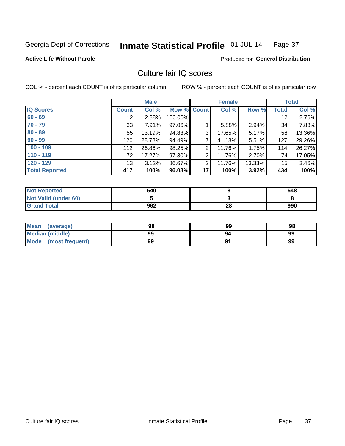#### Inmate Statistical Profile 01-JUL-14 Page 37

**Active Life Without Parole** 

Produced for General Distribution

## Culture fair IQ scores

COL % - percent each COUNT is of its particular column

|                       |                 | <b>Male</b> |                    |                | <b>Female</b> |        |              | <b>Total</b> |
|-----------------------|-----------------|-------------|--------------------|----------------|---------------|--------|--------------|--------------|
| <b>IQ Scores</b>      | <b>Count</b>    | Col %       | <b>Row % Count</b> |                | Col %         | Row %  | <b>Total</b> | Col %        |
| $60 - 69$             | 12 <sup>°</sup> | 2.88%       | 100.00%            |                |               |        | 12           | 2.76%        |
| $70 - 79$             | 33              | 7.91%       | 97.06%             |                | 5.88%         | 2.94%  | 34           | 7.83%        |
| $80 - 89$             | 55              | 13.19%      | 94.83%             | 3              | 17.65%        | 5.17%  | 58           | 13.36%       |
| $90 - 99$             | 120             | 28.78%      | 94.49%             | 7              | 41.18%        | 5.51%  | 127          | 29.26%       |
| $100 - 109$           | 112             | 26.86%      | 98.25%             | 2              | 11.76%        | 1.75%  | 114          | 26.27%       |
| $110 - 119$           | 72              | 17.27%      | 97.30%             | $\overline{2}$ | 11.76%        | 2.70%  | 74           | 17.05%       |
| $120 - 129$           | 13              | 3.12%       | 86.67%             | $\overline{2}$ | 11.76%        | 13.33% | 15           | 3.46%        |
| <b>Total Reported</b> | 417             | 100%        | 96.08%             | 17             | 100%          | 3.92%  | 434          | 100%         |

| <b>Not Reported</b>         | 540 |    | 548 |
|-----------------------------|-----|----|-----|
| <b>Not Valid (under 60)</b> |     |    |     |
| <b>Grand Total</b>          | 962 | 28 | 990 |

| <b>Mean</b><br>(average) | 98 | 99 | 98 |
|--------------------------|----|----|----|
| <b>Median (middle)</b>   | 99 | 94 | 99 |
| Mode<br>(most frequent)  | 99 |    | 99 |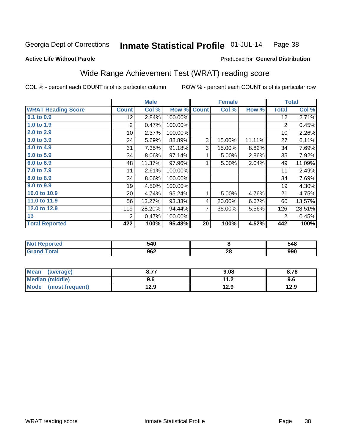#### Inmate Statistical Profile 01-JUL-14 Page 38

Produced for General Distribution

### **Active Life Without Parole**

## Wide Range Achievement Test (WRAT) reading score

COL % - percent each COUNT is of its particular column

|                           |                 | <b>Male</b> |         |              | <b>Female</b> |        |              | <b>Total</b> |
|---------------------------|-----------------|-------------|---------|--------------|---------------|--------|--------------|--------------|
| <b>WRAT Reading Score</b> | <b>Count</b>    | Col %       | Row %   | <b>Count</b> | Col %         | Row %  | <b>Total</b> | Col %        |
| $0.1$ to $0.9$            | 12 <sub>2</sub> | 2.84%       | 100.00% |              |               |        | 12           | 2.71%        |
| 1.0 to 1.9                | $\overline{2}$  | 0.47%       | 100.00% |              |               |        | 2            | 0.45%        |
| 2.0 to 2.9                | 10 <sup>1</sup> | 2.37%       | 100.00% |              |               |        | 10           | 2.26%        |
| 3.0 to 3.9                | 24              | 5.69%       | 88.89%  | 3            | 15.00%        | 11.11% | 27           | 6.11%        |
| 4.0 to 4.9                | 31              | 7.35%       | 91.18%  | 3            | 15.00%        | 8.82%  | 34           | 7.69%        |
| 5.0 to 5.9                | 34              | $8.06\%$    | 97.14%  | 1            | 5.00%         | 2.86%  | 35           | 7.92%        |
| 6.0 to 6.9                | 48              | 11.37%      | 97.96%  | 1            | 5.00%         | 2.04%  | 49           | 11.09%       |
| 7.0 to 7.9                | 11              | 2.61%       | 100.00% |              |               |        | 11           | 2.49%        |
| 8.0 to 8.9                | 34              | 8.06%       | 100.00% |              |               |        | 34           | 7.69%        |
| 9.0 to 9.9                | 19              | 4.50%       | 100.00% |              |               |        | 19           | 4.30%        |
| 10.0 to 10.9              | 20 <sup>2</sup> | 4.74%       | 95.24%  | 1            | 5.00%         | 4.76%  | 21           | 4.75%        |
| 11.0 to 11.9              | 56              | 13.27%      | 93.33%  | 4            | 20.00%        | 6.67%  | 60           | 13.57%       |
| 12.0 to 12.9              | 119             | 28.20%      | 94.44%  | 7            | 35.00%        | 5.56%  | 126          | 28.51%       |
| 13                        | 2               | 0.47%       | 100.00% |              |               |        | 2            | 0.45%        |
| <b>Total Reported</b>     | 422             | 100%        | 95.48%  | 20           | 100%          | 4.52%  | 442          | 100%         |

| <b>Not Reported</b>          | 540 |    | 548 |
|------------------------------|-----|----|-----|
| <b>Total</b><br><b>Grand</b> | 962 | 28 | 990 |

| Mean (average)                 | דד מ<br>0.11 | 9.08 | 8.78 |
|--------------------------------|--------------|------|------|
| <b>Median (middle)</b>         | 9.6          | 11.2 | 9.6  |
| <b>Mode</b><br>(most frequent) | 12.9         | 12.9 | 12.9 |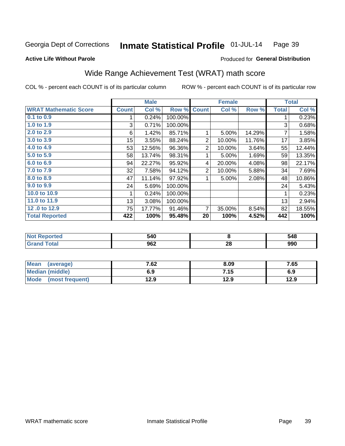#### Inmate Statistical Profile 01-JUL-14 Page 39

Produced for General Distribution

## **Active Life Without Parole**

# Wide Range Achievement Test (WRAT) math score

COL % - percent each COUNT is of its particular column

|                              |                 | <b>Male</b> |         |              | <b>Female</b> |        |              | <b>Total</b> |
|------------------------------|-----------------|-------------|---------|--------------|---------------|--------|--------------|--------------|
| <b>WRAT Mathematic Score</b> | <b>Count</b>    | Col %       | Row %   | <b>Count</b> | Col %         | Row %  | <b>Total</b> | Col %        |
| 0.1 to 0.9                   |                 | 0.24%       | 100.00% |              |               |        |              | 0.23%        |
| 1.0 to 1.9                   | 3               | 0.71%       | 100.00% |              |               |        | 3            | 0.68%        |
| 2.0 to 2.9                   | 6               | 1.42%       | 85.71%  |              | 5.00%         | 14.29% | 7            | 1.58%        |
| 3.0 to 3.9                   | 15 <sub>1</sub> | 3.55%       | 88.24%  | 2            | 10.00%        | 11.76% | 17           | 3.85%        |
| 4.0 to 4.9                   | 53              | 12.56%      | 96.36%  | 2            | 10.00%        | 3.64%  | 55           | 12.44%       |
| 5.0 to 5.9                   | 58              | 13.74%      | 98.31%  |              | 5.00%         | 1.69%  | 59           | 13.35%       |
| 6.0 to 6.9                   | 94              | 22.27%      | 95.92%  | 4            | 20.00%        | 4.08%  | 98           | 22.17%       |
| 7.0 to 7.9                   | 32              | 7.58%       | 94.12%  | 2            | 10.00%        | 5.88%  | 34           | 7.69%        |
| 8.0 to 8.9                   | 47              | 11.14%      | 97.92%  |              | 5.00%         | 2.08%  | 48           | 10.86%       |
| 9.0 to 9.9                   | 24              | 5.69%       | 100.00% |              |               |        | 24           | 5.43%        |
| 10.0 to 10.9                 |                 | 0.24%       | 100.00% |              |               |        | 1            | 0.23%        |
| 11.0 to 11.9                 | 13              | 3.08%       | 100.00% |              |               |        | 13           | 2.94%        |
| 12.0 to 12.9                 | 75              | 17.77%      | 91.46%  | 7            | 35.00%        | 8.54%  | 82           | 18.55%       |
| <b>Total Reported</b>        | 422             | 100%        | 95.48%  | 20           | 100%          | 4.52%  | 442          | 100%         |

| 40د<br>$ -$ |         | 548        |
|-------------|---------|------------|
| 962         | ഹ<br>ZO | o۵n<br>フフリ |

| <b>Mean</b><br>(average) | 7.62 | 8.09 | 7.65 |
|--------------------------|------|------|------|
| Median (middle)          | 6.9  | 7.15 | 6.9  |
| Mode (most frequent)     | 12.9 | 12.9 | 12.9 |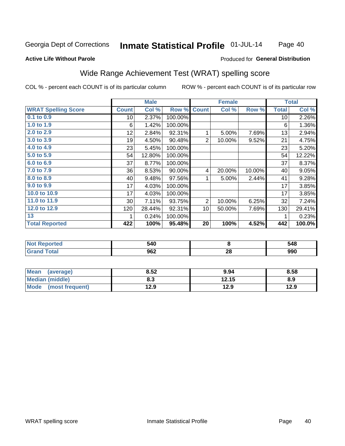#### Inmate Statistical Profile 01-JUL-14 Page 40

### **Active Life Without Parole**

### Produced for General Distribution

## Wide Range Achievement Test (WRAT) spelling score

COL % - percent each COUNT is of its particular column

|                            |                 | <b>Male</b> |         |                 | <b>Female</b> |        |              | <b>Total</b> |
|----------------------------|-----------------|-------------|---------|-----------------|---------------|--------|--------------|--------------|
| <b>WRAT Spelling Score</b> | <b>Count</b>    | Col %       | Row %   | <b>Count</b>    | Col %         | Row %  | <b>Total</b> | Col %        |
| $0.1$ to $0.9$             | 10 <sup>1</sup> | 2.37%       | 100.00% |                 |               |        | 10           | 2.26%        |
| 1.0 to 1.9                 | 6               | 1.42%       | 100.00% |                 |               |        | 6            | 1.36%        |
| 2.0 to 2.9                 | 12              | 2.84%       | 92.31%  | 1               | 5.00%         | 7.69%  | 13           | 2.94%        |
| 3.0 to 3.9                 | 19              | 4.50%       | 90.48%  | $\overline{2}$  | 10.00%        | 9.52%  | 21           | 4.75%        |
| 4.0 to 4.9                 | 23              | 5.45%       | 100.00% |                 |               |        | 23           | 5.20%        |
| 5.0 to 5.9                 | 54              | 12.80%      | 100.00% |                 |               |        | 54           | 12.22%       |
| 6.0 to 6.9                 | 37              | 8.77%       | 100.00% |                 |               |        | 37           | 8.37%        |
| 7.0 to 7.9                 | 36              | 8.53%       | 90.00%  | 4               | 20.00%        | 10.00% | 40           | 9.05%        |
| 8.0 to 8.9                 | 40              | 9.48%       | 97.56%  | 1               | 5.00%         | 2.44%  | 41           | 9.28%        |
| 9.0 to 9.9                 | 17              | 4.03%       | 100.00% |                 |               |        | 17           | 3.85%        |
| 10.0 to 10.9               | 17              | 4.03%       | 100.00% |                 |               |        | 17           | 3.85%        |
| 11.0 to 11.9               | $30$            | 7.11%       | 93.75%  | $\overline{2}$  | 10.00%        | 6.25%  | 32           | 7.24%        |
| 12.0 to 12.9               | 120             | 28.44%      | 92.31%  | 10 <sup>1</sup> | 50.00%        | 7.69%  | 130          | 29.41%       |
| 13                         |                 | 0.24%       | 100.00% |                 |               |        | 1            | 0.23%        |
| <b>Total Reported</b>      | 422             | 100%        | 95.48%  | 20              | 100%          | 4.52%  | 442          | 100.0%       |
|                            |                 |             |         |                 |               |        |              |              |
| Not Penerted               |                 | 510         |         |                 | $\Omega$      |        |              | 548          |

| онео | 540 |    | 548 |
|------|-----|----|-----|
|      | 962 | 28 | シフリ |
|      |     |    |     |

| <b>Mean</b><br>(average) | 8.52 | 9.94  | 8.58 |
|--------------------------|------|-------|------|
| Median (middle)          | 8.3  | 12.15 | 8.9  |
| Mode<br>(most frequent)  | 12.9 | 12.9  | 12.9 |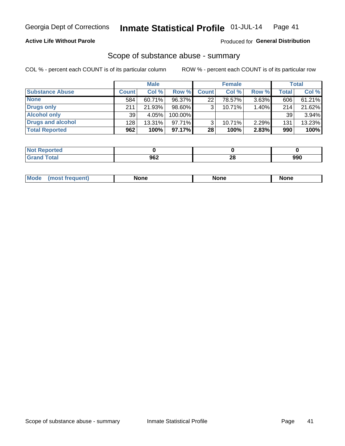## **Active Life Without Parole**

### Produced for General Distribution

## Scope of substance abuse - summary

COL % - percent each COUNT is of its particular column

|                        |              | <b>Male</b> |           |              | <b>Female</b> |          |              | <b>Total</b> |
|------------------------|--------------|-------------|-----------|--------------|---------------|----------|--------------|--------------|
| <b>Substance Abuse</b> | <b>Count</b> | Col %       | Row %     | <b>Count</b> | Col %         | Row %    | <b>Total</b> | Col %        |
| <b>None</b>            | 584          | $60.71\%$   | 96.37%    | 22           | 78.57%        | $3.63\%$ | 606          | 61.21%       |
| <b>Drugs only</b>      | 211          | 21.93%      | 98.60%    |              | 10.71%        | 1.40%    | 214          | 21.62%       |
| <b>Alcohol only</b>    | 39           | 4.05%       | 100.00%   |              |               |          | 39           | 3.94%        |
| Drugs and alcohol      | 128          | $13.31\%$   | $97.71\%$ |              | 10.71%        | 2.29%    | 131          | 13.23%       |
| <b>Total Reported</b>  | 962          | 100%        | 97.17%    | 28           | 100%          | 2.83%    | 990          | 100%         |

| <b>Not</b><br>Reported |     |    |     |
|------------------------|-----|----|-----|
| <b>Total</b>           | 962 | 00 | റററ |
| <b>Grand</b>           |     | 40 | ນນບ |

| nuem | <b>Mo</b> | None | <b>None</b> | None |
|------|-----------|------|-------------|------|
|------|-----------|------|-------------|------|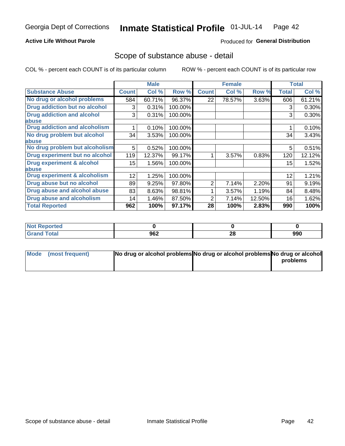## **Active Life Without Parole**

### Produced for General Distribution

## Scope of substance abuse - detail

COL % - percent each COUNT is of its particular column

|                                      |                 | <b>Male</b> |         |              | <b>Female</b> |        |       | <b>Total</b> |
|--------------------------------------|-----------------|-------------|---------|--------------|---------------|--------|-------|--------------|
| <b>Substance Abuse</b>               | <b>Count</b>    | Col %       | Row %   | <b>Count</b> | Col %         | Row %  | Total | Col %        |
| No drug or alcohol problems          | 584             | 60.71%      | 96.37%  | 22           | 78.57%        | 3.63%  | 606   | 61.21%       |
| Drug addiction but no alcohol        | 3               | 0.31%       | 100.00% |              |               |        | 3     | 0.30%        |
| <b>Drug addiction and alcohol</b>    | 3               | 0.31%       | 100.00% |              |               |        | 3     | 0.30%        |
| abuse                                |                 |             |         |              |               |        |       |              |
| <b>Drug addiction and alcoholism</b> |                 | 0.10%       | 100.00% |              |               |        |       | 0.10%        |
| No drug problem but alcohol          | 34              | 3.53%       | 100.00% |              |               |        | 34    | 3.43%        |
| abuse                                |                 |             |         |              |               |        |       |              |
| No drug problem but alcoholism       | 5               | 0.52%       | 100.00% |              |               |        | 5     | 0.51%        |
| Drug experiment but no alcohol       | 119             | 12.37%      | 99.17%  |              | 3.57%         | 0.83%  | 120   | 12.12%       |
| <b>Drug experiment &amp; alcohol</b> | 15 <sub>2</sub> | 1.56%       | 100.00% |              |               |        | 15    | 1.52%        |
| abuse                                |                 |             |         |              |               |        |       |              |
| Drug experiment & alcoholism         | 12              | 1.25%       | 100.00% |              |               |        | 12    | 1.21%        |
| Drug abuse but no alcohol            | 89              | 9.25%       | 97.80%  | 2            | 7.14%         | 2.20%  | 91    | 9.19%        |
| Drug abuse and alcohol abuse         | 83              | 8.63%       | 98.81%  |              | 3.57%         | 1.19%  | 84    | 8.48%        |
| <b>Drug abuse and alcoholism</b>     | 14              | 1.46%       | 87.50%  | 2            | 7.14%         | 12.50% | 16    | 1.62%        |
| <b>Total Reported</b>                | 962             | 100%        | 97.17%  | 28           | 100%          | 2.83%  | 990   | 100%         |

| ported |     |    |     |
|--------|-----|----|-----|
| $\sim$ | 062 | ററ | 990 |
| _____  | JUZ | ZO |     |

| Mode (most frequent) | No drug or alcohol problems No drug or alcohol problems No drug or alcohol |          |
|----------------------|----------------------------------------------------------------------------|----------|
|                      |                                                                            | problems |
|                      |                                                                            |          |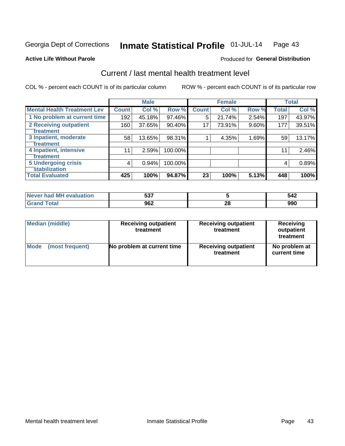#### Inmate Statistical Profile 01-JUL-14 Page 43

### **Active Life Without Parole**

### Produced for General Distribution

## Current / last mental health treatment level

COL % - percent each COUNT is of its particular column

|                                    |              | <b>Male</b> |         |              | <b>Female</b> |          |              | <b>Total</b> |
|------------------------------------|--------------|-------------|---------|--------------|---------------|----------|--------------|--------------|
| <b>Mental Health Treatment Lev</b> | <b>Count</b> | Col %       | Row %   | <b>Count</b> | Col %         | Row %    | <b>Total</b> | Col %        |
| 1 No problem at current time       | 192          | 45.18%      | 97.46%  | 5            | 21.74%        | 2.54%    | 197          | 43.97%       |
| 2 Receiving outpatient             | 160          | 37.65%      | 90.40%  | 17           | 73.91%        | $9.60\%$ | 177          | 39.51%       |
| <b>Treatment</b>                   |              |             |         |              |               |          |              |              |
| 3 Inpatient, moderate              | 58           | 13.65%      | 98.31%  |              | 4.35%         | 1.69%    | 59           | 13.17%       |
| Treatment                          |              |             |         |              |               |          |              |              |
| 4 Inpatient, intensive             | 11           | 2.59%       | 100.00% |              |               |          | 11           | 2.46%        |
| Treatment                          |              |             |         |              |               |          |              |              |
| <b>5 Undergoing crisis</b>         | 4            | 0.94%       | 100.00% |              |               |          | 4            | 0.89%        |
| <b>stabilization</b>               |              |             |         |              |               |          |              |              |
| <b>Total Evaluated</b>             | 425          | 100%        | 94.87%  | 23           | 100%          | 5.13%    | 448          | 100%         |

| uation<br>$\bigcap$<br>had MH<br><b>NAVA</b> | ヒヘラ<br>ວວ. |    | 51C<br>$\sim$ $\sim$ |
|----------------------------------------------|------------|----|----------------------|
|                                              | 962        | ΔU | nnr<br>มมน           |

| Median (middle) | <b>Receiving outpatient</b><br>treatment | <b>Receiving outpatient</b><br>treatment | <b>Receiving</b><br>outpatient<br>treatment |
|-----------------|------------------------------------------|------------------------------------------|---------------------------------------------|
| Mode            | No problem at current time               | <b>Receiving outpatient</b>              | No problem at                               |
| (most frequent) |                                          | treatment                                | current time                                |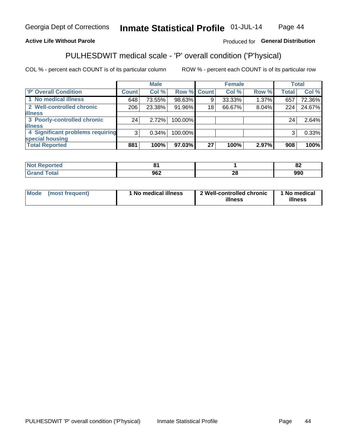#### Inmate Statistical Profile 01-JUL-14 Page 44

## **Active Life Without Parole**

## Produced for General Distribution

## PULHESDWIT medical scale - 'P' overall condition ('P'hysical)

COL % - percent each COUNT is of its particular column

|                                  |                | <b>Male</b> |             |    | <b>Female</b> |          |              | <b>Total</b> |
|----------------------------------|----------------|-------------|-------------|----|---------------|----------|--------------|--------------|
| 'P' Overall Condition            | Count l        | Col %       | Row % Count |    | Col %         | Row %    | <b>Total</b> | Col %        |
| 1 No medical illness             | 648            | 73.55%      | 98.63%      | 9  | 33.33%        | $1.37\%$ | 657          | 72.36%       |
| 2 Well-controlled chronic        | 206            | 23.38%      | 91.96%      | 18 | 66.67%        | 8.04%    | 224          | 24.67%       |
| <b>illness</b>                   |                |             |             |    |               |          |              |              |
| 3 Poorly-controlled chronic      | 24             | 2.72%       | 100.00%     |    |               |          | 24           | 2.64%        |
| <b>illness</b>                   |                |             |             |    |               |          |              |              |
| 4 Significant problems requiring | 3 <sup>1</sup> | 0.34%       | 100.00%     |    |               |          | 3            | 0.33%        |
| special housing                  |                |             |             |    |               |          |              |              |
| <b>Total Reported</b>            | 881            | 100%        | 97.03%      | 27 | 100%          | 2.97%    | 908          | 100%         |

|           |                          | $\mathbf{a}$<br><u>uz</u> |
|-----------|--------------------------|---------------------------|
| ററ<br>JUZ | $\sim$<br>$\overline{ }$ | 990                       |

| <b>Mode</b> | (most frequent) | 1 No medical illness | 2 Well-controlled chronic<br>illness | 1 No medical<br>illness |
|-------------|-----------------|----------------------|--------------------------------------|-------------------------|
|-------------|-----------------|----------------------|--------------------------------------|-------------------------|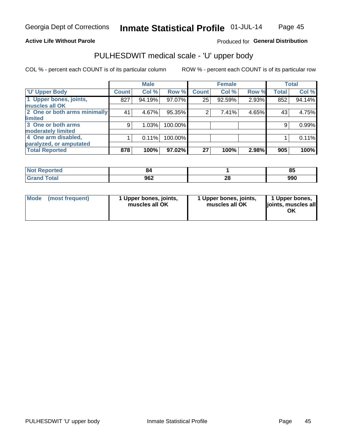### **Active Life Without Parole**

## Produced for General Distribution

## PULHESDWIT medical scale - 'U' upper body

COL % - percent each COUNT is of its particular column

|                              |              | <b>Male</b> |         |              | <b>Female</b> |       |              | <b>Total</b> |
|------------------------------|--------------|-------------|---------|--------------|---------------|-------|--------------|--------------|
| <b>U' Upper Body</b>         | <b>Count</b> | Col %       | Row %   | <b>Count</b> | Col %         | Row % | <b>Total</b> | Col %        |
| 1 Upper bones, joints,       | 827          | 94.19%      | 97.07%  | 25           | 92.59%        | 2.93% | 852          | 94.14%       |
| muscles all OK               |              |             |         |              |               |       |              |              |
| 2 One or both arms minimally | 41           | 4.67%       | 95.35%  | 2            | 7.41%         | 4.65% | 43           | 4.75%        |
| limited                      |              |             |         |              |               |       |              |              |
| 3 One or both arms           | 9            | 1.03%       | 100.00% |              |               |       | 9            | 0.99%        |
| moderately limited           |              |             |         |              |               |       |              |              |
| 4 One arm disabled,          |              | 0.11%       | 100.00% |              |               |       |              | 0.11%        |
| paralyzed, or amputated      |              |             |         |              |               |       |              |              |
| <b>Total Reported</b>        | 878          | 100%        | 97.02%  | 27           | 100%          | 2.98% | 905          | 100%         |

| <b>Not Reported</b>              | Ω£  |         | $\mathbf{a}$<br>u. |
|----------------------------------|-----|---------|--------------------|
| <b>Total</b><br>Grar<br>ا الله ا | 962 | ഹ<br>∠o | 990                |

|  | Mode (most frequent) | 1 Upper bones, joints,<br>muscles all OK | 1 Upper bones, joints,<br>muscles all OK | 1 Upper bones,<br>ljoints, muscles all<br>ΟK |
|--|----------------------|------------------------------------------|------------------------------------------|----------------------------------------------|
|--|----------------------|------------------------------------------|------------------------------------------|----------------------------------------------|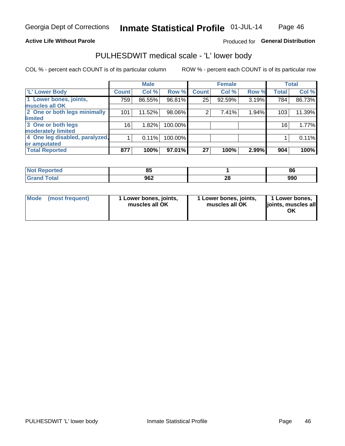### **Active Life Without Parole**

## Produced for General Distribution

## PULHESDWIT medical scale - 'L' lower body

COL % - percent each COUNT is of its particular column

|                                | <b>Male</b> |              | <b>Female</b>                                             |       |                 | <b>Total</b> |
|--------------------------------|-------------|--------------|-----------------------------------------------------------|-------|-----------------|--------------|
| <b>Count</b>                   | Col%        | <b>Count</b> | Col %                                                     | Row % | <b>Total</b>    | Col %        |
| 759                            | 86.55%      | 25           | 92.59%                                                    |       | 784             | 86.73%       |
|                                |             |              |                                                           |       |                 |              |
| 101                            | 11.52%      | 2            | 7.41%                                                     | 1.94% | 103             | 11.39%       |
|                                |             |              |                                                           |       |                 |              |
| 16                             | 1.82%       |              |                                                           |       | 16 <sub>1</sub> | 1.77%        |
|                                |             |              |                                                           |       |                 |              |
| 4 One leg disabled, paralyzed, | 0.11%       |              |                                                           |       |                 | 0.11%        |
|                                |             |              |                                                           |       |                 |              |
| 877                            | 100%        | 27           | 100%                                                      | 2.99% | 904             | 100%         |
|                                |             |              | Row %<br>96.81%<br>98.06%<br>100.00%<br>100.00%<br>97.01% |       |                 | 3.19%        |

| <b>Not Reported</b>      | nг<br>uu |         | 86  |
|--------------------------|----------|---------|-----|
| <b>Total</b><br>ا الله ا | 962      | ጣ<br>20 | 990 |

| Mode | (most frequent) | 1 Lower bones, joints,<br>muscles all OK | 1 Lower bones, joints,<br>muscles all OK | 1 Lower bones,<br>ljoints, muscles all<br>ΟK |
|------|-----------------|------------------------------------------|------------------------------------------|----------------------------------------------|
|------|-----------------|------------------------------------------|------------------------------------------|----------------------------------------------|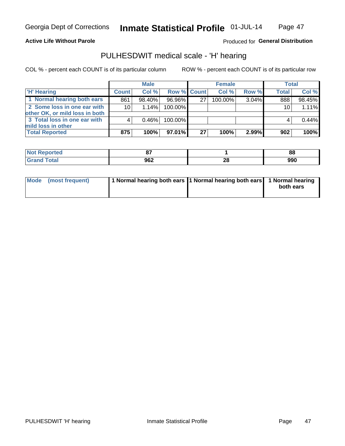### **Active Life Without Parole**

## **Produced for General Distribution**

## PULHESDWIT medical scale - 'H' hearing

COL % - percent each COUNT is of its particular column

|                                                               |                 | <b>Male</b> |             |    | <b>Female</b> |       | <b>Total</b> |        |
|---------------------------------------------------------------|-----------------|-------------|-------------|----|---------------|-------|--------------|--------|
| <b>H'</b> Hearing                                             | <b>Count</b>    | Col %       | Row % Count |    | Col%          | Row % | <b>Total</b> | Col %  |
| 1 Normal hearing both ears                                    | 861             | 98.40%      | 96.96%      | 27 | 100.00%       | 3.04% | 888          | 98.45% |
| 2 Some loss in one ear with<br>other OK, or mild loss in both | 10 <sup>1</sup> | 1.14%       | 100.00%     |    |               |       | 10           | 1.11%  |
| 3 Total loss in one ear with<br>mild loss in other            |                 | 0.46%       | 100.00%     |    |               |       |              | 0.44%  |
| <b>Total Reported</b>                                         | 875             | 100%        | 97.01%      | 27 | 100%          | 2.99% | 902          | 100%   |

| rted   | --               |          | 88  |
|--------|------------------|----------|-----|
| $\sim$ | <b>000</b><br>שע | n,<br>ZС | 990 |

| Mode (most frequent) | 1 Normal hearing both ears 1 Normal hearing both ears 1 Normal hearing | both ears |
|----------------------|------------------------------------------------------------------------|-----------|
|                      |                                                                        |           |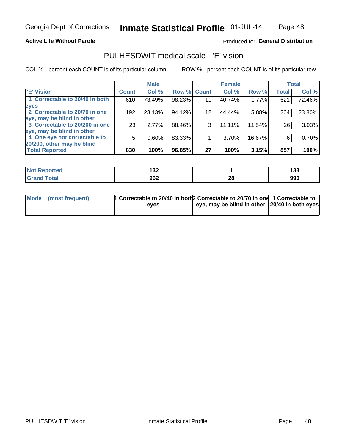**Active Life Without Parole** 

### Produced for General Distribution

## PULHESDWIT medical scale - 'E' vision

COL % - percent each COUNT is of its particular column

|                                |              | <b>Male</b> |             |    | <b>Female</b> |        |              | <b>Total</b> |
|--------------------------------|--------------|-------------|-------------|----|---------------|--------|--------------|--------------|
| 'E' Vision                     | <b>Count</b> | Col %       | Row % Count |    | Col %         | Row %  | <b>Total</b> | Col %        |
| 1 Correctable to 20/40 in both | 610          | 73.49%      | 98.23%      | 11 | 40.74%        | 1.77%  | 621          | 72.46%       |
| eyes                           |              |             |             |    |               |        |              |              |
| 2 Correctable to 20/70 in one  | 192          | 23.13%      | 94.12%      | 12 | 44.44%        | 5.88%  | 204          | 23.80%       |
| eye, may be blind in other     |              |             |             |    |               |        |              |              |
| 3 Correctable to 20/200 in one | 23           | 2.77%       | 88.46%      | 3  | 11.11%        | 11.54% | 26           | 3.03%        |
| eye, may be blind in other     |              |             |             |    |               |        |              |              |
| 4 One eye not correctable to   | 5            | 0.60%       | 83.33%      |    | 3.70%         | 16.67% | 6            | 0.70%        |
| 20/200, other may be blind     |              |             |             |    |               |        |              |              |
| <b>Total Reported</b>          | 830          | 100%        | 96.85%      | 27 | 100%          | 3.15%  | 857          | 100%         |

| ాorted | 422      |         | ה הו |
|--------|----------|---------|------|
| NO     | <b>_</b> |         | 199  |
| Total  | 962      | ഹ<br>ZO | 990  |

| Mode (most frequent) | 1 Correctable to 20/40 in both 2 Correctable to 20/70 in one 1 Correctable to |                                               |  |
|----------------------|-------------------------------------------------------------------------------|-----------------------------------------------|--|
|                      | eves                                                                          | eye, may be blind in other 20/40 in both eyes |  |
|                      |                                                                               |                                               |  |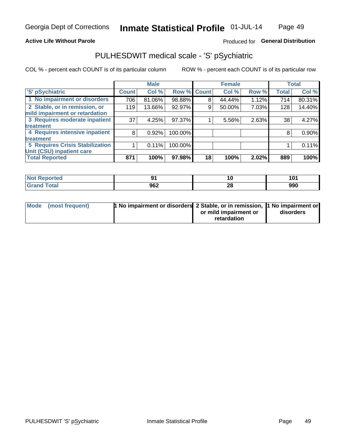### **Active Life Without Parole**

## Produced for General Distribution

## PULHESDWIT medical scale - 'S' pSychiatric

COL % - percent each COUNT is of its particular column

|                                        |              | <b>Male</b> |         |             | <b>Female</b> |       |              | <b>Total</b> |
|----------------------------------------|--------------|-------------|---------|-------------|---------------|-------|--------------|--------------|
| 'S' pSychiatric                        | <b>Count</b> | Col %       |         | Row % Count | Col %         | Row % | <b>Total</b> | Col %        |
| 1 No impairment or disorders           | 706          | 81.06%      | 98.88%  | 8           | 44.44%        | 1.12% | 714          | 80.31%       |
| 2 Stable, or in remission, or          | 119          | 13.66%      | 92.97%  | 9           | 50.00%        | 7.03% | 128          | 14.40%       |
| mild impairment or retardation         |              |             |         |             |               |       |              |              |
| 3 Requires moderate inpatient          | 37           | 4.25%       | 97.37%  |             | 5.56%         | 2.63% | 38           | 4.27%        |
| treatment                              |              |             |         |             |               |       |              |              |
| 4 Requires intensive inpatient         | 8            | 0.92%       | 100.00% |             |               |       | 8            | 0.90%        |
| treatment                              |              |             |         |             |               |       |              |              |
| <b>5 Requires Crisis Stabilization</b> |              | 0.11%       | 100.00% |             |               |       |              | 0.11%        |
| Unit (CSU) inpatient care              |              |             |         |             |               |       |              |              |
| <b>Total Reported</b>                  | 871          | 100%        | 97.98%  | 18          | 100%          | 2.02% | 889          | 100%         |

| norted<br>NOT<br>Renoi |     | IU.      | A N,<br>1 V I |
|------------------------|-----|----------|---------------|
| <b>Total</b>           | 962 | n.<br>40 | 990           |

| Mode (most frequent) | <b>1 No impairment or disorders</b> 2 Stable, or in remission, 11 No impairment or |                       |           |
|----------------------|------------------------------------------------------------------------------------|-----------------------|-----------|
|                      |                                                                                    | or mild impairment or | disorders |
|                      |                                                                                    | retardation           |           |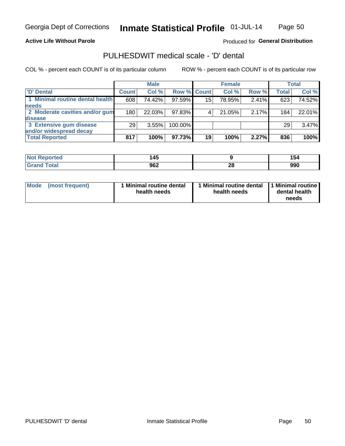### **Active Life Without Parole**

## Produced for General Distribution

## PULHESDWIT medical scale - 'D' dental

COL % - percent each COUNT is of its particular column

|                                 |              | <b>Male</b> |             |    | <b>Female</b> |       |              | <b>Total</b> |
|---------------------------------|--------------|-------------|-------------|----|---------------|-------|--------------|--------------|
| 'D' Dental                      | <b>Count</b> | Col %       | Row % Count |    | Col %         | Row % | <b>Total</b> | Col %        |
| 1 Minimal routine dental health | 608          | 74.42%      | 97.59%      | 15 | 78.95%        | 2.41% | 623          | 74.52%       |
| <b>needs</b>                    |              |             |             |    |               |       |              |              |
| 2 Moderate cavities and/or gum  | 180          | 22.03%      | 97.83%      |    | 21.05%        | 2.17% | 184          | 22.01%       |
| disease                         |              |             |             |    |               |       |              |              |
| 3 Extensive gum disease         | 29           | 3.55%       | 100.00%     |    |               |       | 29           | 3.47%        |
| and/or widespread decay         |              |             |             |    |               |       |              |              |
| <b>Total Reported</b>           | 817          | 100%        | 97.73%      | 19 | 100%          | 2.27% | 836          | 100%         |

| rted<br><b>NOT</b><br>. | $\overline{AB}$<br>- - |          |     |
|-------------------------|------------------------|----------|-----|
|                         | 962                    | ኅር<br>40 | 990 |

| <b>Mode</b>     | Minimal routine dental | 1 Minimal routine dental 1 Minimal routine | dental health |
|-----------------|------------------------|--------------------------------------------|---------------|
| (most frequent) | health needs           | health needs                               | needs         |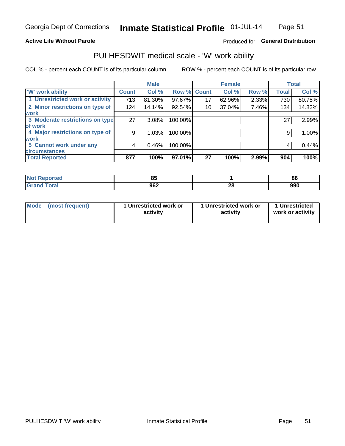### **Active Life Without Parole**

## Produced for General Distribution

## PULHESDWIT medical scale - 'W' work ability

COL % - percent each COUNT is of its particular column

|                                 |              | <b>Male</b> |         |             | <b>Female</b> |       |              | <b>Total</b> |
|---------------------------------|--------------|-------------|---------|-------------|---------------|-------|--------------|--------------|
| <b>W' work ability</b>          | <b>Count</b> | Col %       |         | Row % Count | Col %         | Row % | <b>Total</b> | Col %        |
| 1 Unrestricted work or activity | 713          | 81.30%      | 97.67%  | 17          | 62.96%        | 2.33% | 730          | 80.75%       |
| 2 Minor restrictions on type of | 124          | 14.14%      | 92.54%  | 10          | 37.04%        | 7.46% | 134          | 14.82%       |
| <b>work</b>                     |              |             |         |             |               |       |              |              |
| 3 Moderate restrictions on type | 27           | $3.08\%$    | 100.00% |             |               |       | 27           | 2.99%        |
| lof work                        |              |             |         |             |               |       |              |              |
| 4 Major restrictions on type of | 9            | 1.03%       | 100.00% |             |               |       | 9            | 1.00%        |
| <b>work</b>                     |              |             |         |             |               |       |              |              |
| 5 Cannot work under any         | 4            | 0.46%       | 100.00% |             |               |       | 4            | 0.44%        |
| <b>circumstances</b>            |              |             |         |             |               |       |              |              |
| <b>Total Reported</b>           | 877          | 100%        | 97.01%  | 27          | 100%          | 2.99% | 904          | 100%         |

| <b>Not Reported</b>   | o.  |         | 86  |
|-----------------------|-----|---------|-----|
| Total<br><b>Grand</b> | 962 | ጣ<br>∠∪ | 990 |

| <b>Mode</b>     | 1 Unrestricted work or | 1 Unrestricted work or | 1 Unrestricted   |
|-----------------|------------------------|------------------------|------------------|
| (most frequent) | activity               | activity               | work or activity |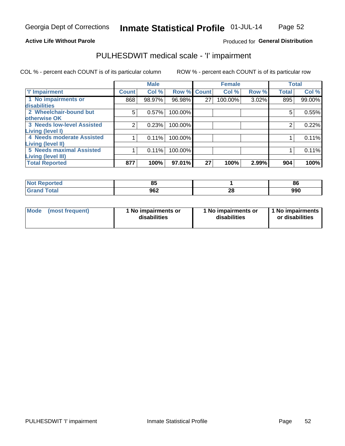## **Active Life Without Parole**

## Produced for General Distribution

## PULHESDWIT medical scale - 'I' impairment

|              | <b>Male</b> |        |        | <b>Female</b>                                           |       |              | <b>Total</b>   |
|--------------|-------------|--------|--------|---------------------------------------------------------|-------|--------------|----------------|
| <b>Count</b> | Col %       |        |        | Col %                                                   |       | <b>Total</b> | Col %          |
| 868          | 98.97%      | 96.98% | 27     | 100.00%                                                 |       | 895          | 99.00%         |
| 5            | 0.57%       |        |        |                                                         |       | 5            | 0.55%          |
| 2            | 0.23%       |        |        |                                                         |       | 2            | 0.22%          |
|              | 0.11%       |        |        |                                                         |       |              | 0.11%          |
|              | 0.11%       |        |        |                                                         |       |              | 0.11%          |
| 877          | 100%        |        | 27     |                                                         | 2.99% | 904          | 100%           |
|              |             |        | 97.01% | Row % Count<br>100.00%<br>100.00%<br>100.00%<br>100.00% | 100%  |              | Row %<br>3.02% |

| <b>Reported</b><br><b>NOT</b> | $\mathbf{a}$<br>οü |         | 86  |
|-------------------------------|--------------------|---------|-----|
| <b>Total</b><br>na            | 962                | ഹ<br>۷Q | 990 |

| <b>Mode</b> | (most frequent) | 1 No impairments or<br>disabilities | 1 No impairments or<br>disabilities | 1 1 No impairments<br>or disabilities |
|-------------|-----------------|-------------------------------------|-------------------------------------|---------------------------------------|
|-------------|-----------------|-------------------------------------|-------------------------------------|---------------------------------------|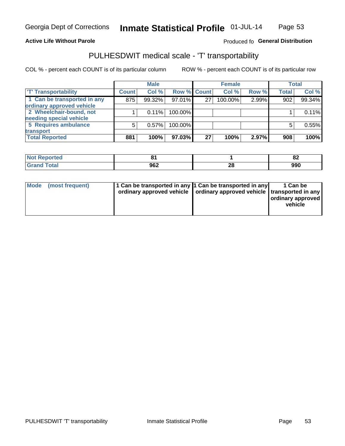### **Active Life Without Parole**

### Produced fo General Distribution

## PULHESDWIT medical scale - 'T' transportability

COL % - percent each COUNT is of its particular column

ROW % - percent each COUNT is of its particular row

|                             |              | <b>Male</b> |             |    | <b>Female</b> |       |              | <b>Total</b> |
|-----------------------------|--------------|-------------|-------------|----|---------------|-------|--------------|--------------|
| <b>T' Transportability</b>  | <b>Count</b> | Col %       | Row % Count |    | Col %         | Row % | <b>Total</b> | Col %        |
| 1 Can be transported in any | 875          | 99.32%      | 97.01%      | 27 | 100.00%       | 2.99% | 902          | 99.34%       |
| ordinary approved vehicle   |              |             |             |    |               |       |              |              |
| 2 Wheelchair-bound, not     |              | 0.11%       | 100.00%     |    |               |       |              | 0.11%        |
| needing special vehicle     |              |             |             |    |               |       |              |              |
| 5 Requires ambulance        | 5            | 0.57%       | 100.00%     |    |               |       |              | 0.55%        |
| transport                   |              |             |             |    |               |       |              |              |
| <b>Total Reported</b>       | 881          | 100%        | 97.03%      | 27 | 100%          | 2.97% | 908          | 100%         |

| Reported     | n.<br>. |          | o-<br>OZ. |
|--------------|---------|----------|-----------|
| <b>Total</b> | 962     | ኅር<br>ZO | 990       |

| Mode (most frequent) | 1 Can be transported in any 1 Can be transported in any | ordinary approved vehicle   ordinary approved vehicle   transported in any | 1 Can be<br>ordinary approved<br>vehicle |
|----------------------|---------------------------------------------------------|----------------------------------------------------------------------------|------------------------------------------|
|                      |                                                         |                                                                            |                                          |

**Inmate Statistical Profile**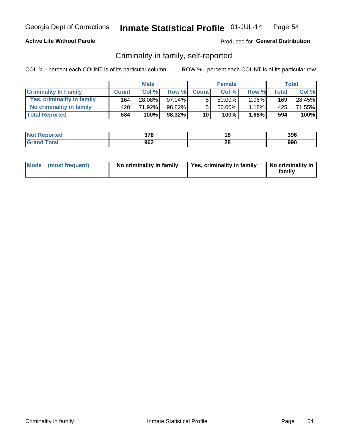## **Active Life Without Parole**

## Produced for General Distribution

## Criminality in family, self-reported

COL % - percent each COUNT is of its particular column

|                              |              | <b>Male</b> |           |                 | <b>Female</b> |          |       | Total           |
|------------------------------|--------------|-------------|-----------|-----------------|---------------|----------|-------|-----------------|
| <b>Criminality In Family</b> | <b>Count</b> | Col %       | Row %     | <b>Count</b>    | Col %         | Row %    | Total | Col %           |
| Yes, criminality in family   | 164          | 28.08%      | $97.04\%$ | 5               | 50.00%        | $2.96\%$ | 169   | 28.45%          |
| No criminality in family     | 420'         | 71.92%      | 98.82%    | 5               | 50.00%        | 1.18%    | 425   | 71.55% <b>I</b> |
| <b>Total Reported</b>        | 584          | 100%        | $98.32\%$ | 10 <sup>1</sup> | 100%          | 1.68%    | 594   | 100%            |

| <b>Not Reported</b> | 270<br>ა / 0 |         | 396 |
|---------------------|--------------|---------|-----|
| <b>Total</b>        | 962          | ഹ<br>20 | 990 |

|  | Mode (most frequent) | No criminality in family | Yes, criminality in family | No criminality in<br>family |
|--|----------------------|--------------------------|----------------------------|-----------------------------|
|--|----------------------|--------------------------|----------------------------|-----------------------------|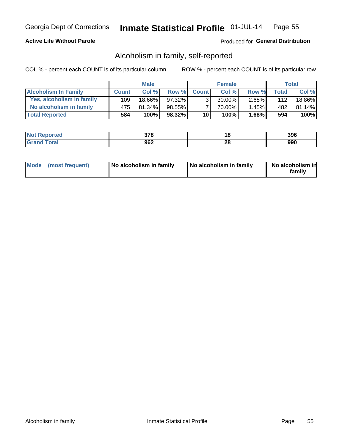## **Active Life Without Parole**

## Produced for General Distribution

## Alcoholism in family, self-reported

COL % - percent each COUNT is of its particular column

|                             |              | <b>Male</b> |           |                 | <b>Female</b> |          |       | Total  |
|-----------------------------|--------------|-------------|-----------|-----------------|---------------|----------|-------|--------|
| <b>Alcoholism In Family</b> | <b>Count</b> | Col%        | Row %     | <b>Count</b>    | Col%          | Row %    | Total | Col %  |
| Yes, alcoholism in family   | 109          | 18.66%      | 97.32%    | $\mathbf{r}$    | $30.00\%$     | $2.68\%$ | 112   | 18.86% |
| No alcoholism in family     | 475          | 81.34%      | $98.55\%$ |                 | 70.00%        | $1.45\%$ | 482   | 81.14% |
| <b>Total Reported</b>       | 584          | 100%        | 98.32%    | 10 <sup>1</sup> | 100%          | $1.68\%$ | 594   | 100%   |

| <b>Not Reported</b> | 270<br>J 1 0 | 10      | 396 |
|---------------------|--------------|---------|-----|
| <b>Total</b>        | 962          | ົ<br>ZO | 990 |

|  | Mode (most frequent) | No alcoholism in family | No alcoholism in family | No alcoholism in<br>family |
|--|----------------------|-------------------------|-------------------------|----------------------------|
|--|----------------------|-------------------------|-------------------------|----------------------------|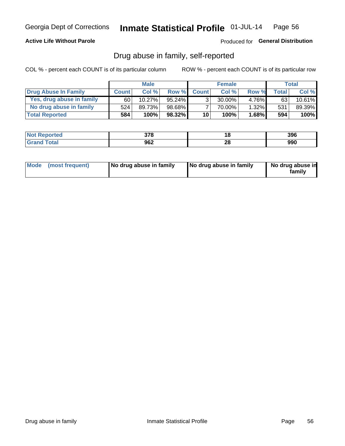### **Active Life Without Parole**

### Produced for General Distribution

## Drug abuse in family, self-reported

COL % - percent each COUNT is of its particular column

|                           |              | <b>Male</b> |           |                 | <b>Female</b> |          |        | <b>Total</b> |
|---------------------------|--------------|-------------|-----------|-----------------|---------------|----------|--------|--------------|
| Drug Abuse In Family      | <b>Count</b> | Col%        | Row %     | <b>Count</b>    | Col%          | Row %    | Total. | Col %        |
| Yes, drug abuse in family | 60           | $10.27\%$   | $95.24\%$ | 3 <sub>1</sub>  | $30.00\%$     | 4.76%    | 63     | $10.61\%$    |
| No drug abuse in family   | 524          | 89.73%      | 98.68%    |                 | 70.00%        | $1.32\%$ | 531    | 89.39%       |
| <b>Total Reported</b>     | 584          | 100%        | 98.32%    | 10 <sup>1</sup> | $100\%$       | $1.68\%$ | 594    | $100\%$      |

| <b>Not Reported</b> | 270<br>ס וכ | ίO | 396 |
|---------------------|-------------|----|-----|
| <b>Grand Total</b>  | 962         | Zu | 990 |

|  | Mode (most frequent) | No drug abuse in family | No drug abuse in family | No drug abuse in<br>family |
|--|----------------------|-------------------------|-------------------------|----------------------------|
|--|----------------------|-------------------------|-------------------------|----------------------------|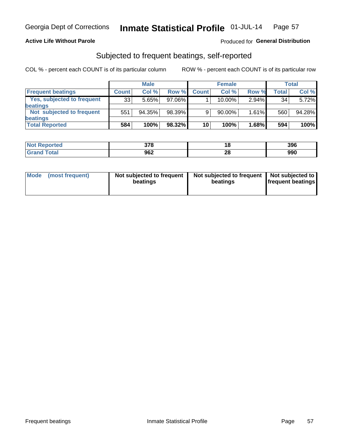## **Active Life Without Parole**

### Produced for General Distribution

## Subjected to frequent beatings, self-reported

COL % - percent each COUNT is of its particular column

|                                   |              | <b>Male</b> |           |              | <b>Female</b> |          |       | Total  |
|-----------------------------------|--------------|-------------|-----------|--------------|---------------|----------|-------|--------|
| <b>Frequent beatings</b>          | <b>Count</b> | Col %       | Row %     | <b>Count</b> | Col %         | Row %    | Total | Col %  |
| <b>Yes, subjected to frequent</b> | 33           | 5.65%       | 97.06%    |              | 10.00%        | $2.94\%$ | 34    | 5.72%  |
| <b>beatings</b>                   |              |             |           |              |               |          |       |        |
| Not subjected to frequent         | 551          | 94.35%      | 98.39%    | 9            | 90.00%        | 1.61%    | 560   | 94.28% |
| <b>beatings</b>                   |              |             |           |              |               |          |       |        |
| <b>Total Reported</b>             | 584          | 100%        | $98.32\%$ | 10           | 100%          | 1.68%    | 594   | 100%   |

| <b>Not Reported</b> | 270<br>ა ი | ıo | 396 |
|---------------------|------------|----|-----|
| <b>Total</b>        | 962        | 28 | 990 |

| Mode (most frequent) | Not subjected to frequent<br>beatings | Not subjected to frequent<br>beatings | Not subjected to<br><b>frequent beatings</b> |
|----------------------|---------------------------------------|---------------------------------------|----------------------------------------------|
|                      |                                       |                                       |                                              |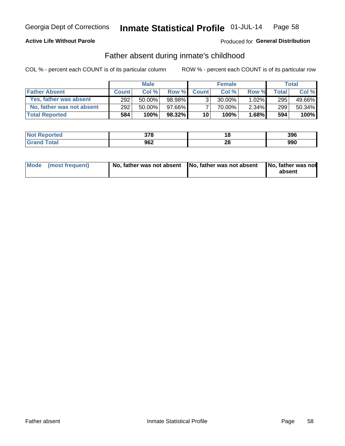## **Active Life Without Parole**

### Produced for General Distribution

## Father absent during inmate's childhood

COL % - percent each COUNT is of its particular column

|                           |              | <b>Male</b> |           |                 | <b>Female</b> |          |              | Total  |
|---------------------------|--------------|-------------|-----------|-----------------|---------------|----------|--------------|--------|
| <b>Father Absent</b>      | <b>Count</b> | Col%        | Row %     | <b>Count</b>    | Col %         | Row %    | <b>Total</b> | Col %  |
| Yes, father was absent    | 292          | 50.00%      | 98.98%    | ્ર              | $30.00\%$     | $1.02\%$ | 295          | 49.66% |
| No, father was not absent | 292          | 50.00%      | 97.66%    |                 | 70.00%        | $2.34\%$ | 299          | 50.34% |
| <b>Total Reported</b>     | 584          | 100%        | $98.32\%$ | 10 <sup>1</sup> | 100%          | $1.68\%$ | 594          | 100%   |

| <b>Not Reported</b> | 270<br>ა / 0 |         | 396 |
|---------------------|--------------|---------|-----|
| <b>Total</b>        | 962          | ഹ<br>20 | 990 |

| Mode (most frequent) |  | No, father was not absent No, father was not absent No, father was not | absent |
|----------------------|--|------------------------------------------------------------------------|--------|
|----------------------|--|------------------------------------------------------------------------|--------|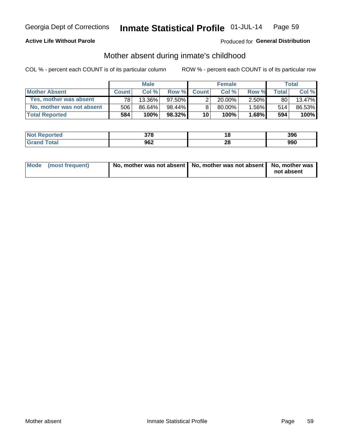## **Active Life Without Parole**

## Produced for General Distribution

## Mother absent during inmate's childhood

COL % - percent each COUNT is of its particular column

|                           |              | <b>Male</b> |           |              | <b>Female</b> |              |                 | Total  |
|---------------------------|--------------|-------------|-----------|--------------|---------------|--------------|-----------------|--------|
| <b>Mother Absent</b>      | <b>Count</b> | Col%        | Row %     | <b>Count</b> | Col%          | <b>Row %</b> | <b>Total</b>    | Col %  |
| Yes, mother was absent    | 781          | $13.36\%$   | 97.50%I   |              | 20.00%        | $2.50\%$     | 80 <sub>1</sub> | 13.47% |
| No, mother was not absent | 506          | 86.64%      | 98.44%    |              | 80.00%        | $1.56\%$     | 514             | 86.53% |
| <b>Total Reported</b>     | 584          | 100%        | $98.32\%$ | 10           | $100\%$ .     | 1.68%        | 594             | 100%   |

| <b>Not Reported</b> | 270<br>J 1 0 | 10      | 396 |
|---------------------|--------------|---------|-----|
| <b>Total</b>        | 962          | ົ<br>ZO | 990 |

| Mode (most frequent) | No, mother was not absent   No, mother was not absent   No, mother was | not absent |
|----------------------|------------------------------------------------------------------------|------------|
|                      |                                                                        |            |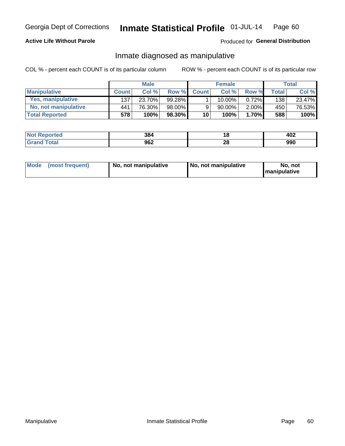## **Active Life Without Parole**

## Produced for General Distribution

## Inmate diagnosed as manipulative

COL % - percent each COUNT is of its particular column

|                          |              | <b>Male</b> |           |                 | <b>Female</b> |          |              | Total  |
|--------------------------|--------------|-------------|-----------|-----------------|---------------|----------|--------------|--------|
| <b>Manipulative</b>      | <b>Count</b> | Col %       | Row %     | <b>Count</b>    | Col %         | Row %    | <b>Total</b> | Col %  |
| <b>Yes, manipulative</b> | 137          | 23.70%      | $99.28\%$ |                 | $10.00\%$ ,   | 0.72%    | 138          | 23.47% |
| No, not manipulative     | 441          | 76.30%      | 98.00%    | 9               | 90.00%        | $2.00\%$ | 450          | 76.53% |
| <b>Total Reported</b>    | 578          | 100%        | $98.30\%$ | 10 <sup>1</sup> | 100%          | 1.70%    | 588          | 100%   |

| <b>Not Reported</b>      | 384 | ı a     | ィロッ<br>אט⊬ |
|--------------------------|-----|---------|------------|
| <i>i</i> otal<br>' Grand | 962 | ົ<br>∠∪ | 990        |

|  | Mode (most frequent) | No, not manipulative | No, not manipulative | No. not<br><b>I</b> manipulative |
|--|----------------------|----------------------|----------------------|----------------------------------|
|--|----------------------|----------------------|----------------------|----------------------------------|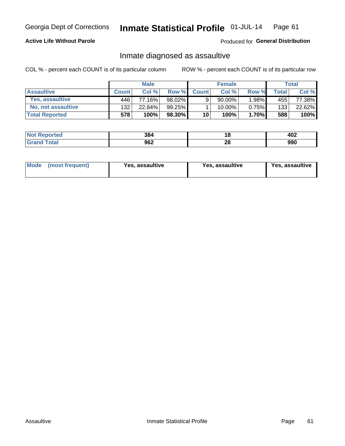#### Inmate Statistical Profile 01-JUL-14 Page 61

## **Active Life Without Parole**

Produced for General Distribution

## Inmate diagnosed as assaultive

COL % - percent each COUNT is of its particular column

|                        |              | <b>Male</b> |           |              | <b>Female</b> |          |              | Total  |
|------------------------|--------------|-------------|-----------|--------------|---------------|----------|--------------|--------|
| <b>Assaultive</b>      | <b>Count</b> | Col%        | Row %     | <b>Count</b> | Col %         | Row %    | <b>Total</b> | Col %  |
| <b>Yes. assaultive</b> | 446'         | 77.16%      | 98.02%    | 9            | $90.00\%$ ,   | 1.98%    | 455          | 77.38% |
| No, not assaultive     | 132          | 22.84%      | $99.25\%$ |              | $10.00\%$ ,   | 0.75%    | 133          | 22.62% |
| <b>Total Reported</b>  | 578'         | 100%        | 98.30%    | 10           | $100\%$ .     | $1.70\%$ | 588          | 100%   |

| <b>Not Reported</b> | 384 | 10      | 402 |
|---------------------|-----|---------|-----|
| <b>Total</b>        | 962 | ົ<br>ZO | 990 |

| Mode (most frequent)<br>Yes, assaultive | Yes, assaultive | <b>Yes, assaultive</b> |
|-----------------------------------------|-----------------|------------------------|
|-----------------------------------------|-----------------|------------------------|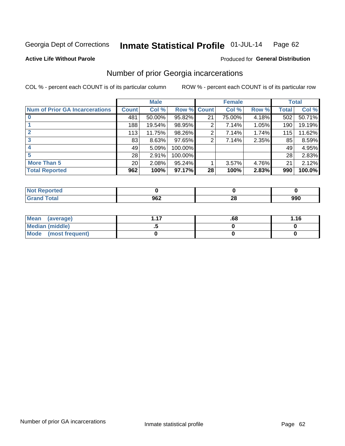#### Inmate Statistical Profile 01-JUL-14 Page 62

**Active Life Without Parole** 

## **Produced for General Distribution**

## Number of prior Georgia incarcerations

COL % - percent each COUNT is of its particular column

|                                       |                 | <b>Male</b> |                    |    | <b>Female</b> |       |       | <b>Total</b> |
|---------------------------------------|-----------------|-------------|--------------------|----|---------------|-------|-------|--------------|
| <b>Num of Prior GA Incarcerations</b> | <b>Count</b>    | Col %       | <b>Row % Count</b> |    | Col %         | Row % | Total | Col %        |
|                                       | 481             | 50.00%      | 95.82%             | 21 | 75.00%        | 4.18% | 502   | 50.71%       |
|                                       | 188             | 19.54%      | 98.95%             | 2  | 7.14%         | 1.05% | 190   | 19.19%       |
|                                       | 113             | 11.75%      | 98.26%             | 2  | 7.14%         | 1.74% | 115   | 11.62%       |
| 3                                     | 83              | 8.63%       | 97.65%             | 2  | 7.14%         | 2.35% | 85    | 8.59%        |
|                                       | 49              | 5.09%       | 100.00%            |    |               |       | 49    | 4.95%        |
|                                       | 28              | 2.91%       | 100.00%            |    |               |       | 28    | 2.83%        |
| <b>More Than 5</b>                    | 20 <sup>°</sup> | 2.08%       | 95.24%             |    | 3.57%         | 4.76% | 21    | 2.12%        |
| <b>Total Reported</b>                 | 962             | 100%        | 97.17%             | 28 | 100%          | 2.83% | 990   | 100.0%       |

| 'orteo'     |      |   |     |
|-------------|------|---|-----|
| <b>otal</b> | ה הה | n | 990 |
| $\sim$ nunu | JUL  | Æ |     |

| Mean (average)       | .68 | 1.16 |
|----------------------|-----|------|
| Median (middle)      |     |      |
| Mode (most frequent) |     |      |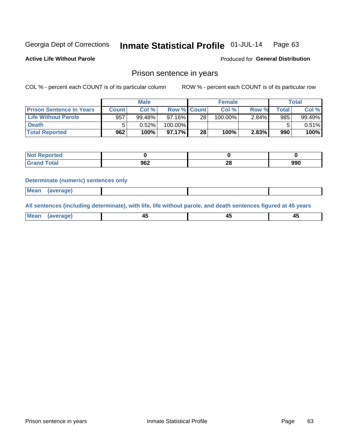#### Inmate Statistical Profile 01-JUL-14 Page 63

**Active Life Without Parole** 

Produced for General Distribution

## Prison sentence in years

COL % - percent each COUNT is of its particular column

ROW % - percent each COUNT is of its particular row

|                                 |              | <b>Male</b> |                    |    | <b>Female</b> |       |             | Total    |
|---------------------------------|--------------|-------------|--------------------|----|---------------|-------|-------------|----------|
| <b>Prison Sentence In Years</b> | <b>Count</b> | Col %       | <b>Row % Count</b> |    | Col %         | Row % | $\tau$ otal | Col %    |
| <b>Life Without Parole</b>      | 957          | 99.48%      | $97.16\%$          | 28 | $100.00\%$    | 2.84% | 985         | 99.49%   |
| <b>Death</b>                    |              | 0.52%       | 100.00%            |    |               |       | 5           | $0.51\%$ |
| <b>Total Reported</b>           | 962          | 100%        | 97.17%             | 28 | 100%          | 2.83% | 990         | 100%     |

| ported<br>m.  |     |          |     |
|---------------|-----|----------|-----|
| <b>c</b> otal | 962 | ററ<br>ZU | 990 |

### **Determinate (numeric) sentences only**

| ' Mea<br><b>Service</b> A<br>ЯМА. |  |  |  |
|-----------------------------------|--|--|--|
|                                   |  |  |  |

All sentences (including determinate), with life, life without parole, and death sentences figured at 45 years

| Me<br>in r-<br>---<br>------- |  |  |  |
|-------------------------------|--|--|--|
|                               |  |  |  |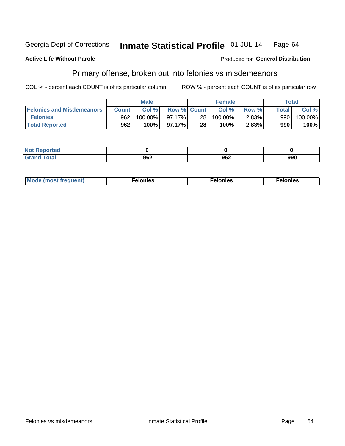### **Active Life Without Parole**

### Produced for General Distribution

## Primary offense, broken out into felonies vs misdemeanors

COL % - percent each COUNT is of its particular column

|                                  |              | <b>Male</b> |                    |      | <b>Female</b> |       |              | Total      |
|----------------------------------|--------------|-------------|--------------------|------|---------------|-------|--------------|------------|
| <b>Felonies and Misdemeanors</b> | <b>Count</b> | Col%        | <b>Row % Count</b> |      | Col%          | Row % | <b>Total</b> | Col %      |
| <b>Felonies</b>                  | 962          | $100.00\%$  | $97.17\%$          | 28 I | 100.00%       | 2.83% | 990          | $100.00\%$ |
| <b>Total Reported</b>            | 962          | $100\%$     | 97.17%             | 28   | 100%          | 2.83% | 990          | 100%       |

| <b>Not Reported</b>         |            |     |     |
|-----------------------------|------------|-----|-----|
| <b>Total</b><br>Gran<br>uuu | 000<br>JUZ | 962 | 990 |

| <b>Mode</b><br>frequent)<br>nies<br>≧ (most tr.<br>. | onies<br>. | lonies<br>ею<br>____ |
|------------------------------------------------------|------------|----------------------|
|------------------------------------------------------|------------|----------------------|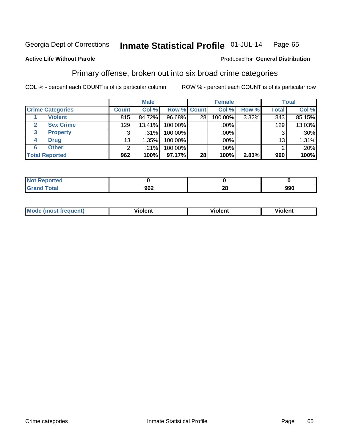#### Inmate Statistical Profile 01-JUL-14 Page 65

### **Active Life Without Parole**

### Produced for General Distribution

## Primary offense, broken out into six broad crime categories

COL % - percent each COUNT is of its particular column

|                         |                | <b>Male</b> |                    |                 | <b>Female</b> |       |              | <b>Total</b> |
|-------------------------|----------------|-------------|--------------------|-----------------|---------------|-------|--------------|--------------|
| <b>Crime Categories</b> | <b>Count</b>   | Col %       | <b>Row % Count</b> |                 | Col %         | Row % | <b>Total</b> | Col %        |
| <b>Violent</b>          | 815            | 84.72%      | 96.68%             | 28 <sub>1</sub> | 100.00%       | 3.32% | 843          | 85.15%       |
| <b>Sex Crime</b>        | 129            | 13.41%      | 100.00%            |                 | .00%          |       | 129          | 13.03%       |
| 3<br><b>Property</b>    | 3              | .31%        | 100.00%            |                 | .00%          |       | 3            | $.30\%$      |
| <b>Drug</b><br>4        | 13             | 1.35%       | 100.00%            |                 | .00%          |       | 13           | 1.31%        |
| <b>Other</b><br>6       | $\overline{2}$ | .21%        | 100.00%            |                 | .00%          |       | 2            | $.20\%$      |
| <b>Total Reported</b>   | 962            | 100%        | 97.17%             | 28              | 100%          | 2.83% | 990          | 100%         |

| <b>Not Reported</b> |     |           |     |
|---------------------|-----|-----------|-----|
| <b>Total</b>        | 962 | ne.<br>∠∪ | 990 |

| М | ,,, | - -- -<br>וחו | m |
|---|-----|---------------|---|
|   |     |               |   |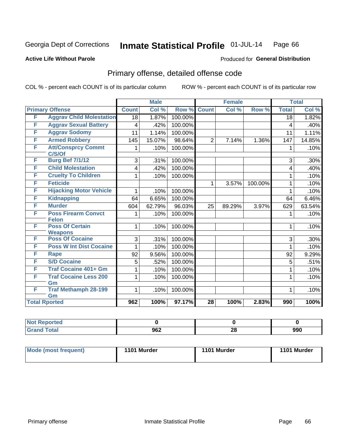#### Inmate Statistical Profile 01-JUL-14 Page 66

### **Active Life Without Parole**

## **Produced for General Distribution**

## Primary offense, detailed offense code

COL % - percent each COUNT is of its particular column

|                      |                                            |              | <b>Male</b> |         |                 | <b>Female</b> |         |              | <b>Total</b> |
|----------------------|--------------------------------------------|--------------|-------------|---------|-----------------|---------------|---------|--------------|--------------|
|                      | <b>Primary Offense</b>                     | <b>Count</b> | Col %       | Row %   | <b>Count</b>    | Col %         | Row %   | <b>Total</b> | Col %        |
| F                    | <b>Aggrav Child Molestation</b>            | 18           | 1.87%       | 100.00% |                 |               |         | 18           | 1.82%        |
| F                    | <b>Aggrav Sexual Battery</b>               | 4            | .42%        | 100.00% |                 |               |         | 4            | .40%         |
| F                    | <b>Aggrav Sodomy</b>                       | 11           | 1.14%       | 100.00% |                 |               |         | 11           | 1.11%        |
| F                    | <b>Armed Robbery</b>                       | 145          | 15.07%      | 98.64%  | $\overline{2}$  | 7.14%         | 1.36%   | 147          | 14.85%       |
| F                    | <b>Att/Consprcy Commt</b><br>C/S/Of        | 1            | .10%        | 100.00% |                 |               |         | 1            | .10%         |
| F                    | <b>Burg Bef 7/1/12</b>                     | 3            | .31%        | 100.00% |                 |               |         | 3            | .30%         |
| F                    | <b>Child Molestation</b>                   | 4            | .42%        | 100.00% |                 |               |         | 4            | .40%         |
| F                    | <b>Cruelty To Children</b>                 | 1            | .10%        | 100.00% |                 |               |         | 1            | .10%         |
| F                    | <b>Feticide</b>                            |              |             |         | 1               | 3.57%         | 100.00% | 1            | .10%         |
| F                    | <b>Hijacking Motor Vehicle</b>             | 1            | .10%        | 100.00% |                 |               |         | 1            | .10%         |
| F                    | <b>Kidnapping</b>                          | 64           | 6.65%       | 100.00% |                 |               |         | 64           | 6.46%        |
| F                    | <b>Murder</b>                              | 604          | 62.79%      | 96.03%  | 25              | 89.29%        | 3.97%   | 629          | 63.54%       |
| F                    | <b>Poss Firearm Convct</b><br><b>Felon</b> | 1            | .10%        | 100.00% |                 |               |         | 1            | .10%         |
| F                    | <b>Poss Of Certain</b><br><b>Weapons</b>   | 1            | .10%        | 100.00% |                 |               |         | 1            | .10%         |
| F                    | <b>Poss Of Cocaine</b>                     | 3            | .31%        | 100.00% |                 |               |         | 3            | $.30\%$      |
| F                    | <b>Poss W Int Dist Cocaine</b>             |              | .10%        | 100.00% |                 |               |         | 1            | .10%         |
| F                    | <b>Rape</b>                                | 92           | 9.56%       | 100.00% |                 |               |         | 92           | 9.29%        |
| F                    | <b>S/D Cocaine</b>                         | 5            | .52%        | 100.00% |                 |               |         | 5            | .51%         |
| F                    | <b>Traf Cocaine 401+ Gm</b>                |              | .10%        | 100.00% |                 |               |         |              | .10%         |
| F                    | <b>Traf Cocaine Less 200</b><br>Gm         | 1            | .10%        | 100.00% |                 |               |         | 1            | .10%         |
| F                    | <b>Traf Methamph 28-199</b><br>Gm          | 1            | .10%        | 100.00% |                 |               |         | 1            | .10%         |
| <b>Total Rported</b> |                                            | 962          | 100%        | 97.17%  | $\overline{28}$ | 100%          | 2.83%   | 990          | 100%         |

| Reported            |     |          |     |
|---------------------|-----|----------|-----|
| <b>Total</b><br>Gra | 962 | ኅር<br>ZO | 990 |

| <b>Mode (most frequent)</b> | 1101 Murder | 1101 Murder | 1101 Murder |
|-----------------------------|-------------|-------------|-------------|
|                             |             |             |             |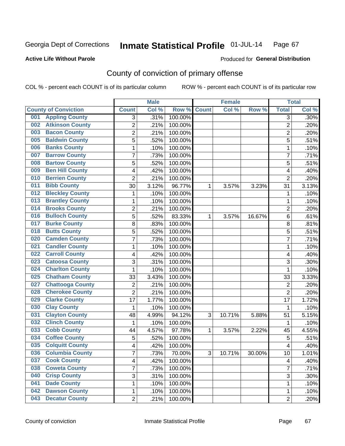### **Active Life Without Parole**

### Produced for **General Distribution**

## County of conviction of primary offense

|                                |                         | <b>Male</b> |         |              | <b>Female</b> |           |                | <b>Total</b> |
|--------------------------------|-------------------------|-------------|---------|--------------|---------------|-----------|----------------|--------------|
| <b>County of Conviction</b>    | <b>Count</b>            | Col %       | Row %   | <b>Count</b> | Col %         | Row %     | <b>Total</b>   | Col %        |
| <b>Appling County</b><br>001   | 3                       | .31%        | 100.00% |              |               |           | $\overline{3}$ | .30%         |
| <b>Atkinson County</b><br>002  | $\overline{2}$          | .21%        | 100.00% |              |               |           | $\overline{2}$ | .20%         |
| <b>Bacon County</b><br>003     | 2                       | .21%        | 100.00% |              |               |           | $\overline{2}$ | .20%         |
| <b>Baldwin County</b><br>005   | 5                       | .52%        | 100.00% |              |               |           | 5              | .51%         |
| <b>Banks County</b><br>006     | 1                       | .10%        | 100.00% |              |               |           | $\mathbf{1}$   | .10%         |
| <b>Barrow County</b><br>007    | 7                       | .73%        | 100.00% |              |               |           | $\overline{7}$ | .71%         |
| <b>Bartow County</b><br>008    | 5                       | .52%        | 100.00% |              |               |           | 5              | .51%         |
| <b>Ben Hill County</b><br>009  | 4                       | .42%        | 100.00% |              |               |           | 4              | .40%         |
| <b>Berrien County</b><br>010   | $\overline{2}$          | .21%        | 100.00% |              |               |           | $\overline{2}$ | .20%         |
| <b>Bibb County</b><br>011      | 30                      | 3.12%       | 96.77%  | 1            | 3.57%         | 3.23%     | 31             | 3.13%        |
| <b>Bleckley County</b><br>012  | 1                       | .10%        | 100.00% |              |               |           | 1              | .10%         |
| <b>Brantley County</b><br>013  | 1                       | .10%        | 100.00% |              |               |           | 1              | .10%         |
| <b>Brooks County</b><br>014    | 2                       | .21%        | 100.00% |              |               |           | $\overline{2}$ | .20%         |
| <b>Bulloch County</b><br>016   | 5                       | .52%        | 83.33%  | 1            | 3.57%         | 16.67%    | 6              | .61%         |
| <b>Burke County</b><br>017     | 8                       | .83%        | 100.00% |              |               |           | 8              | .81%         |
| <b>Butts County</b><br>018     | 5                       | .52%        | 100.00% |              |               |           | 5              | .51%         |
| <b>Camden County</b><br>020    | 7                       | .73%        | 100.00% |              |               |           | $\overline{7}$ | .71%         |
| <b>Candler County</b><br>021   | 1                       | .10%        | 100.00% |              |               |           | $\mathbf{1}$   | .10%         |
| <b>Carroll County</b><br>022   | 4                       | .42%        | 100.00% |              |               |           | 4              | .40%         |
| <b>Catoosa County</b><br>023   | 3                       | .31%        | 100.00% |              |               |           | 3              | .30%         |
| <b>Charlton County</b><br>024  | 1                       | .10%        | 100.00% |              |               |           | $\mathbf{1}$   | .10%         |
| <b>Chatham County</b><br>025   | 33                      | 3.43%       | 100.00% |              |               |           | 33             | 3.33%        |
| <b>Chattooga County</b><br>027 | 2                       | .21%        | 100.00% |              |               |           | $\overline{2}$ | .20%         |
| <b>Cherokee County</b><br>028  | $\overline{2}$          | .21%        | 100.00% |              |               |           | $\overline{2}$ | .20%         |
| <b>Clarke County</b><br>029    | 17                      | 1.77%       | 100.00% |              |               |           | 17             | 1.72%        |
| <b>Clay County</b><br>030      | 1                       | .10%        | 100.00% |              |               |           | 1              | .10%         |
| <b>Clayton County</b><br>031   | 48                      | 4.99%       | 94.12%  | 3            | 10.71%        | 5.88%     | 51             | 5.15%        |
| <b>Clinch County</b><br>032    | 1                       | .10%        | 100.00% |              |               |           | 1              | .10%         |
| <b>Cobb County</b><br>033      | 44                      | 4.57%       | 97.78%  | 1            | 3.57%         | 2.22%     | 45             | 4.55%        |
| <b>Coffee County</b><br>034    | 5                       | .52%        | 100.00% |              |               |           | 5              | .51%         |
| <b>Colquitt County</b><br>035  | 4                       | .42%        | 100.00% |              |               |           | 4              | .40%         |
| <b>Columbia County</b><br>036  | <sup>'</sup>            | .73%        | 70.00%  | 3            | 10.71%        | $30.00\%$ | 10             | 1.01%        |
| <b>Cook County</b><br>037      | $\overline{\mathbf{4}}$ | .42%        | 100.00% |              |               |           | 4              | .40%         |
| <b>Coweta County</b><br>038    | 7                       | .73%        | 100.00% |              |               |           | $\overline{7}$ | .71%         |
| <b>Crisp County</b><br>040     | 3                       | .31%        | 100.00% |              |               |           | 3              | .30%         |
| <b>Dade County</b><br>041      | 1                       | .10%        | 100.00% |              |               |           | 1              | .10%         |
| <b>Dawson County</b><br>042    | 1                       | .10%        | 100.00% |              |               |           | 1              | .10%         |
| <b>Decatur County</b><br>043   | $\overline{2}$          | .21%        | 100.00% |              |               |           | $\overline{2}$ | .20%         |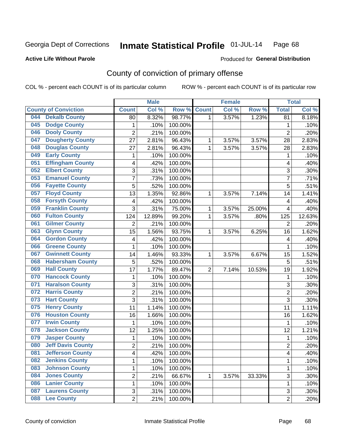**Active Life Without Parole** 

Produced for **General Distribution**

## County of conviction of primary offense

|                                 |                | <b>Male</b> |         |                | <b>Female</b> |        |                | <b>Total</b> |
|---------------------------------|----------------|-------------|---------|----------------|---------------|--------|----------------|--------------|
| <b>County of Conviction</b>     | <b>Count</b>   | Col %       | Row %   | <b>Count</b>   | Col%          | Row %  | <b>Total</b>   | Col %        |
| <b>Dekalb County</b><br>044     | 80             | 8.32%       | 98.77%  | 1              | 3.57%         | 1.23%  | 81             | 8.18%        |
| <b>Dodge County</b><br>045      | 1              | .10%        | 100.00% |                |               |        | 1              | .10%         |
| <b>Dooly County</b><br>046      | $\overline{2}$ | .21%        | 100.00% |                |               |        | $\overline{2}$ | .20%         |
| <b>Dougherty County</b><br>047  | 27             | 2.81%       | 96.43%  | 1              | 3.57%         | 3.57%  | 28             | 2.83%        |
| <b>Douglas County</b><br>048    | 27             | 2.81%       | 96.43%  | 1              | 3.57%         | 3.57%  | 28             | 2.83%        |
| <b>Early County</b><br>049      | 1              | .10%        | 100.00% |                |               |        | 1              | .10%         |
| <b>Effingham County</b><br>051  | 4              | .42%        | 100.00% |                |               |        | 4              | .40%         |
| <b>Elbert County</b><br>052     | 3              | .31%        | 100.00% |                |               |        | 3              | .30%         |
| <b>Emanuel County</b><br>053    | $\overline{7}$ | .73%        | 100.00% |                |               |        | $\overline{7}$ | .71%         |
| <b>Fayette County</b><br>056    | 5              | .52%        | 100.00% |                |               |        | 5              | .51%         |
| <b>Floyd County</b><br>057      | 13             | 1.35%       | 92.86%  | 1              | 3.57%         | 7.14%  | 14             | 1.41%        |
| <b>Forsyth County</b><br>058    | 4              | .42%        | 100.00% |                |               |        | 4              | .40%         |
| <b>Franklin County</b><br>059   | 3              | .31%        | 75.00%  | 1              | 3.57%         | 25.00% | 4              | .40%         |
| <b>Fulton County</b><br>060     | 124            | 12.89%      | 99.20%  | 1              | 3.57%         | .80%   | 125            | 12.63%       |
| <b>Gilmer County</b><br>061     | $\overline{2}$ | .21%        | 100.00% |                |               |        | $\overline{2}$ | .20%         |
| <b>Glynn County</b><br>063      | 15             | 1.56%       | 93.75%  | 1              | 3.57%         | 6.25%  | 16             | 1.62%        |
| <b>Gordon County</b><br>064     | 4              | .42%        | 100.00% |                |               |        | 4              | .40%         |
| <b>Greene County</b><br>066     | 1              | .10%        | 100.00% |                |               |        | 1              | .10%         |
| <b>Gwinnett County</b><br>067   | 14             | 1.46%       | 93.33%  | 1              | 3.57%         | 6.67%  | 15             | 1.52%        |
| <b>Habersham County</b><br>068  | 5              | .52%        | 100.00% |                |               |        | $\overline{5}$ | .51%         |
| <b>Hall County</b><br>069       | 17             | 1.77%       | 89.47%  | $\overline{2}$ | 7.14%         | 10.53% | 19             | 1.92%        |
| <b>Hancock County</b><br>070    | 1              | .10%        | 100.00% |                |               |        | 1              | .10%         |
| <b>Haralson County</b><br>071   | 3              | .31%        | 100.00% |                |               |        | 3              | .30%         |
| <b>Harris County</b><br>072     | 2              | .21%        | 100.00% |                |               |        | $\overline{2}$ | .20%         |
| <b>Hart County</b><br>073       | 3              | .31%        | 100.00% |                |               |        | 3              | .30%         |
| <b>Henry County</b><br>075      | 11             | 1.14%       | 100.00% |                |               |        | 11             | 1.11%        |
| <b>Houston County</b><br>076    | 16             | 1.66%       | 100.00% |                |               |        | 16             | 1.62%        |
| <b>Irwin County</b><br>077      | 1              | .10%        | 100.00% |                |               |        | 1              | .10%         |
| <b>Jackson County</b><br>078    | 12             | 1.25%       | 100.00% |                |               |        | 12             | 1.21%        |
| <b>Jasper County</b><br>079     | 1              | .10%        | 100.00% |                |               |        | 1              | .10%         |
| <b>Jeff Davis County</b><br>080 | $\overline{2}$ | .21%        | 100.00% |                |               |        | $\overline{2}$ | .20%         |
| 081<br><b>Jefferson County</b>  | 4              | .42%        | 100.00% |                |               |        | 4              | .40%         |
| <b>Jenkins County</b><br>082    | 1              | .10%        | 100.00% |                |               |        | $\mathbf{1}$   | .10%         |
| <b>Johnson County</b><br>083    | 1              | .10%        | 100.00% |                |               |        | 1              | .10%         |
| <b>Jones County</b><br>084      | $\overline{2}$ | .21%        | 66.67%  | 1              | 3.57%         | 33.33% | 3              | .30%         |
| <b>Lanier County</b><br>086     | 1              | .10%        | 100.00% |                |               |        | 1              | .10%         |
| <b>Laurens County</b><br>087    | 3              | .31%        | 100.00% |                |               |        | 3              | .30%         |
| <b>Lee County</b><br>088        | $\overline{2}$ | .21%        | 100.00% |                |               |        | $\overline{2}$ | .20%         |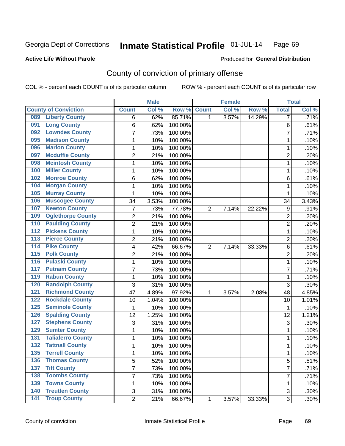## **Active Life Without Parole**

## Produced for **General Distribution**

## County of conviction of primary offense

|                  |                             |                | <b>Male</b> |         |                | <b>Female</b> |        |                  | <b>Total</b> |
|------------------|-----------------------------|----------------|-------------|---------|----------------|---------------|--------|------------------|--------------|
|                  | <b>County of Conviction</b> | <b>Count</b>   | Col %       | Row %   | <b>Count</b>   | Col %         | Row %  | <b>Total</b>     | Col %        |
| 089              | <b>Liberty County</b>       | 6              | .62%        | 85.71%  | 1              | 3.57%         | 14.29% | 7                | .71%         |
| 091              | <b>Long County</b>          | 6              | .62%        | 100.00% |                |               |        | 6                | .61%         |
| 092              | <b>Lowndes County</b>       | $\overline{7}$ | .73%        | 100.00% |                |               |        | $\overline{7}$   | .71%         |
| 095              | <b>Madison County</b>       | $\mathbf{1}$   | .10%        | 100.00% |                |               |        | $\mathbf{1}$     | .10%         |
| 096              | <b>Marion County</b>        | 1              | .10%        | 100.00% |                |               |        | 1                | .10%         |
| 097              | <b>Mcduffie County</b>      | $\overline{2}$ | .21%        | 100.00% |                |               |        | $\overline{2}$   | .20%         |
| 098              | <b>Mcintosh County</b>      | $\mathbf 1$    | .10%        | 100.00% |                |               |        | $\mathbf{1}$     | .10%         |
| 100              | <b>Miller County</b>        | $\mathbf{1}$   | .10%        | 100.00% |                |               |        | 1                | .10%         |
| 102              | <b>Monroe County</b>        | 6              | .62%        | 100.00% |                |               |        | 6                | .61%         |
| 104              | <b>Morgan County</b>        | $\mathbf{1}$   | .10%        | 100.00% |                |               |        | $\mathbf{1}$     | .10%         |
| 105              | <b>Murray County</b>        | $\mathbf 1$    | .10%        | 100.00% |                |               |        | 1                | .10%         |
| 106              | <b>Muscogee County</b>      | 34             | 3.53%       | 100.00% |                |               |        | 34               | 3.43%        |
| 107              | <b>Newton County</b>        | 7              | .73%        | 77.78%  | $\overline{2}$ | 7.14%         | 22.22% | $\boldsymbol{9}$ | .91%         |
| 109              | <b>Oglethorpe County</b>    | $\overline{2}$ | .21%        | 100.00% |                |               |        | $\overline{2}$   | .20%         |
| 110              | <b>Paulding County</b>      | $\overline{2}$ | .21%        | 100.00% |                |               |        | $\overline{2}$   | .20%         |
| $\overline{112}$ | <b>Pickens County</b>       | $\mathbf{1}$   | .10%        | 100.00% |                |               |        | $\mathbf{1}$     | .10%         |
| 113              | <b>Pierce County</b>        | $\overline{2}$ | .21%        | 100.00% |                |               |        | $\overline{2}$   | .20%         |
| $\overline{114}$ | <b>Pike County</b>          | 4              | .42%        | 66.67%  | $\overline{2}$ | 7.14%         | 33.33% | 6                | .61%         |
| $\overline{115}$ | <b>Polk County</b>          | $\overline{2}$ | .21%        | 100.00% |                |               |        | $\overline{2}$   | .20%         |
| 116              | <b>Pulaski County</b>       | $\mathbf{1}$   | .10%        | 100.00% |                |               |        | $\mathbf{1}$     | .10%         |
| 117              | <b>Putnam County</b>        | 7              | .73%        | 100.00% |                |               |        | $\overline{7}$   | .71%         |
| 119              | <b>Rabun County</b>         | $\mathbf{1}$   | .10%        | 100.00% |                |               |        | $\mathbf{1}$     | .10%         |
| 120              | <b>Randolph County</b>      | 3              | .31%        | 100.00% |                |               |        | 3                | .30%         |
| 121              | <b>Richmond County</b>      | 47             | 4.89%       | 97.92%  | 1              | 3.57%         | 2.08%  | 48               | 4.85%        |
| 122              | <b>Rockdale County</b>      | 10             | 1.04%       | 100.00% |                |               |        | 10               | 1.01%        |
| 125              | <b>Seminole County</b>      | $\mathbf{1}$   | .10%        | 100.00% |                |               |        | 1                | .10%         |
| 126              | <b>Spalding County</b>      | 12             | 1.25%       | 100.00% |                |               |        | 12               | 1.21%        |
| 127              | <b>Stephens County</b>      | 3              | .31%        | 100.00% |                |               |        | 3                | .30%         |
| 129              | <b>Sumter County</b>        | $\mathbf{1}$   | .10%        | 100.00% |                |               |        | $\mathbf{1}$     | .10%         |
| 131              | <b>Taliaferro County</b>    | $\mathbf{1}$   | .10%        | 100.00% |                |               |        | $\mathbf{1}$     | .10%         |
| $\overline{132}$ | <b>Tattnall County</b>      | $\mathbf{1}$   | .10%        | 100.00% |                |               |        | 1                | .10%         |
| 135              | <b>Terrell County</b>       | 1              | .10%        | 100.00% |                |               |        | 1                | .10%         |
| 136              | <b>Thomas County</b>        | 5              | .52%        | 100.00% |                |               |        | 5                | .51%         |
| $137$            | <b>Tift County</b>          | $\overline{7}$ | .73%        | 100.00% |                |               |        | $\overline{7}$   | .71%         |
| 138              | <b>Toombs County</b>        | 7              | .73%        | 100.00% |                |               |        | $\overline{7}$   | .71%         |
| 139              | <b>Towns County</b>         | 1              | .10%        | 100.00% |                |               |        | 1                | .10%         |
| 140              | <b>Treutlen County</b>      | 3              | .31%        | 100.00% |                |               |        | 3                | $.30\%$      |
| 141              | <b>Troup County</b>         | $\overline{2}$ | .21%        | 66.67%  | 1              | 3.57%         | 33.33% | $\overline{3}$   | .30%         |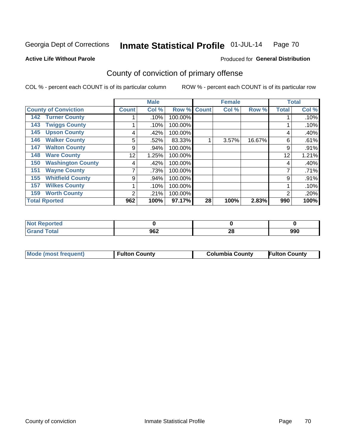### **Active Life Without Parole**

## Produced for **General Distribution**

## County of conviction of primary offense

|                                 |              | <b>Male</b> |         |              | <b>Female</b> |        |              | <b>Total</b> |
|---------------------------------|--------------|-------------|---------|--------------|---------------|--------|--------------|--------------|
| <b>County of Conviction</b>     | <b>Count</b> | Col %       | Row %   | <b>Count</b> | Col %         | Row %  | <b>Total</b> | Col %        |
| <b>Turner County</b><br>142     |              | .10%        | 100.00% |              |               |        |              | .10%         |
| <b>Twiggs County</b><br>143     |              | .10%        | 100.00% |              |               |        |              | .10%         |
| <b>Upson County</b><br>145      | 4            | .42%        | 100.00% |              |               |        | 4            | .40%         |
| <b>Walker County</b><br>146     | 5            | .52%        | 83.33%  |              | 3.57%         | 16.67% | 6            | .61%         |
| <b>Walton County</b><br>147     | 9            | .94%        | 100.00% |              |               |        | 9            | .91%         |
| <b>Ware County</b><br>148       | 12           | 1.25%       | 100.00% |              |               |        | 12           | 1.21%        |
| <b>Washington County</b><br>150 | 4            | .42%        | 100.00% |              |               |        | 4            | .40%         |
| <b>Wayne County</b><br>151      |              | .73%        | 100.00% |              |               |        |              | .71%         |
| <b>Whitfield County</b><br>155  | 9            | .94%        | 100.00% |              |               |        | 9            | .91%         |
| <b>Wilkes County</b><br>157     |              | .10%        | 100.00% |              |               |        |              | .10%         |
| <b>Worth County</b><br>159      | 2            | .21%        | 100.00% |              |               |        | 2            | .20%         |
| <b>Total Rported</b>            | 962          | 100%        | 97.17%  | 28           | 100%          | 2.83%  | 990          | 100%         |

| prted           |     |                      |     |
|-----------------|-----|----------------------|-----|
| $\sim$ 4 $\sim$ | 962 | $\overline{ }$<br>Zu | 990 |

|  | Mode (most frequent) | <b>Fulton County</b> | <b>Columbia County</b> | <b>Fulton County</b> |
|--|----------------------|----------------------|------------------------|----------------------|
|--|----------------------|----------------------|------------------------|----------------------|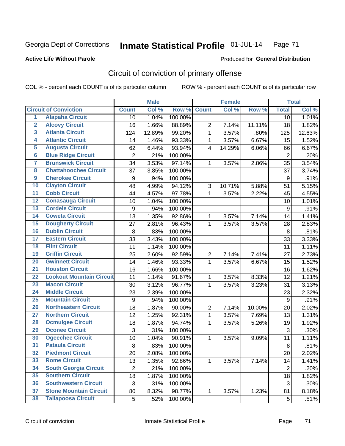**Active Life Without Parole** 

Produced for **General Distribution**

## Circuit of conviction of primary offense

|                         |                                 |                  | <b>Male</b> |         |                         | <b>Female</b> |        |                 | <b>Total</b> |
|-------------------------|---------------------------------|------------------|-------------|---------|-------------------------|---------------|--------|-----------------|--------------|
|                         | <b>Circuit of Conviction</b>    | <b>Count</b>     | Col %       | Row %   | <b>Count</b>            | Col %         | Row %  | <b>Total</b>    | Col %        |
| 1                       | <b>Alapaha Circuit</b>          | 10               | 1.04%       | 100.00% |                         |               |        | 10              | 1.01%        |
| $\overline{2}$          | <b>Alcovy Circuit</b>           | 16               | 1.66%       | 88.89%  | $\overline{2}$          | 7.14%         | 11.11% | 18              | 1.82%        |
| $\overline{\mathbf{3}}$ | <b>Atlanta Circuit</b>          | 124              | 12.89%      | 99.20%  | $\mathbf{1}$            | 3.57%         | .80%   | 125             | 12.63%       |
| 4                       | <b>Atlantic Circuit</b>         | 14               | 1.46%       | 93.33%  | $\mathbf{1}$            | 3.57%         | 6.67%  | 15              | 1.52%        |
| 5                       | <b>Augusta Circuit</b>          | 62               | 6.44%       | 93.94%  | $\overline{\mathbf{4}}$ | 14.29%        | 6.06%  | 66              | 6.67%        |
| $\overline{\mathbf{6}}$ | <b>Blue Ridge Circuit</b>       | $\overline{2}$   | .21%        | 100.00% |                         |               |        | $\overline{2}$  | .20%         |
| 7                       | <b>Brunswick Circuit</b>        | 34               | 3.53%       | 97.14%  | 1                       | 3.57%         | 2.86%  | 35              | 3.54%        |
| 8                       | <b>Chattahoochee Circuit</b>    | 37               | 3.85%       | 100.00% |                         |               |        | 37              | 3.74%        |
| $\overline{9}$          | <b>Cherokee Circuit</b>         | 9                | .94%        | 100.00% |                         |               |        | 9               | .91%         |
| 10                      | <b>Clayton Circuit</b>          | 48               | 4.99%       | 94.12%  | 3                       | 10.71%        | 5.88%  | 51              | 5.15%        |
| $\overline{11}$         | <b>Cobb Circuit</b>             | 44               | 4.57%       | 97.78%  | $\mathbf{1}$            | 3.57%         | 2.22%  | 45              | 4.55%        |
| $\overline{12}$         | <b>Conasauga Circuit</b>        | 10               | 1.04%       | 100.00% |                         |               |        | 10              | 1.01%        |
| 13                      | <b>Cordele Circuit</b>          | $\boldsymbol{9}$ | .94%        | 100.00% |                         |               |        | $9\,$           | .91%         |
| $\overline{14}$         | <b>Coweta Circuit</b>           | 13               | 1.35%       | 92.86%  | $\mathbf 1$             | 3.57%         | 7.14%  | 14              | 1.41%        |
| 15                      | <b>Dougherty Circuit</b>        | 27               | 2.81%       | 96.43%  | 1                       | 3.57%         | 3.57%  | 28              | 2.83%        |
| 16                      | <b>Dublin Circuit</b>           | 8                | .83%        | 100.00% |                         |               |        | 8               | .81%         |
| 17                      | <b>Eastern Circuit</b>          | 33               | 3.43%       | 100.00% |                         |               |        | 33              | 3.33%        |
| 18                      | <b>Flint Circuit</b>            | 11               | 1.14%       | 100.00% |                         |               |        | 11              | 1.11%        |
| 19                      | <b>Griffin Circuit</b>          | 25               | 2.60%       | 92.59%  | $\boldsymbol{2}$        | 7.14%         | 7.41%  | 27              | 2.73%        |
| 20                      | <b>Gwinnett Circuit</b>         | 14               | 1.46%       | 93.33%  | $\mathbf{1}$            | 3.57%         | 6.67%  | 15              | 1.52%        |
| $\overline{21}$         | <b>Houston Circuit</b>          | 16               | 1.66%       | 100.00% |                         |               |        | 16              | 1.62%        |
| $\overline{22}$         | <b>Lookout Mountain Circuit</b> | 11               | 1.14%       | 91.67%  | $\mathbf 1$             | 3.57%         | 8.33%  | 12              | 1.21%        |
| 23                      | <b>Macon Circuit</b>            | 30               | 3.12%       | 96.77%  | 1                       | 3.57%         | 3.23%  | 31              | 3.13%        |
| $\overline{24}$         | <b>Middle Circuit</b>           | 23               | 2.39%       | 100.00% |                         |               |        | 23              | 2.32%        |
| 25                      | <b>Mountain Circuit</b>         | $\boldsymbol{9}$ | .94%        | 100.00% |                         |               |        | 9               | .91%         |
| 26                      | <b>Northeastern Circuit</b>     | 18               | 1.87%       | 90.00%  | $\overline{2}$          | 7.14%         | 10.00% | 20              | 2.02%        |
| $\overline{27}$         | <b>Northern Circuit</b>         | 12               | 1.25%       | 92.31%  | 1                       | 3.57%         | 7.69%  | 13              | 1.31%        |
| 28                      | <b>Ocmulgee Circuit</b>         | 18               | 1.87%       | 94.74%  | $\mathbf{1}$            | 3.57%         | 5.26%  | 19              | 1.92%        |
| 29                      | <b>Oconee Circuit</b>           | 3                | .31%        | 100.00% |                         |               |        | $\mathfrak{S}$  | .30%         |
| 30                      | <b>Ogeechee Circuit</b>         | 10               | 1.04%       | 90.91%  | $\mathbf{1}$            | 3.57%         | 9.09%  | 11              | 1.11%        |
| $\overline{31}$         | <b>Pataula Circuit</b>          | 8                | .83%        | 100.00% |                         |               |        | $\,8\,$         | .81%         |
| 32                      | <b>Piedmont Circuit</b>         | 20               | 2.08%       | 100.00% |                         |               |        | 20              | 2.02%        |
| 33                      | <b>Rome Circuit</b>             | 13               | 1.35%       | 92.86%  | $\mathbf{1}$            | 3.57%         | 7.14%  | 14              | 1.41%        |
| 34                      | <b>South Georgia Circuit</b>    | $\overline{2}$   | .21%        | 100.00% |                         |               |        | $\overline{2}$  | .20%         |
| 35                      | <b>Southern Circuit</b>         | 18               | 1.87%       | 100.00% |                         |               |        | 18              | 1.82%        |
| 36                      | <b>Southwestern Circuit</b>     | 3                | .31%        | 100.00% |                         |               |        | 3               | .30%         |
| 37                      | <b>Stone Mountain Circuit</b>   | 80               | 8.32%       | 98.77%  | 1                       | 3.57%         | 1.23%  | 81              | 8.18%        |
| 38                      | <b>Tallapoosa Circuit</b>       | 5                | .52%        | 100.00% |                         |               |        | $5\phantom{.0}$ | .51%         |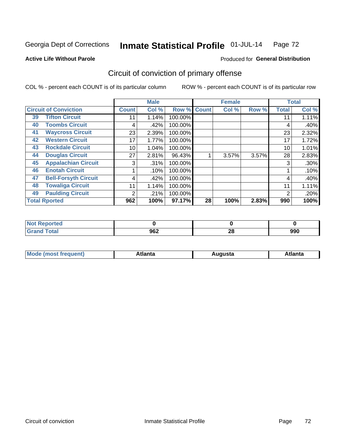Produced for **General Distribution**

## **Active Life Without Parole**

# Circuit of conviction of primary offense

|    |                              |              | <b>Male</b> |         |              | <b>Female</b> |       |              | <b>Total</b> |
|----|------------------------------|--------------|-------------|---------|--------------|---------------|-------|--------------|--------------|
|    | <b>Circuit of Conviction</b> | <b>Count</b> | Col %       | Row %   | <b>Count</b> | Col %         | Row % | <b>Total</b> | Col %        |
| 39 | <b>Tifton Circuit</b>        | 11           | 1.14%       | 100.00% |              |               |       | 11           | 1.11%        |
| 40 | <b>Toombs Circuit</b>        | 4            | .42%        | 100.00% |              |               |       | 4            | .40%         |
| 41 | <b>Waycross Circuit</b>      | 23           | 2.39%       | 100.00% |              |               |       | 23           | 2.32%        |
| 42 | <b>Western Circuit</b>       | 17           | 1.77%       | 100.00% |              |               |       | 17           | 1.72%        |
| 43 | <b>Rockdale Circuit</b>      | 10           | 1.04%       | 100.00% |              |               |       | 10           | 1.01%        |
| 44 | <b>Douglas Circuit</b>       | 27           | 2.81%       | 96.43%  |              | 3.57%         | 3.57% | 28           | 2.83%        |
| 45 | <b>Appalachian Circuit</b>   | 3            | .31%        | 100.00% |              |               |       | 3            | $.30\%$      |
| 46 | <b>Enotah Circuit</b>        |              | .10%        | 100.00% |              |               |       |              | .10%         |
| 47 | <b>Bell-Forsyth Circuit</b>  | 4            | .42%        | 100.00% |              |               |       | 4            | .40%         |
| 48 | <b>Towaliga Circuit</b>      | 11           | 1.14%       | 100.00% |              |               |       | 11           | 1.11%        |
| 49 | <b>Paulding Circuit</b>      | 2            | .21%        | 100.00% |              |               |       | 2            | .20%         |
|    | <b>Total Rported</b>         | 962          | 100%        | 97.17%  | 28           | 100%          | 2.83% | 990          | 100%         |

| <b>eported</b>        |     |          |     |
|-----------------------|-----|----------|-----|
| <b>otal</b><br>$\sim$ | 962 | ኅር<br>40 | 990 |

| М<br>. Innás<br>.<br>.<br>wanta<br>ााद्व<br>31.<br>$\sim$ $\sim$ $\sim$ |
|-------------------------------------------------------------------------|
|-------------------------------------------------------------------------|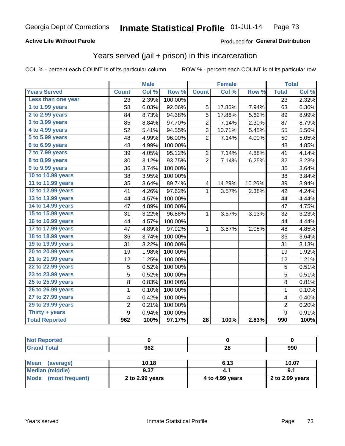### **Active Life Without Parole**

#### Produced for **General Distribution**

## Years served (jail + prison) in this incarceration

|                       |                | <b>Male</b> |         |                | <b>Female</b> |        |                         | <b>Total</b> |
|-----------------------|----------------|-------------|---------|----------------|---------------|--------|-------------------------|--------------|
| <b>Years Served</b>   | <b>Count</b>   | Col %       | Row %   | <b>Count</b>   | Col %         | Row %  | <b>Total</b>            | Col %        |
| Less than one year    | 23             | 2.39%       | 100.00% |                |               |        | 23                      | 2.32%        |
| 1 to 1.99 years       | 58             | 6.03%       | 92.06%  | 5              | 17.86%        | 7.94%  | 63                      | 6.36%        |
| 2 to 2.99 years       | 84             | 8.73%       | 94.38%  | 5              | 17.86%        | 5.62%  | 89                      | 8.99%        |
| 3 to 3.99 years       | 85             | 8.84%       | 97.70%  | $\overline{2}$ | 7.14%         | 2.30%  | 87                      | 8.79%        |
| 4 to 4.99 years       | 52             | 5.41%       | 94.55%  | 3              | 10.71%        | 5.45%  | 55                      | 5.56%        |
| 5 to 5.99 years       | 48             | 4.99%       | 96.00%  | $\overline{2}$ | 7.14%         | 4.00%  | 50                      | 5.05%        |
| 6 to 6.99 years       | 48             | 4.99%       | 100.00% |                |               |        | 48                      | 4.85%        |
| 7 to 7.99 years       | 39             | 4.05%       | 95.12%  | $\overline{c}$ | 7.14%         | 4.88%  | 41                      | 4.14%        |
| 8 to 8.99 years       | 30             | 3.12%       | 93.75%  | $\overline{2}$ | 7.14%         | 6.25%  | 32                      | 3.23%        |
| 9 to 9.99 years       | 36             | 3.74%       | 100.00% |                |               |        | 36                      | 3.64%        |
| 10 to 10.99 years     | 38             | 3.95%       | 100.00% |                |               |        | 38                      | 3.84%        |
| 11 to 11.99 years     | 35             | 3.64%       | 89.74%  | 4              | 14.29%        | 10.26% | 39                      | 3.94%        |
| 12 to 12.99 years     | 41             | 4.26%       | 97.62%  | $\mathbf{1}$   | 3.57%         | 2.38%  | 42                      | 4.24%        |
| 13 to 13.99 years     | 44             | 4.57%       | 100.00% |                |               |        | 44                      | 4.44%        |
| 14 to 14.99 years     | 47             | 4.89%       | 100.00% |                |               |        | 47                      | 4.75%        |
| 15 to 15.99 years     | 31             | 3.22%       | 96.88%  | 1              | 3.57%         | 3.13%  | 32                      | 3.23%        |
| 16 to 16.99 years     | 44             | 4.57%       | 100.00% |                |               |        | 44                      | 4.44%        |
| 17 to 17.99 years     | 47             | 4.89%       | 97.92%  | $\mathbf{1}$   | 3.57%         | 2.08%  | 48                      | 4.85%        |
| 18 to 18.99 years     | 36             | 3.74%       | 100.00% |                |               |        | 36                      | 3.64%        |
| 19 to 19.99 years     | 31             | 3.22%       | 100.00% |                |               |        | 31                      | 3.13%        |
| 20 to 20.99 years     | 19             | 1.98%       | 100.00% |                |               |        | 19                      | 1.92%        |
| 21 to 21.99 years     | 12             | 1.25%       | 100.00% |                |               |        | 12                      | 1.21%        |
| 22 to 22.99 years     | 5              | 0.52%       | 100.00% |                |               |        | 5                       | 0.51%        |
| 23 to 23.99 years     | 5              | 0.52%       | 100.00% |                |               |        | $\overline{5}$          | 0.51%        |
| 25 to 25.99 years     | 8              | 0.83%       | 100.00% |                |               |        | $\overline{8}$          | 0.81%        |
| 26 to 26.99 years     | 1              | 0.10%       | 100.00% |                |               |        | $\mathbf{1}$            | 0.10%        |
| 27 to 27.99 years     | 4              | 0.42%       | 100.00% |                |               |        | $\overline{\mathbf{4}}$ | 0.40%        |
| 29 to 29.99 years     | $\overline{c}$ | 0.21%       | 100.00% |                |               |        | $\overline{2}$          | 0.20%        |
| Thirty + years        | $\overline{9}$ | 0.94%       | 100.00% |                |               |        | $\overline{9}$          | 0.91%        |
| <b>Total Reported</b> | 962            | 100%        | 97.17%  | 28             | 100%          | 2.83%  | 990                     | 100%         |

| <b>Not Reported</b>      |                 |                 |                 |
|--------------------------|-----------------|-----------------|-----------------|
| <b>Grand Total</b>       | 962             | 28              | 990             |
|                          |                 |                 |                 |
| <b>Mean</b><br>(average) | 10.18           | 6.13            | 10.07           |
| <b>Median (middle)</b>   | 9.37            | 4.1             | 9.1             |
| Mode<br>(most frequent)  | 2 to 2.99 years | 4 to 4.99 years | 2 to 2.99 years |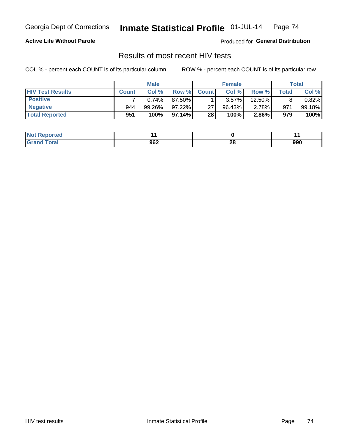### **Active Life Without Parole**

Produced for **General Distribution**

## Results of most recent HIV tests

|                         | <b>Male</b>  |        |           | <b>Female</b> |        |        | Total |           |
|-------------------------|--------------|--------|-----------|---------------|--------|--------|-------|-----------|
| <b>HIV Test Results</b> | <b>Count</b> | Col %  | Row %I    | <b>Count</b>  | Col %  | Row %  | Total | Col %     |
| <b>Positive</b>         |              | 0.74%  | 87.50%    |               | 3.57%  | 12.50% |       | $0.82\%$  |
| <b>Negative</b>         | 944          | 99.26% | $97.22\%$ | 27            | 96.43% | 2.78%  | 971   | $99.18\%$ |
| <b>Total Reported</b>   | 951          | 100%   | 97.14% I  | 28            | 100%   | 2.86%  | 979   | 100%      |

| <b>Not Reported</b> |     |          |     |
|---------------------|-----|----------|-----|
| <b>Total</b>        | 962 | ኅር<br>zo | 990 |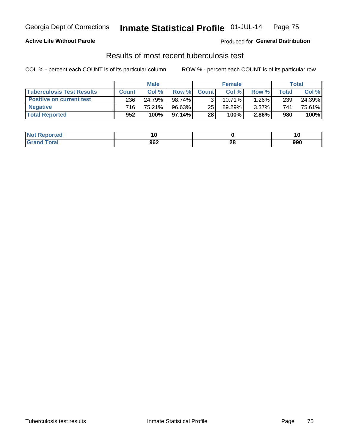### **Active Life Without Parole**

Produced for **General Distribution**

## Results of most recent tuberculosis test

|                                  |              | <b>Male</b> |           |              | <b>Female</b> |          |       | Total  |
|----------------------------------|--------------|-------------|-----------|--------------|---------------|----------|-------|--------|
| <b>Tuberculosis Test Results</b> | <b>Count</b> | Col%        | Row %I    | <b>Count</b> | Col%          | Row %    | Total | Col %  |
| <b>Positive on current test</b>  | 236          | 24.79%      | $98.74\%$ |              | 10.71%        | 1.26%    | 239   | 24.39% |
| <b>Negative</b>                  | 716          | 75.21%      | $96.63\%$ | 25           | 89.29%        | $3.37\%$ | 741   | 75.61% |
| <b>Total Reported</b>            | 952          | 100%        | 97.14% I  | 28           | 100%          | $2.86\%$ | 980   | 100%   |

| <b>Not Reported</b> |     |          | 1 V |
|---------------------|-----|----------|-----|
| <b>Grand Total</b>  | 962 | 00<br>40 | 990 |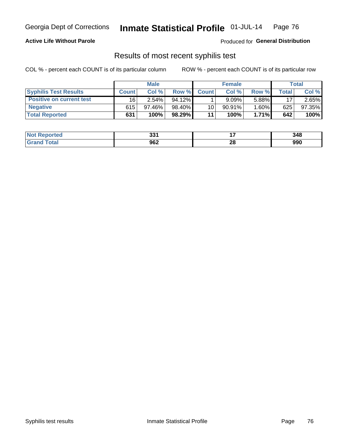### **Active Life Without Parole**

Produced for **General Distribution**

## Results of most recent syphilis test

|                                 | <b>Male</b>  |           |           | <b>Female</b> |           |          | Total   |        |
|---------------------------------|--------------|-----------|-----------|---------------|-----------|----------|---------|--------|
| <b>Syphilis Test Results</b>    | <b>Count</b> | Col%      | Row %     | <b>Count</b>  | Col %     | Row %I   | Total i | Col %  |
| <b>Positive on current test</b> | 16           | $2.54\%$  | $94.12\%$ |               | 9.09%     | 5.88%    | 17      | 2.65%  |
| <b>Negative</b>                 | 615          | $97.46\%$ | 98.40%    | 10            | $90.91\%$ | $1.60\%$ | 625     | 97.35% |
| <b>Total Reported</b>           | 631          | 100%      | 98.29%    | 11            | 100%      | $1.71\%$ | 642     | 100%   |

| <b>Not Reported</b>          | 224<br>ີວວ⊥ |    | 348 |
|------------------------------|-------------|----|-----|
| <b>Total</b><br><b>Grand</b> | 962         | 28 | 990 |